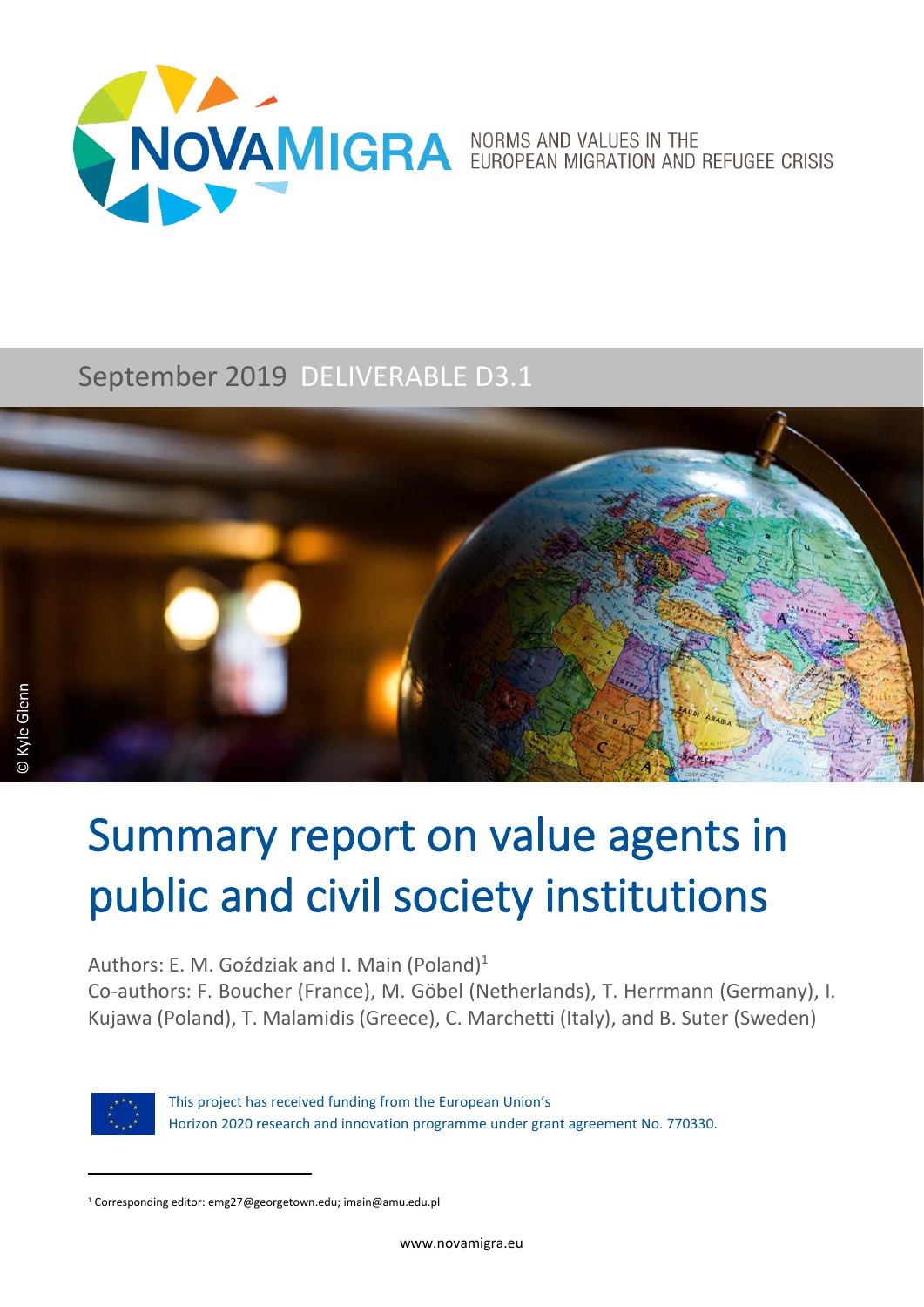

### September 2019 DELIVERABLE D3.1



## Summary report on value agents in public and civil society institutions

Authors: E. M. Goździak and I. Main (Poland)<sup>1</sup>

Co-authors: F. Boucher (France), M. Göbel (Netherlands), T. Herrmann (Germany), I. Kujawa (Poland), T. Malamidis (Greece), C. Marchetti (Italy), and B. Suter (Sweden)



This project has received funding from the European Union's Horizon 2020 research and innovation programme under grant agreement No. 770330.

<sup>1</sup> Corresponding editor: emg27@georgetown.edu; imain@amu.edu.pl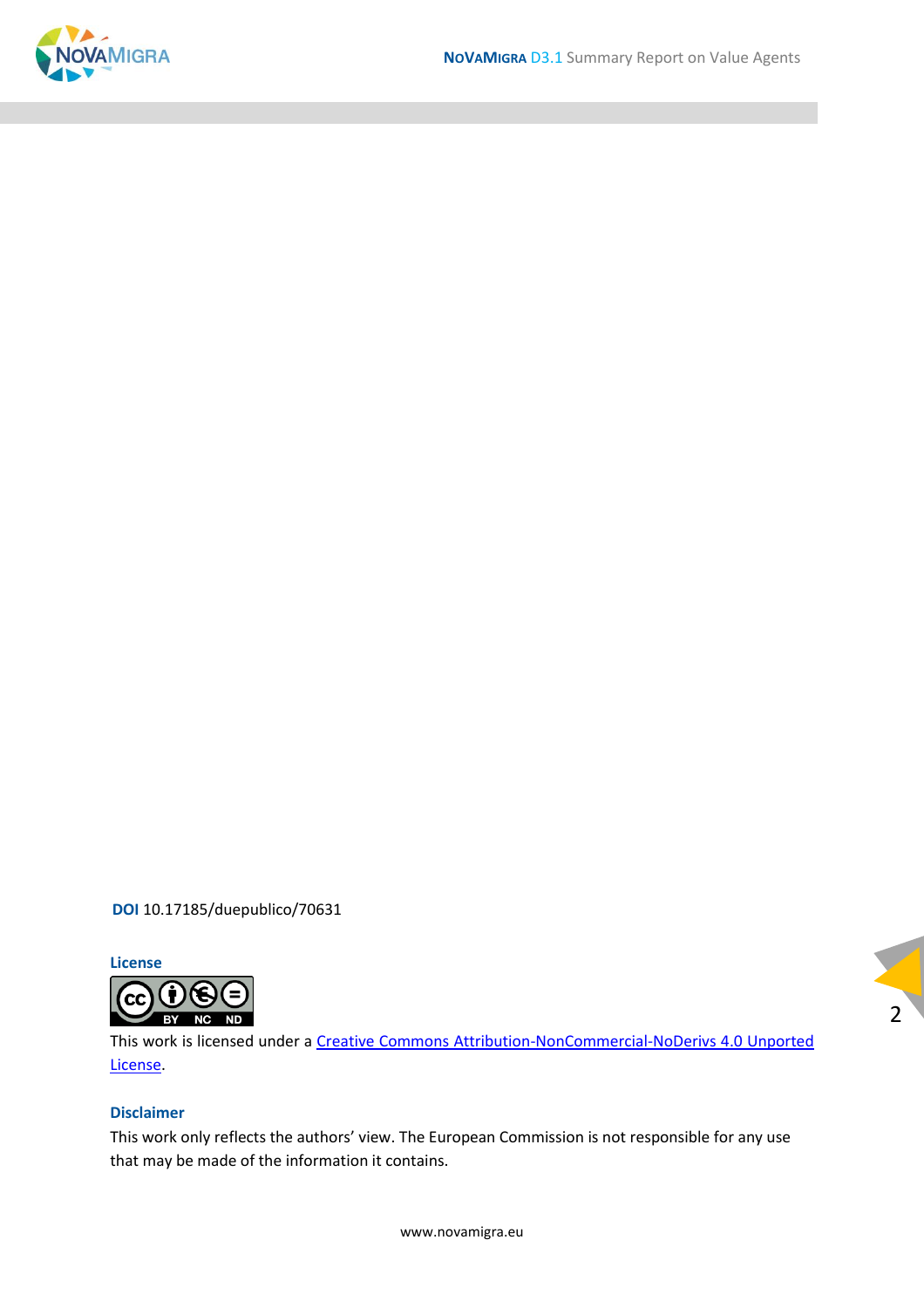

**DOI** [10.17185/duepublico/70631](https://doi.org/10.17185/duepublico/70631)

**License**



This work is licensed under a [Creative Commons Attribution-NonCommercial-NoDerivs 4.0 Unported](https://creativecommons.org/licenses/by-nc-nd/4.0/)  [License.](https://creativecommons.org/licenses/by-nc-nd/4.0/)

2

#### **Disclaimer**

This work only reflects the authors' view. The European Commission is not responsible for any use that may be made of the information it contains.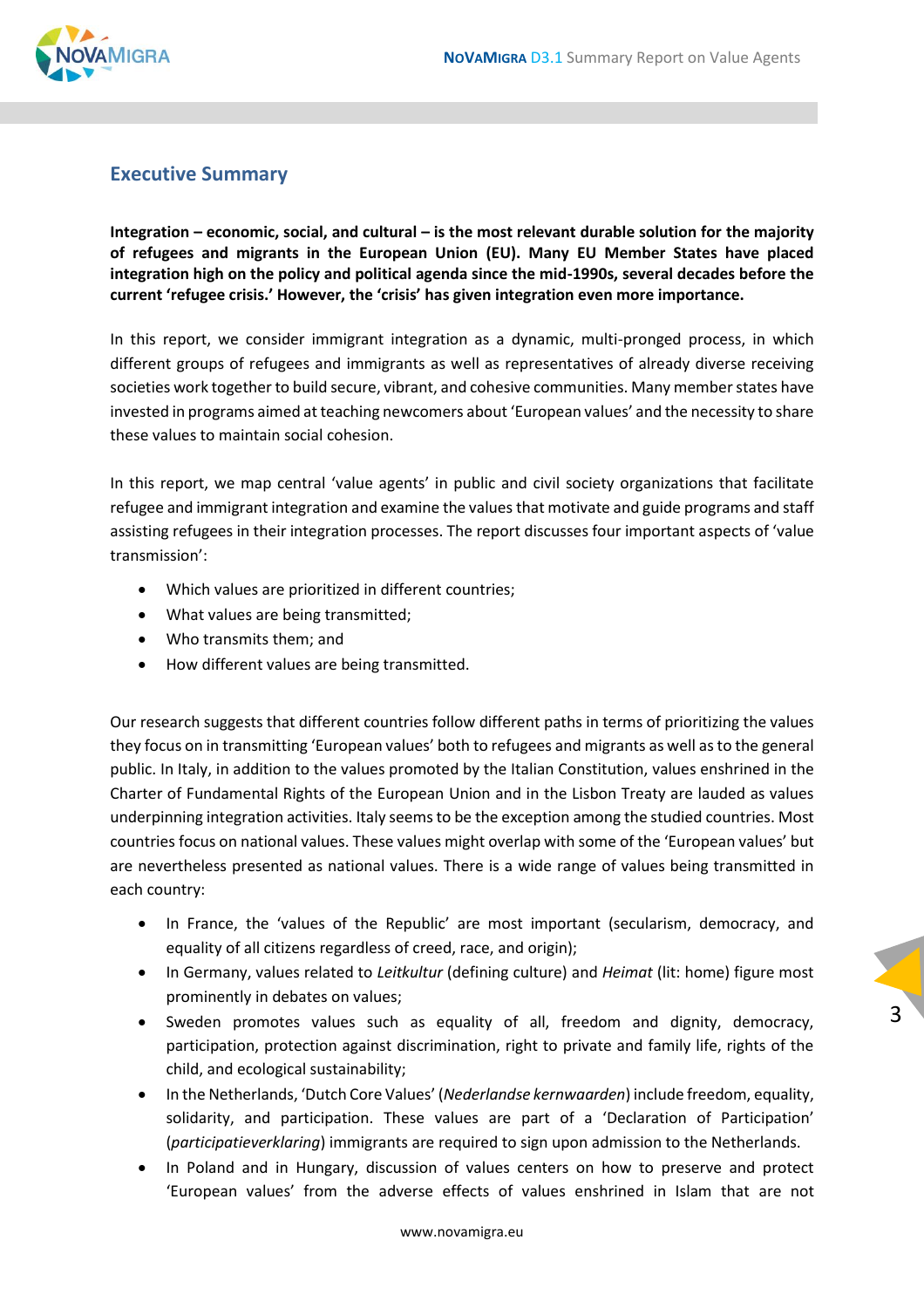

#### <span id="page-2-0"></span>**Executive Summary**

**Integration – economic, social, and cultural – is the most relevant durable solution for the majority of refugees and migrants in the European Union (EU). Many EU Member States have placed integration high on the policy and political agenda since the mid-1990s, several decades before the current 'refugee crisis.' However, the 'crisis' has given integration even more importance.**

In this report, we consider immigrant integration as a dynamic, multi-pronged process, in which different groups of refugees and immigrants as well as representatives of already diverse receiving societies work together to build secure, vibrant, and cohesive communities. Many member states have invested in programs aimed at teaching newcomers about 'European values' and the necessity to share these values to maintain social cohesion.

In this report, we map central 'value agents' in public and civil society organizations that facilitate refugee and immigrant integration and examine the values that motivate and guide programs and staff assisting refugees in their integration processes. The report discusses four important aspects of 'value transmission':

- Which values are prioritized in different countries;
- What values are being transmitted;
- Who transmits them; and
- How different values are being transmitted.

Our research suggests that different countries follow different paths in terms of prioritizing the values they focus on in transmitting 'European values' both to refugees and migrants as well as to the general public. In Italy, in addition to the values promoted by the Italian Constitution, values enshrined in the Charter of Fundamental Rights of the European Union and in the Lisbon Treaty are lauded as values underpinning integration activities. Italy seems to be the exception among the studied countries. Most countries focus on national values. These values might overlap with some of the 'European values' but are nevertheless presented as national values. There is a wide range of values being transmitted in each country:

- In France, the 'values of the Republic' are most important (secularism, democracy, and equality of all citizens regardless of creed, race, and origin);
- In Germany, values related to *Leitkultur* (defining culture) and *Heimat* (lit: home) figure most prominently in debates on values;
- Sweden promotes values such as equality of all, freedom and dignity, democracy, participation, protection against discrimination, right to private and family life, rights of the child, and ecological sustainability;

- In the Netherlands, 'Dutch Core Values' (*Nederlandse kernwaarden*) include freedom, equality, solidarity, and participation. These values are part of a 'Declaration of Participation' (*participatieverklaring*) immigrants are required to sign upon admission to the Netherlands.
- In Poland and in Hungary, discussion of values centers on how to preserve and protect 'European values' from the adverse effects of values enshrined in Islam that are not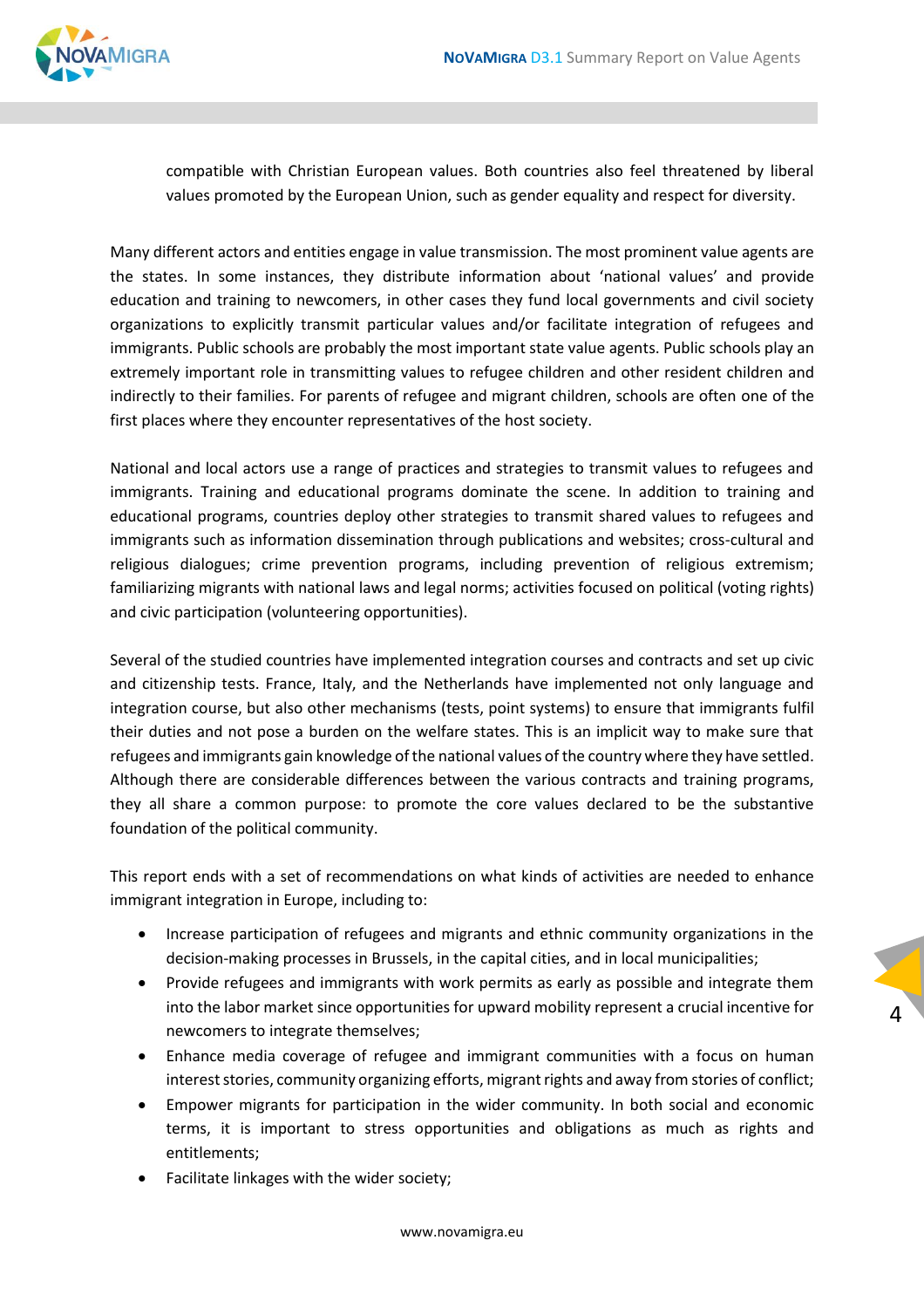

compatible with Christian European values. Both countries also feel threatened by liberal values promoted by the European Union, such as gender equality and respect for diversity.

Many different actors and entities engage in value transmission. The most prominent value agents are the states. In some instances, they distribute information about 'national values' and provide education and training to newcomers, in other cases they fund local governments and civil society organizations to explicitly transmit particular values and/or facilitate integration of refugees and immigrants. Public schools are probably the most important state value agents. Public schools play an extremely important role in transmitting values to refugee children and other resident children and indirectly to their families. For parents of refugee and migrant children, schools are often one of the first places where they encounter representatives of the host society.

National and local actors use a range of practices and strategies to transmit values to refugees and immigrants. Training and educational programs dominate the scene. In addition to training and educational programs, countries deploy other strategies to transmit shared values to refugees and immigrants such as information dissemination through publications and websites; cross-cultural and religious dialogues; crime prevention programs, including prevention of religious extremism; familiarizing migrants with national laws and legal norms; activities focused on political (voting rights) and civic participation (volunteering opportunities).

Several of the studied countries have implemented integration courses and contracts and set up civic and citizenship tests. France, Italy, and the Netherlands have implemented not only language and integration course, but also other mechanisms (tests, point systems) to ensure that immigrants fulfil their duties and not pose a burden on the welfare states. This is an implicit way to make sure that refugees and immigrants gain knowledge ofthe national values of the country where they have settled. Although there are considerable differences between the various contracts and training programs, they all share a common purpose: to promote the core values declared to be the substantive foundation of the political community.

This report ends with a set of recommendations on what kinds of activities are needed to enhance immigrant integration in Europe, including to:

- Increase participation of refugees and migrants and ethnic community organizations in the decision-making processes in Brussels, in the capital cities, and in local municipalities;
- Provide refugees and immigrants with work permits as early as possible and integrate them into the labor market since opportunities for upward mobility represent a crucial incentive for newcomers to integrate themselves;

- Enhance media coverage of refugee and immigrant communities with a focus on human interest stories, community organizing efforts, migrant rights and away from stories of conflict;
- Empower migrants for participation in the wider community. In both social and economic terms, it is important to stress opportunities and obligations as much as rights and entitlements;
- Facilitate linkages with the wider society;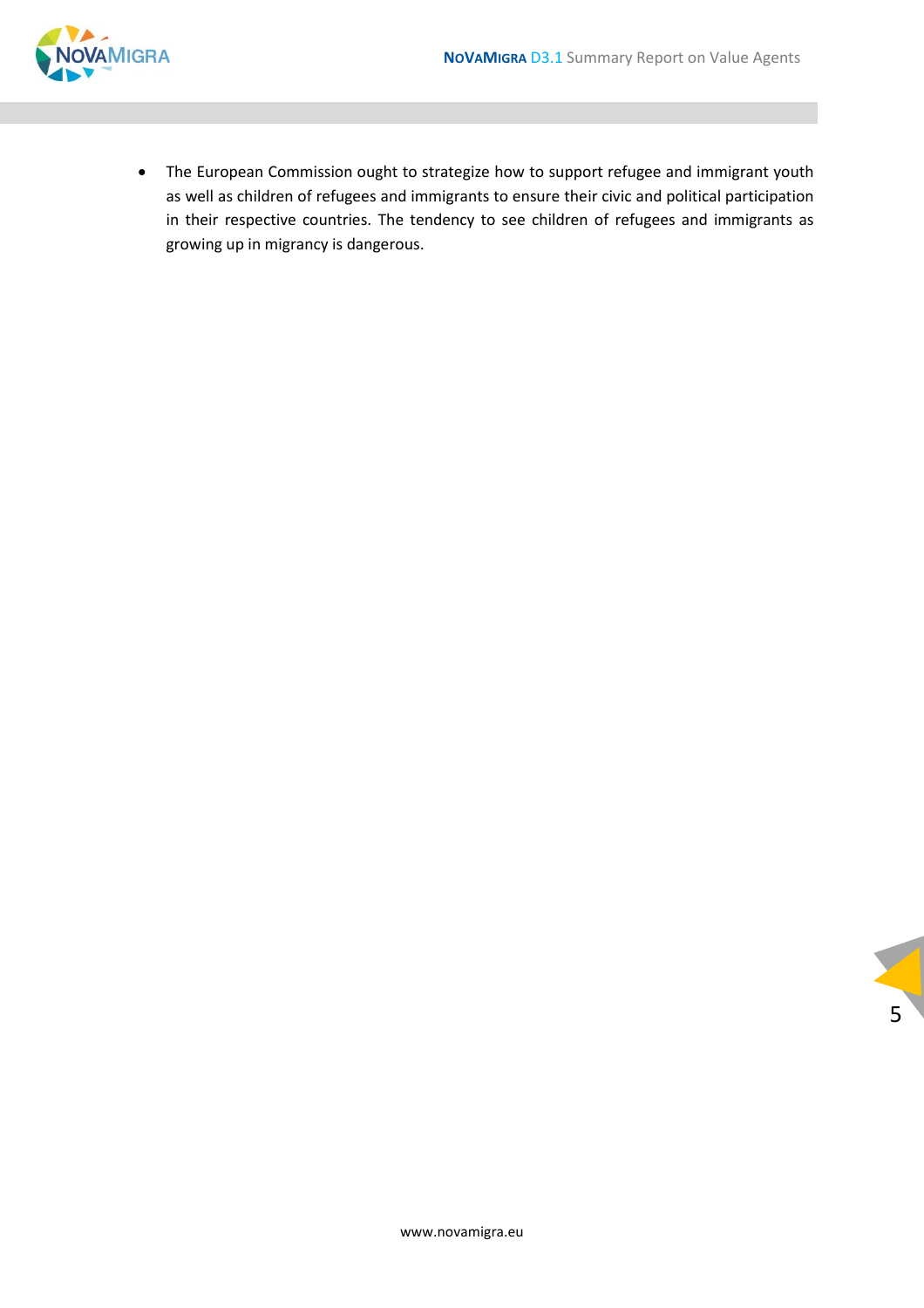

• The European Commission ought to strategize how to support refugee and immigrant youth as well as children of refugees and immigrants to ensure their civic and political participation in their respective countries. The tendency to see children of refugees and immigrants as growing up in migrancy is dangerous.

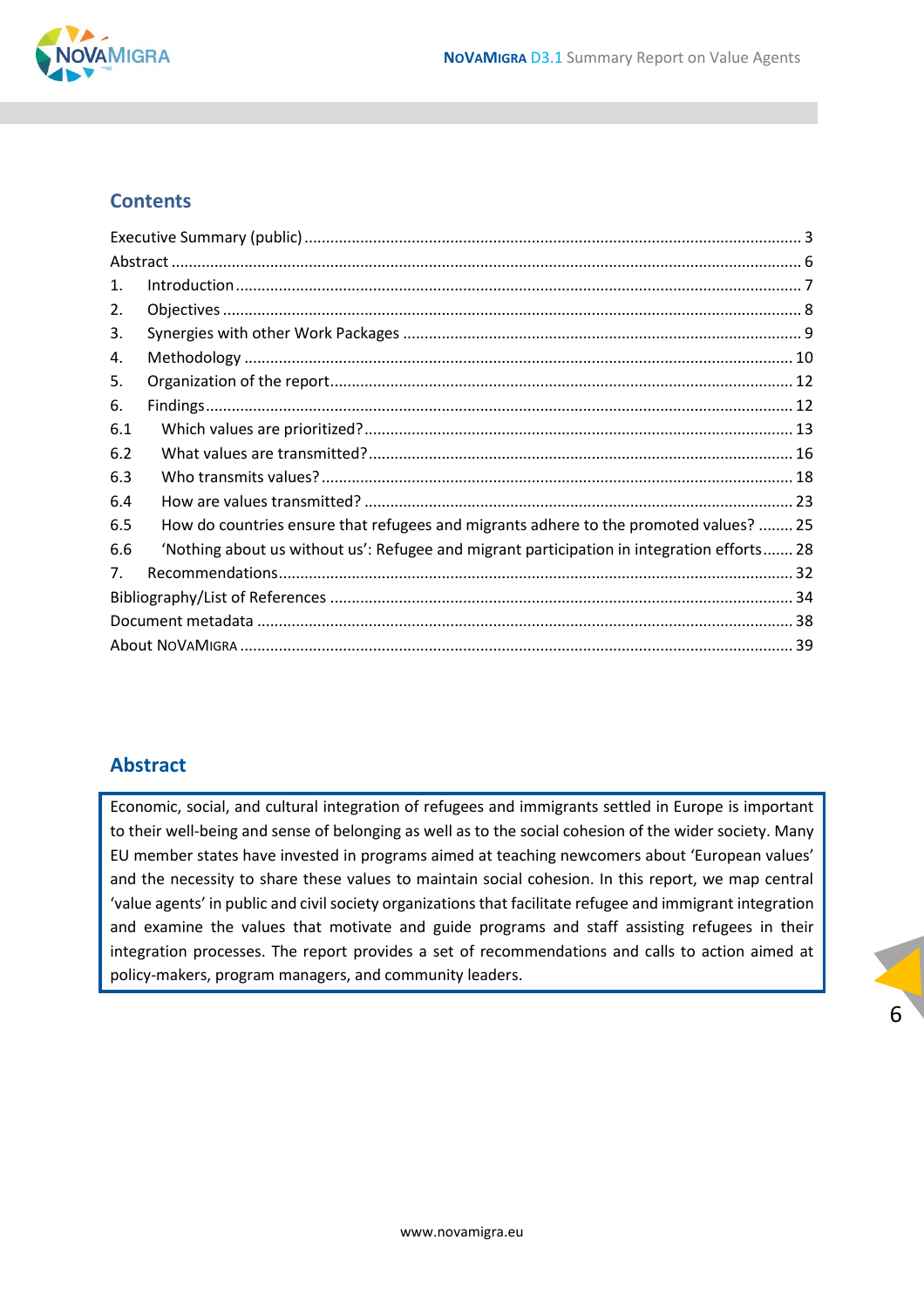

#### **Contents**

| 1.  |                                                                                            |  |  |
|-----|--------------------------------------------------------------------------------------------|--|--|
| 2.  |                                                                                            |  |  |
| 3.  |                                                                                            |  |  |
| 4.  |                                                                                            |  |  |
| 5.  |                                                                                            |  |  |
| 6.  |                                                                                            |  |  |
| 6.1 |                                                                                            |  |  |
| 6.2 |                                                                                            |  |  |
| 6.3 |                                                                                            |  |  |
| 6.4 |                                                                                            |  |  |
| 6.5 | How do countries ensure that refugees and migrants adhere to the promoted values?  25      |  |  |
| 6.6 | 'Nothing about us without us': Refugee and migrant participation in integration efforts 28 |  |  |
| 7.  |                                                                                            |  |  |
|     |                                                                                            |  |  |
|     |                                                                                            |  |  |
|     |                                                                                            |  |  |

#### <span id="page-5-0"></span>**Abstract**

Economic, social, and cultural integration of refugees and immigrants settled in Europe is important to their well-being and sense of belonging as well as to the social cohesion of the wider society. Many EU member states have invested in programs aimed at teaching newcomers about 'European values' and the necessity to share these values to maintain social cohesion. In this report, we map central 'value agents' in public and civil society organizations that facilitate refugee and immigrant integration and examine the values that motivate and guide programs and staff assisting refugees in their integration processes. The report provides a set of recommendations and calls to action aimed at policy-makers, program managers, and community leaders.

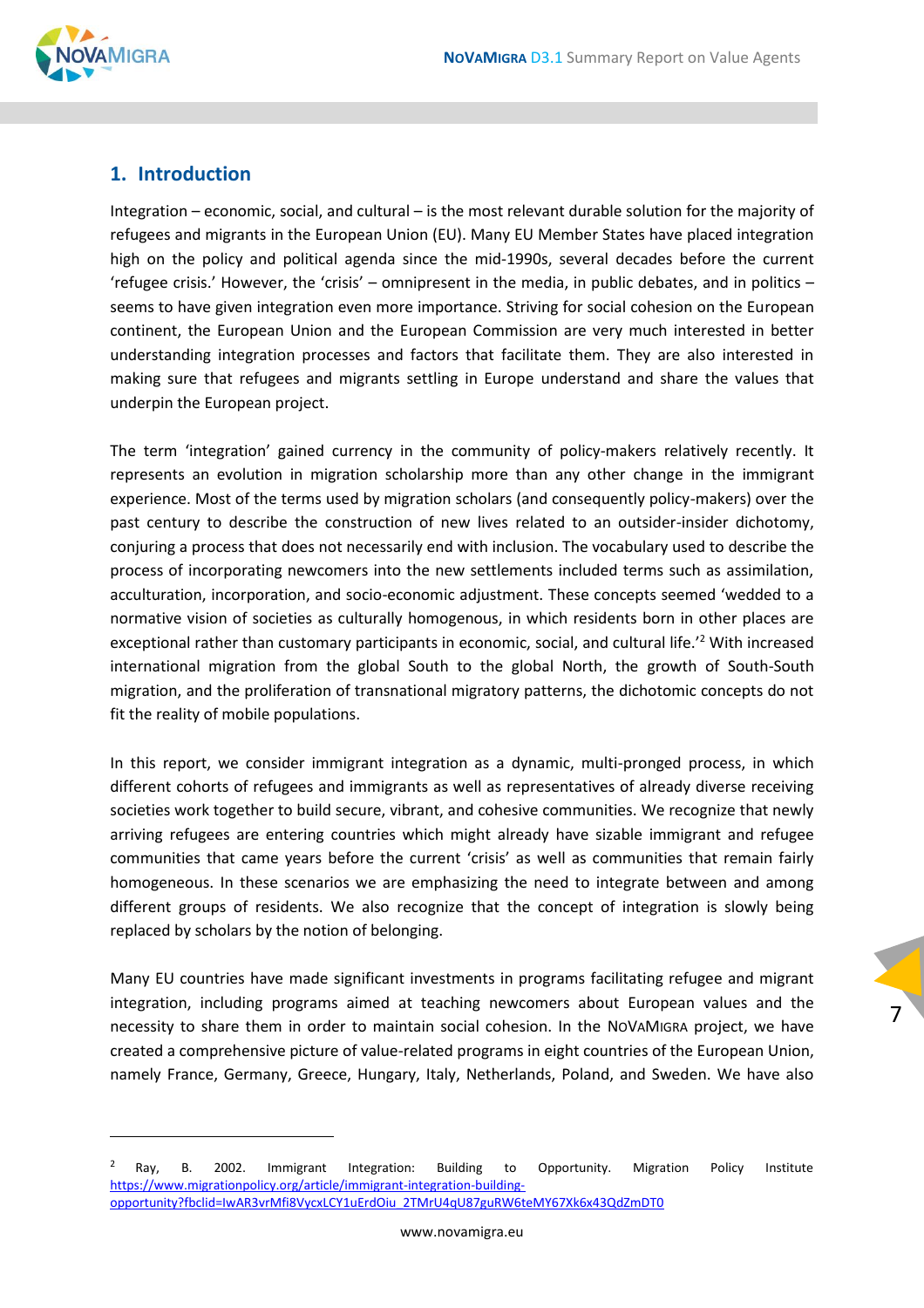

#### <span id="page-6-0"></span>**1. Introduction**

Integration – economic, social, and cultural – is the most relevant durable solution for the majority of refugees and migrants in the European Union (EU). Many EU Member States have placed integration high on the policy and political agenda since the mid-1990s, several decades before the current 'refugee crisis.' However, the 'crisis' – omnipresent in the media, in public debates, and in politics – seems to have given integration even more importance. Striving for social cohesion on the European continent, the European Union and the European Commission are very much interested in better understanding integration processes and factors that facilitate them. They are also interested in making sure that refugees and migrants settling in Europe understand and share the values that underpin the European project.

The term 'integration' gained currency in the community of policy-makers relatively recently. It represents an evolution in migration scholarship more than any other change in the immigrant experience. Most of the terms used by migration scholars (and consequently policy-makers) over the past century to describe the construction of new lives related to an outsider-insider dichotomy, conjuring a process that does not necessarily end with inclusion. The vocabulary used to describe the process of incorporating newcomers into the new settlements included terms such as assimilation, acculturation, incorporation, and socio-economic adjustment. These concepts seemed 'wedded to a normative vision of societies as culturally homogenous, in which residents born in other places are exceptional rather than customary participants in economic, social, and cultural life.'<sup>2</sup> With increased international migration from the global South to the global North, the growth of South-South migration, and the proliferation of transnational migratory patterns, the dichotomic concepts do not fit the reality of mobile populations.

In this report, we consider immigrant integration as a dynamic, multi-pronged process, in which different cohorts of refugees and immigrants as well as representatives of already diverse receiving societies work together to build secure, vibrant, and cohesive communities. We recognize that newly arriving refugees are entering countries which might already have sizable immigrant and refugee communities that came years before the current 'crisis' as well as communities that remain fairly homogeneous. In these scenarios we are emphasizing the need to integrate between and among different groups of residents. We also recognize that the concept of integration is slowly being replaced by scholars by the notion of belonging.

Many EU countries have made significant investments in programs facilitating refugee and migrant integration, including programs aimed at teaching newcomers about European values and the necessity to share them in order to maintain social cohesion. In the NOVAMIGRA project, we have created a comprehensive picture of value-related programs in eight countries of the European Union, namely France, Germany, Greece, Hungary, Italy, Netherlands, Poland, and Sweden. We have also

 $2$  Ray, B. 2002. Immigrant Integration: Building to Opportunity. Migration Policy Institute [https://www.migrationpolicy.org/article/immigrant-integration-building](https://www.migrationpolicy.org/article/immigrant-integration-building-opportunity?fbclid=IwAR3vrMfi8VycxLCY1uErdOiu_2TMrU4qU87guRW6teMY67Xk6x43QdZmDT0)[opportunity?fbclid=IwAR3vrMfi8VycxLCY1uErdOiu\\_2TMrU4qU87guRW6teMY67Xk6x43QdZmDT0](https://www.migrationpolicy.org/article/immigrant-integration-building-opportunity?fbclid=IwAR3vrMfi8VycxLCY1uErdOiu_2TMrU4qU87guRW6teMY67Xk6x43QdZmDT0)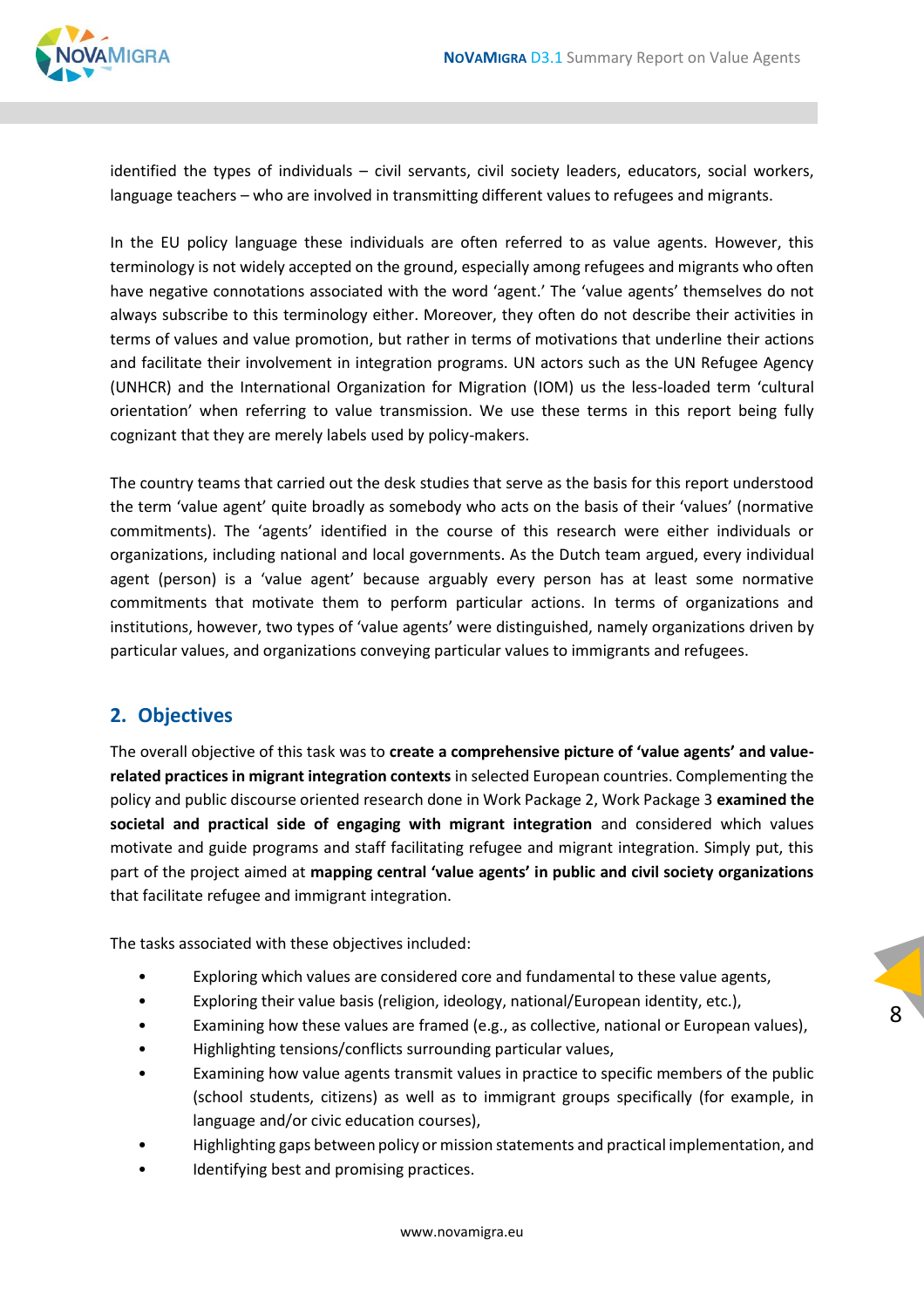

identified the types of individuals – civil servants, civil society leaders, educators, social workers, language teachers – who are involved in transmitting different values to refugees and migrants.

In the EU policy language these individuals are often referred to as value agents. However, this terminology is not widely accepted on the ground, especially among refugees and migrants who often have negative connotations associated with the word 'agent.' The 'value agents' themselves do not always subscribe to this terminology either. Moreover, they often do not describe their activities in terms of values and value promotion, but rather in terms of motivations that underline their actions and facilitate their involvement in integration programs. UN actors such as the UN Refugee Agency (UNHCR) and the International Organization for Migration (IOM) us the less-loaded term 'cultural orientation' when referring to value transmission. We use these terms in this report being fully cognizant that they are merely labels used by policy-makers.

The country teams that carried out the desk studies that serve as the basis for this report understood the term 'value agent' quite broadly as somebody who acts on the basis of their 'values' (normative commitments). The 'agents' identified in the course of this research were either individuals or organizations, including national and local governments. As the Dutch team argued, every individual agent (person) is a 'value agent' because arguably every person has at least some normative commitments that motivate them to perform particular actions. In terms of organizations and institutions, however, two types of 'value agents' were distinguished, namely organizations driven by particular values, and organizations conveying particular values to immigrants and refugees.

#### <span id="page-7-0"></span>**2. Objectives**

The overall objective of this task was to **create a comprehensive picture of 'value agents' and valuerelated practices in migrant integration contexts** in selected European countries. Complementing the policy and public discourse oriented research done in Work Package 2, Work Package 3 **examined the societal and practical side of engaging with migrant integration** and considered which values motivate and guide programs and staff facilitating refugee and migrant integration. Simply put, this part of the project aimed at **mapping central 'value agents' in public and civil society organizations**  that facilitate refugee and immigrant integration.

The tasks associated with these objectives included:

- Exploring which values are considered core and fundamental to these value agents,
- Exploring their value basis (religion, ideology, national/European identity, etc.),
- Examining how these values are framed (e.g., as collective, national or European values),

- Highlighting tensions/conflicts surrounding particular values,
- Examining how value agents transmit values in practice to specific members of the public (school students, citizens) as well as to immigrant groups specifically (for example, in language and/or civic education courses),
- Highlighting gaps between policy or mission statements and practical implementation, and
- Identifying best and promising practices.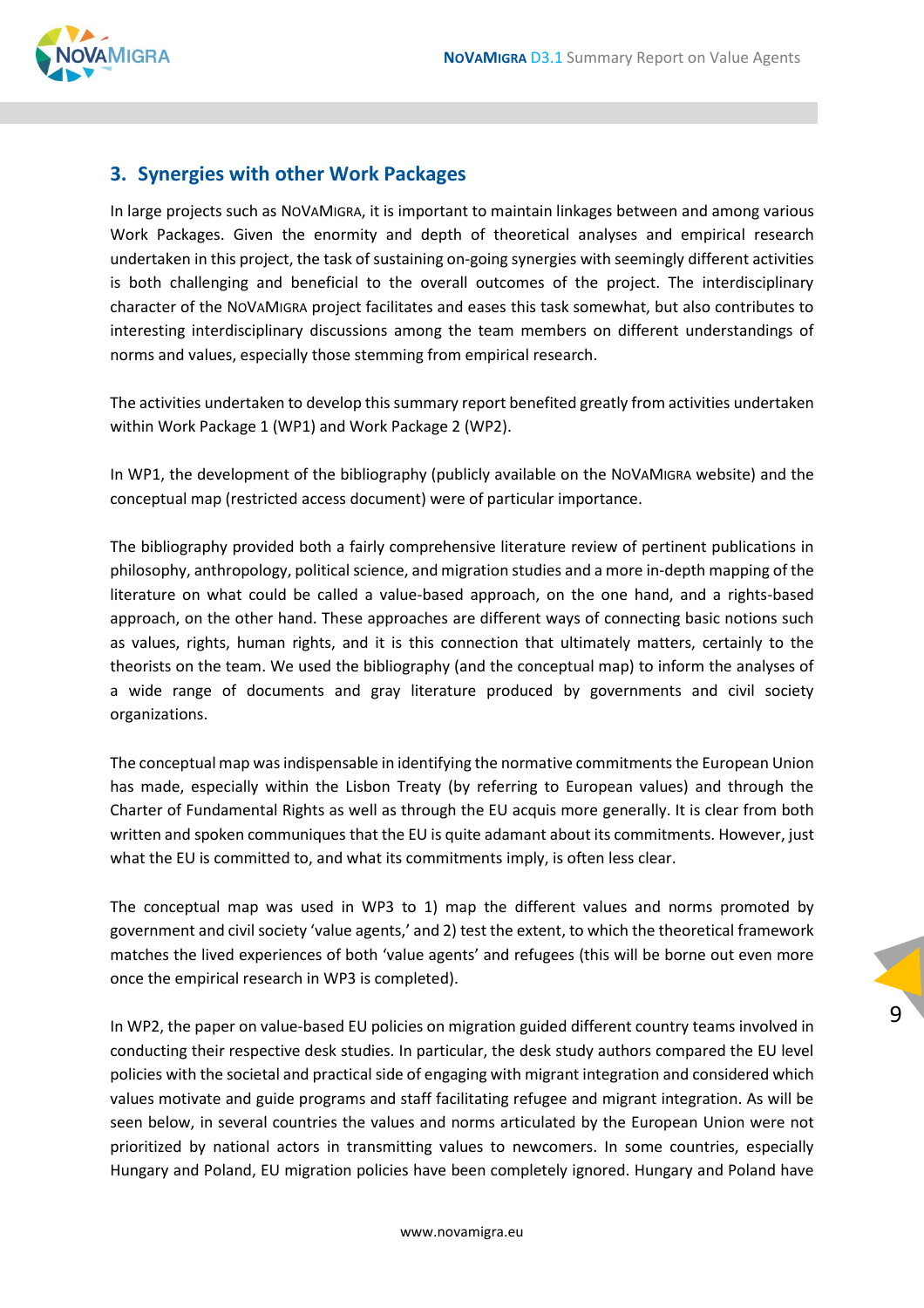

#### <span id="page-8-0"></span>**3. Synergies with other Work Packages**

In large projects such as NOVAMIGRA, it is important to maintain linkages between and among various Work Packages. Given the enormity and depth of theoretical analyses and empirical research undertaken in this project, the task of sustaining on-going synergies with seemingly different activities is both challenging and beneficial to the overall outcomes of the project. The interdisciplinary character of the NOVAMIGRA project facilitates and eases this task somewhat, but also contributes to interesting interdisciplinary discussions among the team members on different understandings of norms and values, especially those stemming from empirical research.

The activities undertaken to develop this summary report benefited greatly from activities undertaken within Work Package 1 (WP1) and Work Package 2 (WP2).

In WP1, the development of the bibliography (publicly available on the NOVAMIGRA website) and the conceptual map (restricted access document) were of particular importance.

The bibliography provided both a fairly comprehensive literature review of pertinent publications in philosophy, anthropology, political science, and migration studies and a more in-depth mapping of the literature on what could be called a value-based approach, on the one hand, and a rights-based approach, on the other hand. These approaches are different ways of connecting basic notions such as values, rights, human rights, and it is this connection that ultimately matters, certainly to the theorists on the team. We used the bibliography (and the conceptual map) to inform the analyses of a wide range of documents and gray literature produced by governments and civil society organizations.

The conceptual map was indispensable in identifying the normative commitments the European Union has made, especially within the Lisbon Treaty (by referring to European values) and through the Charter of Fundamental Rights as well as through the EU acquis more generally. It is clear from both written and spoken communiques that the EU is quite adamant about its commitments. However, just what the EU is committed to, and what its commitments imply, is often less clear.

The conceptual map was used in WP3 to 1) map the different values and norms promoted by government and civil society 'value agents,' and 2) test the extent, to which the theoretical framework matches the lived experiences of both 'value agents' and refugees (this will be borne out even more once the empirical research in WP3 is completed).

In WP2, the paper on value-based EU policies on migration guided different country teams involved in conducting their respective desk studies. In particular, the desk study authors compared the EU level policies with the societal and practical side of engaging with migrant integration and considered which values motivate and guide programs and staff facilitating refugee and migrant integration. As will be seen below, in several countries the values and norms articulated by the European Union were not prioritized by national actors in transmitting values to newcomers. In some countries, especially Hungary and Poland, EU migration policies have been completely ignored. Hungary and Poland have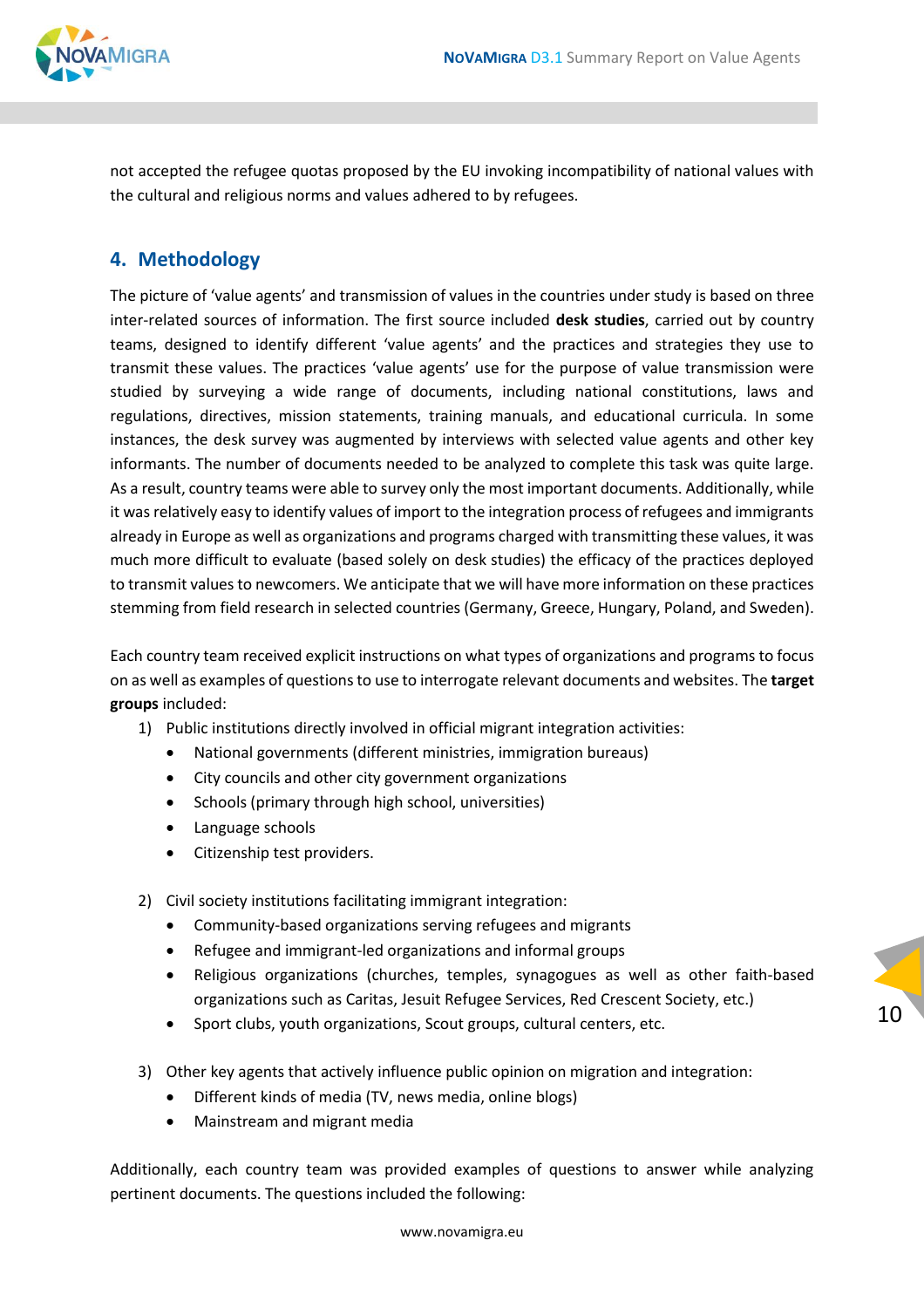

not accepted the refugee quotas proposed by the EU invoking incompatibility of national values with the cultural and religious norms and values adhered to by refugees.

#### <span id="page-9-0"></span>**4. Methodology**

The picture of 'value agents' and transmission of values in the countries under study is based on three inter-related sources of information. The first source included **desk studies**, carried out by country teams, designed to identify different 'value agents' and the practices and strategies they use to transmit these values. The practices 'value agents' use for the purpose of value transmission were studied by surveying a wide range of documents, including national constitutions, laws and regulations, directives, mission statements, training manuals, and educational curricula. In some instances, the desk survey was augmented by interviews with selected value agents and other key informants. The number of documents needed to be analyzed to complete this task was quite large. As a result, country teams were able to survey only the most important documents. Additionally, while it was relatively easy to identify values of import to the integration process of refugees and immigrants already in Europe as well as organizations and programs charged with transmitting these values, it was much more difficult to evaluate (based solely on desk studies) the efficacy of the practices deployed to transmit values to newcomers. We anticipate that we will have more information on these practices stemming from field research in selected countries (Germany, Greece, Hungary, Poland, and Sweden).

Each country team received explicit instructions on what types of organizations and programs to focus on as well as examples of questions to use to interrogate relevant documents and websites. The **target groups** included:

- 1) Public institutions directly involved in official migrant integration activities:
	- National governments (different ministries, immigration bureaus)
	- City councils and other city government organizations
	- Schools (primary through high school, universities)
	- Language schools
	- Citizenship test providers.
- 2) Civil society institutions facilitating immigrant integration:
	- Community-based organizations serving refugees and migrants
	- Refugee and immigrant-led organizations and informal groups
	- Religious organizations (churches, temples, synagogues as well as other faith-based organizations such as Caritas, Jesuit Refugee Services, Red Crescent Society, etc.)
	- Sport clubs, youth organizations, Scout groups, cultural centers, etc.
- 3) Other key agents that actively influence public opinion on migration and integration:
	- Different kinds of media (TV, news media, online blogs)
	- Mainstream and migrant media

Additionally, each country team was provided examples of questions to answer while analyzing pertinent documents. The questions included the following: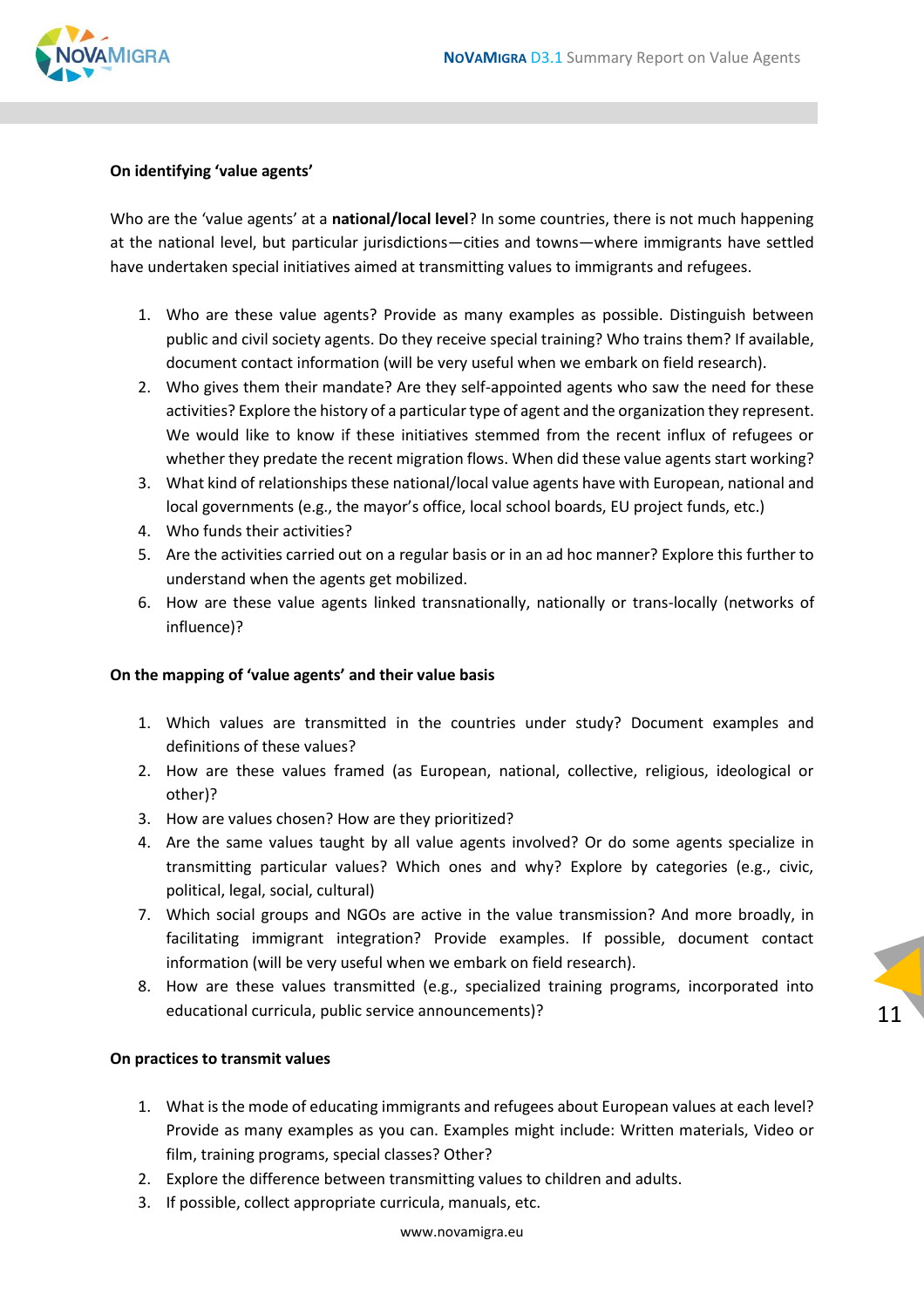

#### **On identifying 'value agents'**

Who are the 'value agents' at a **national/local level**? In some countries, there is not much happening at the national level, but particular jurisdictions—cities and towns—where immigrants have settled have undertaken special initiatives aimed at transmitting values to immigrants and refugees.

- 1. Who are these value agents? Provide as many examples as possible. Distinguish between public and civil society agents. Do they receive special training? Who trains them? If available, document contact information (will be very useful when we embark on field research).
- 2. Who gives them their mandate? Are they self-appointed agents who saw the need for these activities? Explore the history of a particular type of agent and the organization they represent. We would like to know if these initiatives stemmed from the recent influx of refugees or whether they predate the recent migration flows. When did these value agents start working?
- 3. What kind of relationships these national/local value agents have with European, national and local governments (e.g., the mayor's office, local school boards, EU project funds, etc.)
- 4. Who funds their activities?
- 5. Are the activities carried out on a regular basis or in an ad hoc manner? Explore this further to understand when the agents get mobilized.
- 6. How are these value agents linked transnationally, nationally or trans-locally (networks of influence)?

#### **On the mapping of 'value agents' and their value basis**

- 1. Which values are transmitted in the countries under study? Document examples and definitions of these values?
- 2. How are these values framed (as European, national, collective, religious, ideological or other)?
- 3. How are values chosen? How are they prioritized?
- 4. Are the same values taught by all value agents involved? Or do some agents specialize in transmitting particular values? Which ones and why? Explore by categories (e.g., civic, political, legal, social, cultural)
- 7. Which social groups and NGOs are active in the value transmission? And more broadly, in facilitating immigrant integration? Provide examples. If possible, document contact information (will be very useful when we embark on field research).
- 8. How are these values transmitted (e.g., specialized training programs, incorporated into educational curricula, public service announcements)?

11

#### **On practices to transmit values**

- 1. What is the mode of educating immigrants and refugees about European values at each level? Provide as many examples as you can. Examples might include: Written materials, Video or film, training programs, special classes? Other?
- 2. Explore the difference between transmitting values to children and adults.
- 3. If possible, collect appropriate curricula, manuals, etc.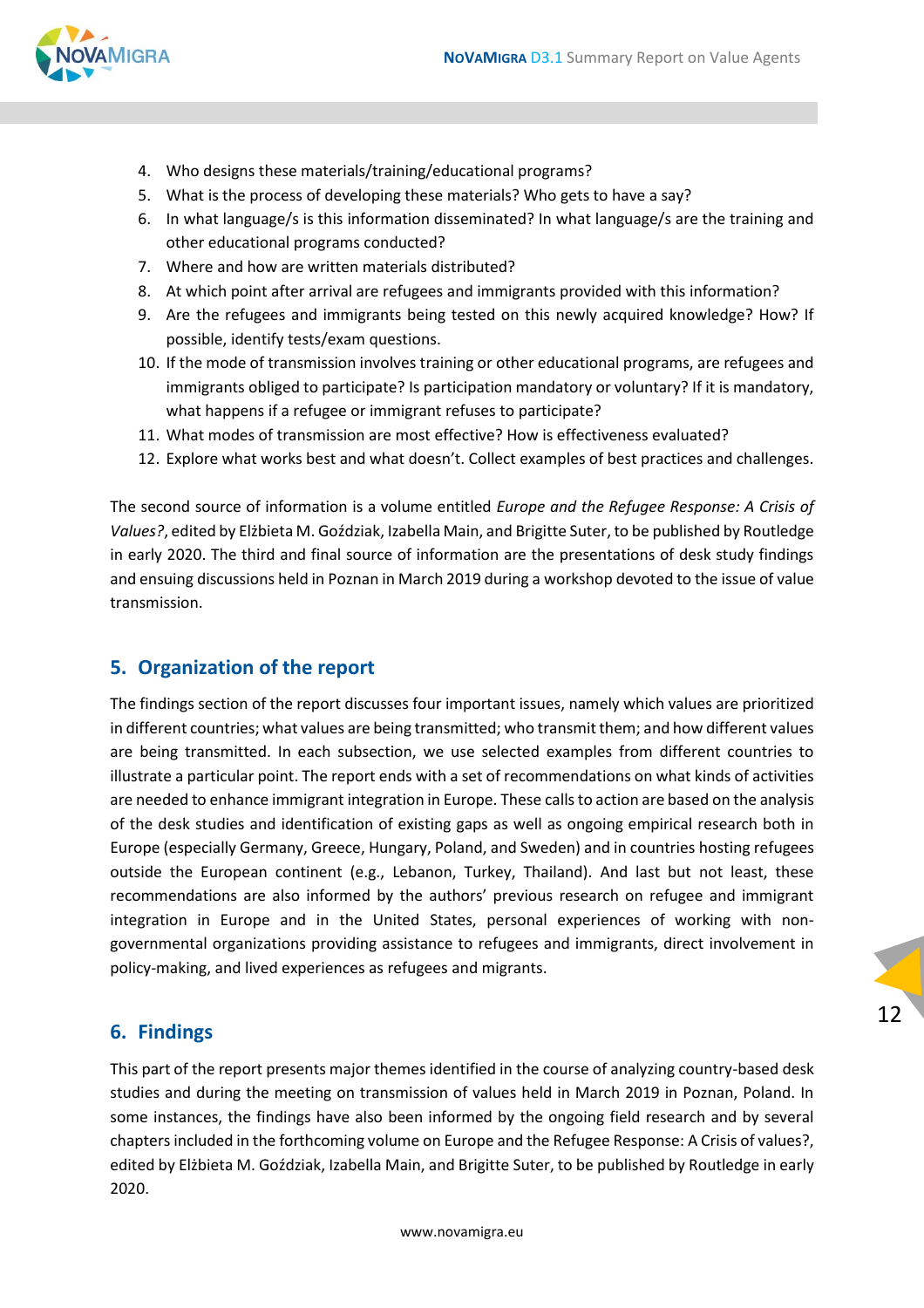

- 4. Who designs these materials/training/educational programs?
- 5. What is the process of developing these materials? Who gets to have a say?
- 6. In what language/s is this information disseminated? In what language/s are the training and other educational programs conducted?
- 7. Where and how are written materials distributed?
- 8. At which point after arrival are refugees and immigrants provided with this information?
- 9. Are the refugees and immigrants being tested on this newly acquired knowledge? How? If possible, identify tests/exam questions.
- 10. If the mode of transmission involves training or other educational programs, are refugees and immigrants obliged to participate? Is participation mandatory or voluntary? If it is mandatory, what happens if a refugee or immigrant refuses to participate?
- 11. What modes of transmission are most effective? How is effectiveness evaluated?
- 12. Explore what works best and what doesn't. Collect examples of best practices and challenges.

The second source of information is a volume entitled *Europe and the Refugee Response: A Crisis of Values?*, edited by Elżbieta M. Goździak, Izabella Main, and Brigitte Suter, to be published by Routledge in early 2020. The third and final source of information are the presentations of desk study findings and ensuing discussions held in Poznan in March 2019 during a workshop devoted to the issue of value transmission.

#### <span id="page-11-0"></span>**5. Organization of the report**

The findings section of the report discusses four important issues, namely which values are prioritized in different countries; what values are being transmitted; who transmit them; and how different values are being transmitted. In each subsection, we use selected examples from different countries to illustrate a particular point. The report ends with a set of recommendations on what kinds of activities are needed to enhance immigrant integration in Europe. These calls to action are based on the analysis of the desk studies and identification of existing gaps as well as ongoing empirical research both in Europe (especially Germany, Greece, Hungary, Poland, and Sweden) and in countries hosting refugees outside the European continent (e.g., Lebanon, Turkey, Thailand). And last but not least, these recommendations are also informed by the authors' previous research on refugee and immigrant integration in Europe and in the United States, personal experiences of working with nongovernmental organizations providing assistance to refugees and immigrants, direct involvement in policy-making, and lived experiences as refugees and migrants.

#### <span id="page-11-1"></span>**6. Findings**

This part of the report presents major themes identified in the course of analyzing country-based desk studies and during the meeting on transmission of values held in March 2019 in Poznan, Poland. In some instances, the findings have also been informed by the ongoing field research and by several chapters included in the forthcoming volume on Europe and the Refugee Response: A Crisis of values?, edited by Elżbieta M. Goździak, Izabella Main, and Brigitte Suter, to be published by Routledge in early 2020.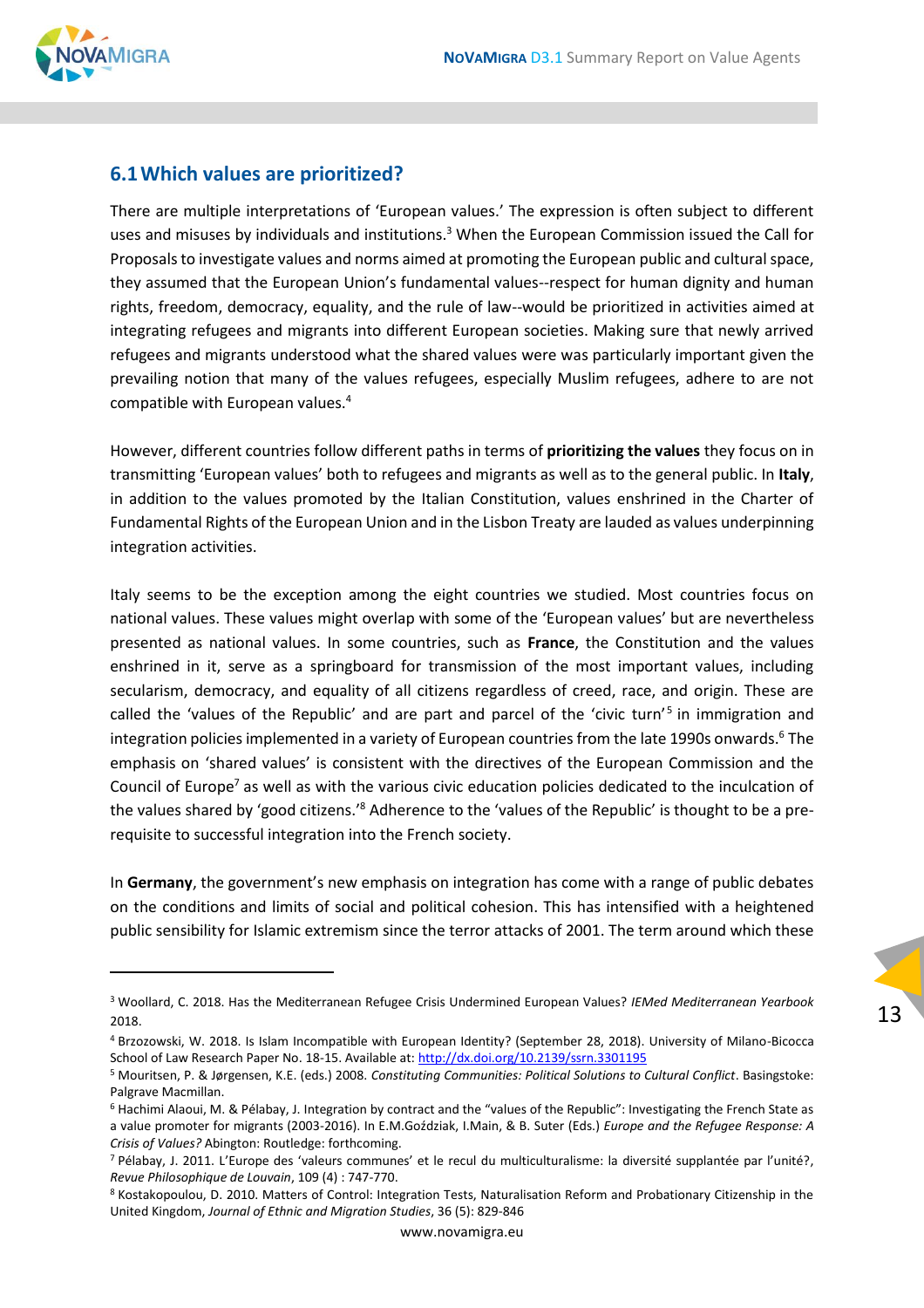

#### <span id="page-12-0"></span>**6.1Which values are prioritized?**

There are multiple interpretations of 'European values.' The expression is often subject to different uses and misuses by individuals and institutions. $3$  When the European Commission issued the Call for Proposals to investigate values and norms aimed at promoting the European public and cultural space, they assumed that the European Union's fundamental values--respect for human dignity and human rights, freedom, democracy, equality, and the rule of law--would be prioritized in activities aimed at integrating refugees and migrants into different European societies. Making sure that newly arrived refugees and migrants understood what the shared values were was particularly important given the prevailing notion that many of the values refugees, especially Muslim refugees, adhere to are not compatible with European values.<sup>4</sup>

However, different countries follow different paths in terms of **prioritizing the values** they focus on in transmitting 'European values' both to refugees and migrants as well as to the general public. In **Italy**, in addition to the values promoted by the Italian Constitution, values enshrined in the Charter of Fundamental Rights of the European Union and in the Lisbon Treaty are lauded as values underpinning integration activities.

Italy seems to be the exception among the eight countries we studied. Most countries focus on national values. These values might overlap with some of the 'European values' but are nevertheless presented as national values. In some countries, such as **France**, the Constitution and the values enshrined in it, serve as a springboard for transmission of the most important values, including secularism, democracy, and equality of all citizens regardless of creed, race, and origin. These are called the 'values of the Republic' and are part and parcel of the 'civic turn'<sup>5</sup> in immigration and integration policies implemented in a variety of European countries from the late 1990s onwards.<sup>6</sup> The emphasis on 'shared values' is consistent with the directives of the European Commission and the Council of Europe<sup>7</sup> as well as with the various civic education policies dedicated to the inculcation of the values shared by 'good citizens.'<sup>8</sup> Adherence to the 'values of the Republic' is thought to be a prerequisite to successful integration into the French society.

In **Germany**, the government's new emphasis on integration has come with a range of public debates on the conditions and limits of social and political cohesion. This has intensified with a heightened public sensibility for Islamic extremism since the terror attacks of 2001. The term around which these

<sup>3</sup> Woollard, C. 2018. Has the Mediterranean Refugee Crisis Undermined European Values? *IEMed Mediterranean Yearbook* 2018.

<sup>4</sup> Brzozowski, W. 2018. Is Islam Incompatible with European Identity? (September 28, 2018). University of Milano-Bicocca School of Law Research Paper No. 18-15. Available at[: http://dx.doi.org/10.2139/ssrn.3301195](http://dx.doi.org/10.2139/ssrn.3301195)

<sup>5</sup> Mouritsen, P. & Jørgensen, K.E. (eds.) 2008. *Constituting Communities: Political Solutions to Cultural Conflict*. Basingstoke: Palgrave Macmillan.

<sup>6</sup> Hachimi Alaoui, M. & Pélabay, J. Integration by contract and the "values of the Republic": Investigating the French State as a value promoter for migrants (2003-2016). In E.M.Goździak, I.Main, & B. Suter (Eds.) *Europe and the Refugee Response: A Crisis of Values?* Abington: Routledge: forthcoming.

<sup>7</sup> Pélabay, J. 2011. L'Europe des 'valeurs communes' et le recul du multiculturalisme: la diversité supplantée par l'unité?, *Revue Philosophique de Louvain*, 109 (4) : 747-770.

<sup>8</sup> Kostakopoulou, D. 2010. Matters of Control: Integration Tests, Naturalisation Reform and Probationary Citizenship in the United Kingdom, *Journal of Ethnic and Migration Studies*, 36 (5): 829-846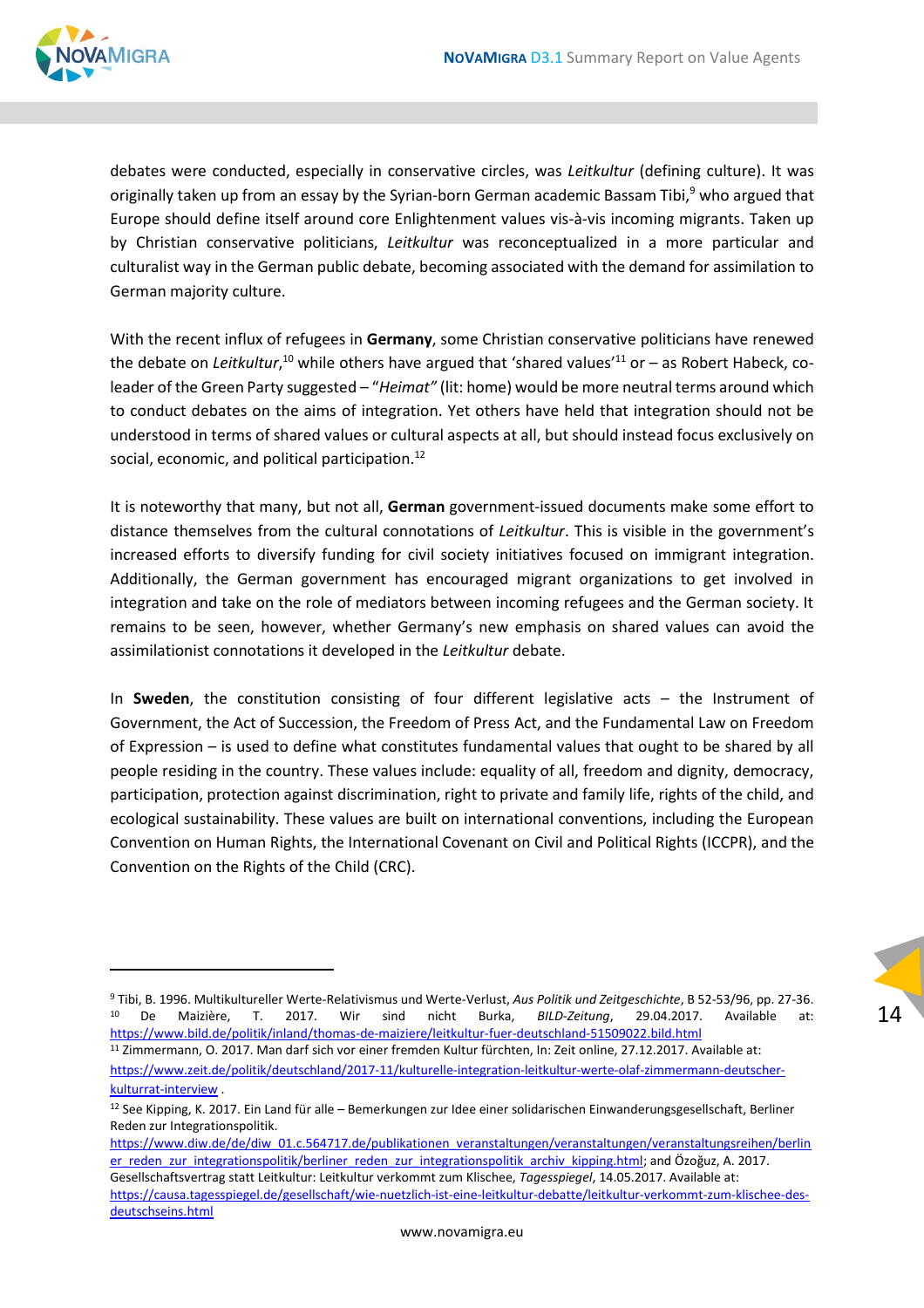

debates were conducted, especially in conservative circles, was *Leitkultur* (defining culture). It was originally taken up from an essay by the Syrian-born German academic Bassam Tibi,<sup>9</sup> who argued that Europe should define itself around core Enlightenment values vis-à-vis incoming migrants. Taken up by Christian conservative politicians, *Leitkultur* was reconceptualized in a more particular and culturalist way in the German public debate, becoming associated with the demand for assimilation to German majority culture.

With the recent influx of refugees in **Germany**, some Christian conservative politicians have renewed the debate on *Leitkultur,*<sup>10</sup> while others have argued that 'shared values'<sup>11</sup> or – as Robert Habeck, coleader of the Green Party suggested – "*Heimat"* (lit: home) would be more neutral terms around which to conduct debates on the aims of integration. Yet others have held that integration should not be understood in terms of shared values or cultural aspects at all, but should instead focus exclusively on social, economic, and political participation.<sup>12</sup>

It is noteworthy that many, but not all, **German** government-issued documents make some effort to distance themselves from the cultural connotations of *Leitkultur*. This is visible in the government's increased efforts to diversify funding for civil society initiatives focused on immigrant integration. Additionally, the German government has encouraged migrant organizations to get involved in integration and take on the role of mediators between incoming refugees and the German society. It remains to be seen, however, whether Germany's new emphasis on shared values can avoid the assimilationist connotations it developed in the *Leitkultur* debate.

In **Sweden**, the constitution consisting of four different legislative acts – the Instrument of Government, the Act of Succession, the Freedom of Press Act, and the Fundamental Law on Freedom of Expression – is used to define what constitutes fundamental values that ought to be shared by all people residing in the country. These values include: equality of all, freedom and dignity, democracy, participation, protection against discrimination, right to private and family life, rights of the child, and ecological sustainability. These values are built on international conventions, including the European Convention on Human Rights, the International Covenant on Civil and Political Rights (ICCPR), and the Convention on the Rights of the Child (CRC).

<sup>9</sup> Tibi, B. 1996. Multikultureller Werte-Relativismus und Werte-Verlust, *Aus Politik und Zeitgeschichte*, B 52-53/96, pp. 27-36. <sup>10</sup> De Maizière, T. 2017. Wir sind nicht Burka, *BILD-Zeitung*, 29.04.2017. Available at: <https://www.bild.de/politik/inland/thomas-de-maiziere/leitkultur-fuer-deutschland-51509022.bild.html>

<sup>11</sup> Zimmermann, O. 2017. Man darf sich vor einer fremden Kultur fürchten, In: Zeit online, 27.12.2017. Available at: [https://www.zeit.de/politik/deutschland/2017-11/kulturelle-integration-leitkultur-werte-olaf-zimmermann-deutscher](https://www.zeit.de/politik/deutschland/2017-11/kulturelle-integration-leitkultur-werte-olaf-zimmermann-deutscher-kulturrat-interview)[kulturrat-interview](https://www.zeit.de/politik/deutschland/2017-11/kulturelle-integration-leitkultur-werte-olaf-zimmermann-deutscher-kulturrat-interview) .

<sup>12</sup> See Kipping, K. 2017. Ein Land für alle – Bemerkungen zur Idee einer solidarischen Einwanderungsgesellschaft, Berliner Reden zur Integrationspolitik.

[https://www.diw.de/de/diw\\_01.c.564717.de/publikationen\\_veranstaltungen/veranstaltungen/veranstaltungsreihen/berlin](https://www.diw.de/de/diw_01.c.564717.de/publikationen_veranstaltungen/veranstaltungen/veranstaltungsreihen/berliner_reden_zur_integrationspolitik/berliner_reden_zur_integrationspolitik_archiv_kipping.html) [er\\_reden\\_zur\\_integrationspolitik/berliner\\_reden\\_zur\\_integrationspolitik\\_archiv\\_kipping.html](https://www.diw.de/de/diw_01.c.564717.de/publikationen_veranstaltungen/veranstaltungen/veranstaltungsreihen/berliner_reden_zur_integrationspolitik/berliner_reden_zur_integrationspolitik_archiv_kipping.html); and Özoğuz, A. 2017. Gesellschaftsvertrag statt Leitkultur: Leitkultur verkommt zum Klischee, *Tagesspiegel*, 14.05.2017. Available at: [https://causa.tagesspiegel.de/gesellschaft/wie-nuetzlich-ist-eine-leitkultur-debatte/leitkultur-verkommt-zum-klischee-des](https://causa.tagesspiegel.de/gesellschaft/wie-nuetzlich-ist-eine-leitkultur-debatte/leitkultur-verkommt-zum-klischee-des-deutschseins.html)[deutschseins.html](https://causa.tagesspiegel.de/gesellschaft/wie-nuetzlich-ist-eine-leitkultur-debatte/leitkultur-verkommt-zum-klischee-des-deutschseins.html)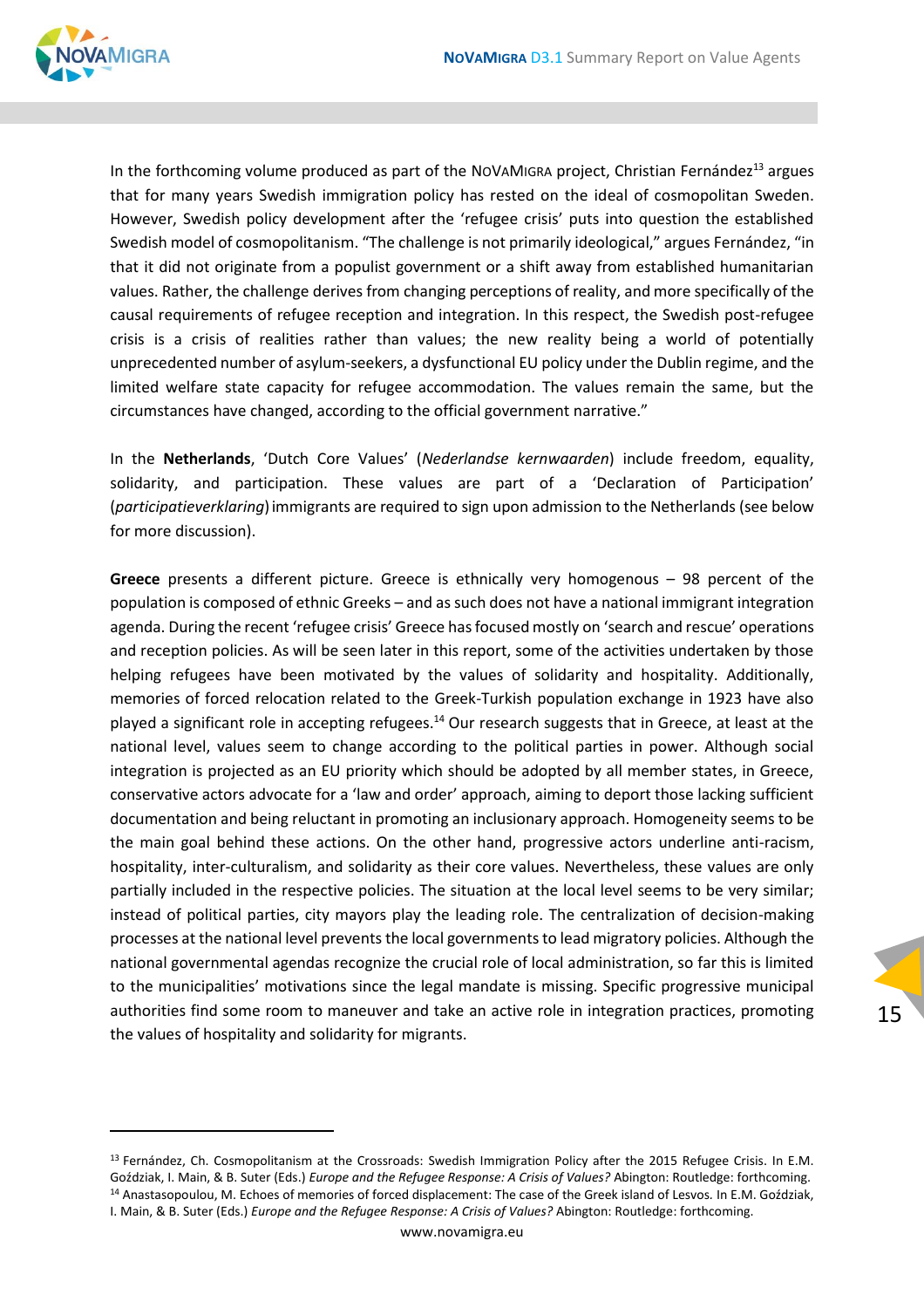15



In the forthcoming volume produced as part of the NOVAMIGRA project, Christian Fernández<sup>13</sup> argues that for many years Swedish immigration policy has rested on the ideal of cosmopolitan Sweden. However, Swedish policy development after the 'refugee crisis' puts into question the established Swedish model of cosmopolitanism. "The challenge is not primarily ideological," argues Fernández, "in that it did not originate from a populist government or a shift away from established humanitarian values. Rather, the challenge derives from changing perceptions of reality, and more specifically of the causal requirements of refugee reception and integration. In this respect, the Swedish post-refugee crisis is a crisis of realities rather than values; the new reality being a world of potentially unprecedented number of asylum-seekers, a dysfunctional EU policy under the Dublin regime, and the limited welfare state capacity for refugee accommodation. The values remain the same, but the circumstances have changed, according to the official government narrative."

In the **Netherlands**, 'Dutch Core Values' (*Nederlandse kernwaarden*) include freedom, equality, solidarity, and participation. These values are part of a 'Declaration of Participation' (*participatieverklaring*)immigrants are required to sign upon admission to the Netherlands (see below for more discussion).

**Greece** presents a different picture. Greece is ethnically very homogenous – 98 percent of the population is composed of ethnic Greeks – and as such does not have a national immigrant integration agenda. During the recent 'refugee crisis' Greece has focused mostly on 'search and rescue' operations and reception policies. As will be seen later in this report, some of the activities undertaken by those helping refugees have been motivated by the values of solidarity and hospitality. Additionally, memories of forced relocation related to the Greek-Turkish population exchange in 1923 have also played a significant role in accepting refugees.<sup>14</sup> Our research suggests that in Greece, at least at the national level, values seem to change according to the political parties in power. Although social integration is projected as an EU priority which should be adopted by all member states, in Greece, conservative actors advocate for a 'law and order' approach, aiming to deport those lacking sufficient documentation and being reluctant in promoting an inclusionary approach. Homogeneity seems to be the main goal behind these actions. On the other hand, progressive actors underline anti-racism, hospitality, inter-culturalism, and solidarity as their core values. Nevertheless, these values are only partially included in the respective policies. The situation at the local level seems to be very similar; instead of political parties, city mayors play the leading role. The centralization of decision-making processes at the national level prevents the local governments to lead migratory policies. Although the national governmental agendas recognize the crucial role of local administration, so far this is limited to the municipalities' motivations since the legal mandate is missing. Specific progressive municipal authorities find some room to maneuver and take an active role in integration practices, promoting the values of hospitality and solidarity for migrants.

 $13$  Fernández, Ch. Cosmopolitanism at the Crossroads: Swedish Immigration Policy after the 2015 Refugee Crisis. In E.M. Goździak, I. Main, & B. Suter (Eds.) *Europe and the Refugee Response: A Crisis of Values?* Abington: Routledge: forthcoming. <sup>14</sup> Anastasopoulou, M. Echoes of memories of forced displacement: The case of the Greek island of Lesvos*.* In E.M. Goździak, I. Main, & B. Suter (Eds.) *Europe and the Refugee Response: A Crisis of Values?* Abington: Routledge: forthcoming.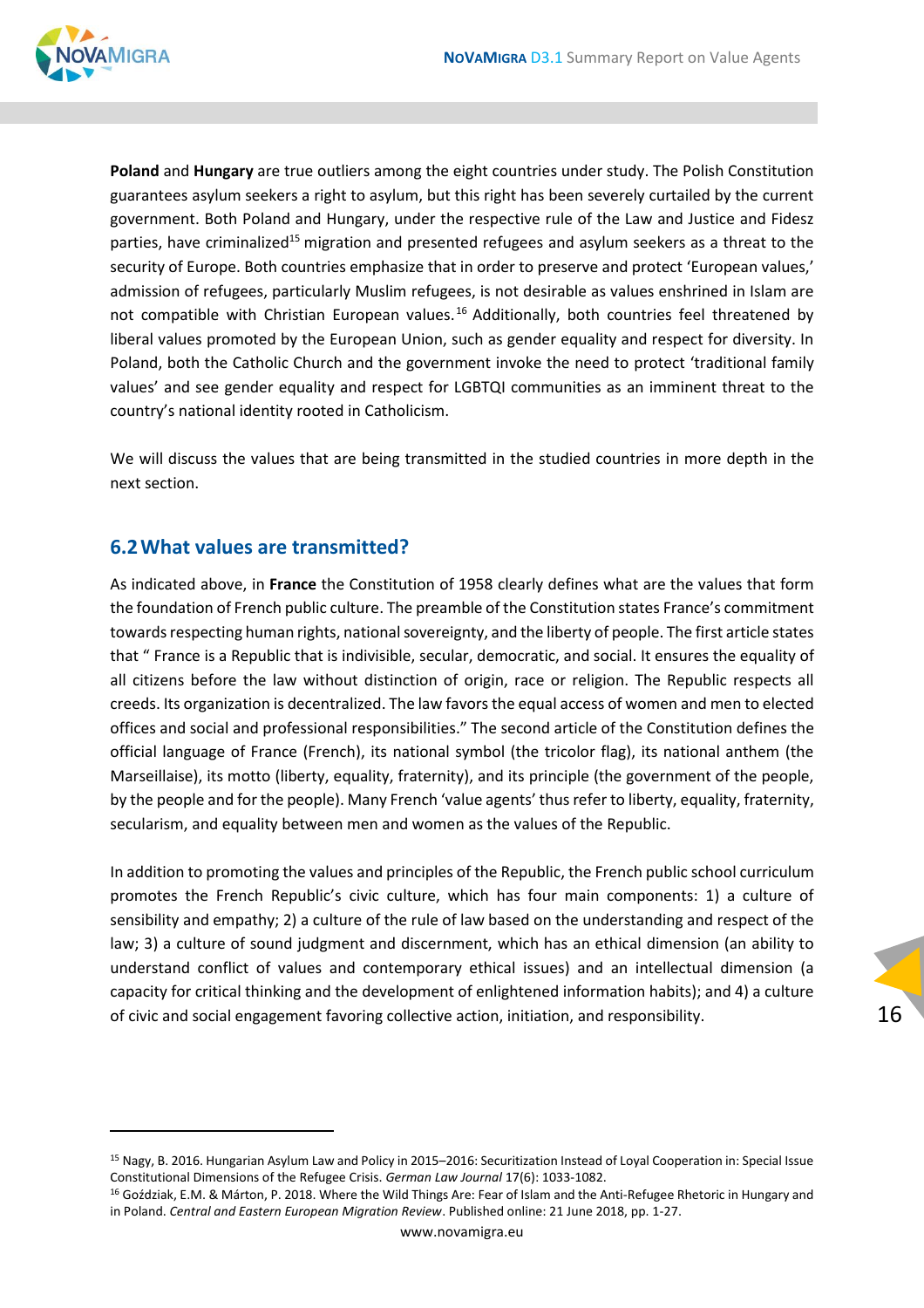

**Poland** and **Hungary** are true outliers among the eight countries under study. The Polish Constitution guarantees asylum seekers a right to asylum, but this right has been severely curtailed by the current government. Both Poland and Hungary, under the respective rule of the Law and Justice and Fidesz parties, have criminalized<sup>15</sup> migration and presented refugees and asylum seekers as a threat to the security of Europe. Both countries emphasize that in order to preserve and protect 'European values,' admission of refugees, particularly Muslim refugees, is not desirable as values enshrined in Islam are not compatible with Christian European values.<sup>16</sup> Additionally, both countries feel threatened by liberal values promoted by the European Union, such as gender equality and respect for diversity. In Poland, both the Catholic Church and the government invoke the need to protect 'traditional family values' and see gender equality and respect for LGBTQI communities as an imminent threat to the country's national identity rooted in Catholicism.

We will discuss the values that are being transmitted in the studied countries in more depth in the next section.

#### <span id="page-15-0"></span>**6.2What values are transmitted?**

As indicated above, in **France** the Constitution of 1958 clearly defines what are the values that form the foundation of French public culture. The preamble of the Constitution states France's commitment towards respecting human rights, national sovereignty, and the liberty of people. The first article states that " France is a Republic that is indivisible, secular, democratic, and social. It ensures the equality of all citizens before the law without distinction of origin, race or religion. The Republic respects all creeds. Its organization is decentralized. The law favors the equal access of women and men to elected offices and social and professional responsibilities." The second article of the Constitution defines the official language of France (French), its national symbol (the tricolor flag), its national anthem (the Marseillaise), its motto (liberty, equality, fraternity), and its principle (the government of the people, by the people and for the people). Many French 'value agents' thus refer to liberty, equality, fraternity, secularism, and equality between men and women as the values of the Republic.

In addition to promoting the values and principles of the Republic, the French public school curriculum promotes the French Republic's civic culture, which has four main components: 1) a culture of sensibility and empathy; 2) a culture of the rule of law based on the understanding and respect of the law; 3) a culture of sound judgment and discernment, which has an ethical dimension (an ability to understand conflict of values and contemporary ethical issues) and an intellectual dimension (a capacity for critical thinking and the development of enlightened information habits); and 4) a culture of civic and social engagement favoring collective action, initiation, and responsibility.

<sup>15</sup> Nagy, B. 2016. Hungarian Asylum Law and Policy in 2015–2016: Securitization Instead of Loyal Cooperation in: Special Issue Constitutional Dimensions of the Refugee Crisis. *German Law Journal* 17(6): 1033-1082.

<sup>16</sup> Goździak, E.M. & Márton, P. 2018. Where the Wild Things Are: Fear of Islam and the Anti-Refugee Rhetoric in Hungary and in Poland. *Central and Eastern European Migration Review*. Published online: 21 June 2018, pp. 1-27.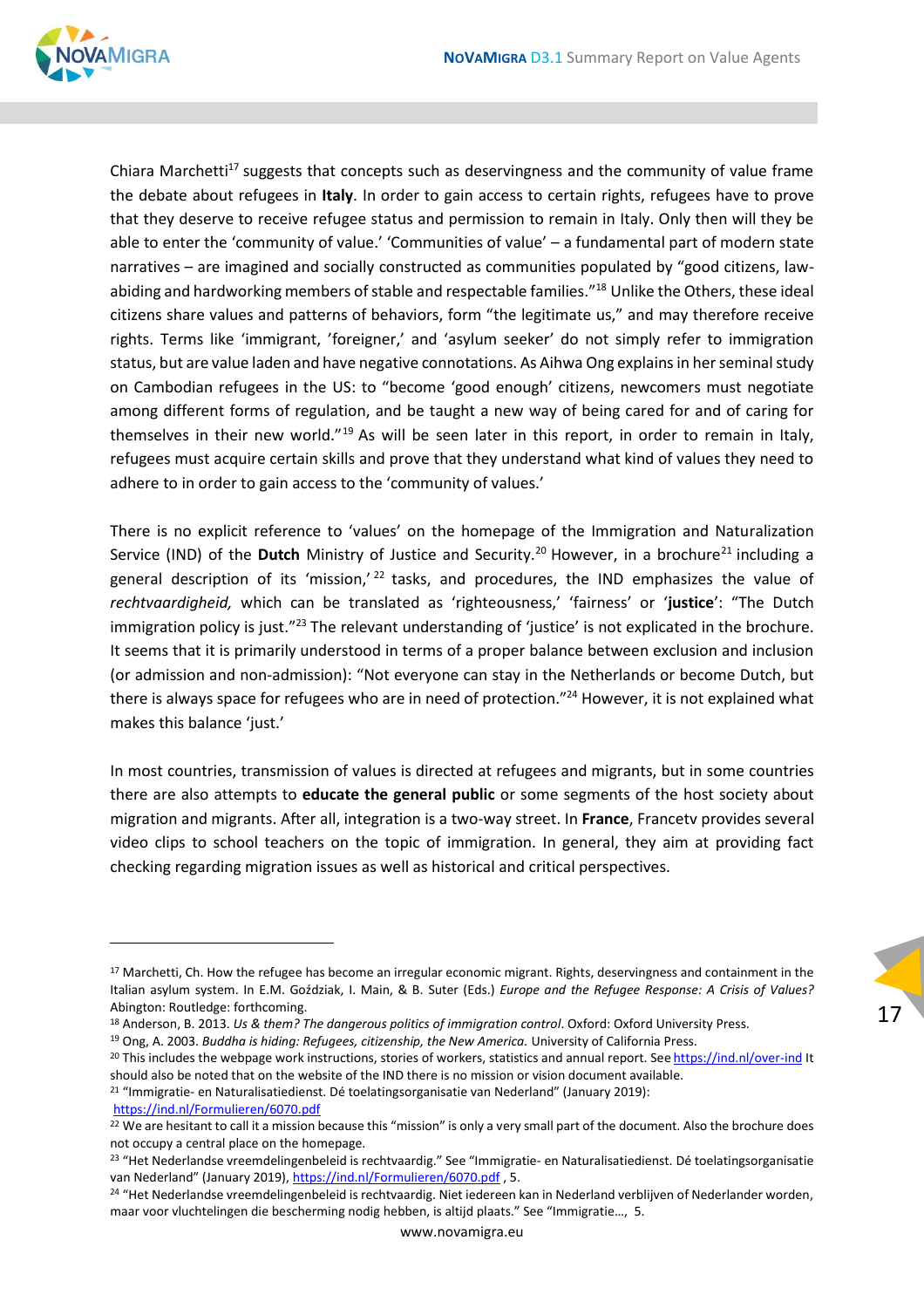

Chiara Marchetti<sup>17</sup> suggests that concepts such as deservingness and the community of value frame the debate about refugees in **Italy**. In order to gain access to certain rights, refugees have to prove that they deserve to receive refugee status and permission to remain in Italy. Only then will they be able to enter the 'community of value.' 'Communities of value' – a fundamental part of modern state narratives – are imagined and socially constructed as communities populated by "good citizens, lawabiding and hardworking members of stable and respectable families."<sup>18</sup> Unlike the Others, these ideal citizens share values and patterns of behaviors, form "the legitimate us," and may therefore receive rights. Terms like 'immigrant, 'foreigner,' and 'asylum seeker' do not simply refer to immigration status, but are value laden and have negative connotations. As Aihwa Ong explains in her seminal study on Cambodian refugees in the US: to "become 'good enough' citizens, newcomers must negotiate among different forms of regulation, and be taught a new way of being cared for and of caring for themselves in their new world."<sup>19</sup> As will be seen later in this report, in order to remain in Italy, refugees must acquire certain skills and prove that they understand what kind of values they need to adhere to in order to gain access to the 'community of values.'

There is no explicit reference to 'values' on the homepage of the Immigration and Naturalization Service (IND) of the Dutch Ministry of Justice and Security.<sup>20</sup> However, in a brochure<sup>21</sup> including a general description of its 'mission,'  $22$  tasks, and procedures, the IND emphasizes the value of *rechtvaardigheid,* which can be translated as 'righteousness,' 'fairness' or '**justice**': "The Dutch immigration policy is just."<sup>23</sup> The relevant understanding of 'justice' is not explicated in the brochure. It seems that it is primarily understood in terms of a proper balance between exclusion and inclusion (or admission and non-admission): "Not everyone can stay in the Netherlands or become Dutch, but there is always space for refugees who are in need of protection."<sup>24</sup> However, it is not explained what makes this balance 'just.'

In most countries, transmission of values is directed at refugees and migrants, but in some countries there are also attempts to **educate the general public** or some segments of the host society about migration and migrants. After all, integration is a two-way street. In **France**, Francetv provides several video clips to school teachers on the topic of immigration. In general, they aim at providing fact checking regarding migration issues as well as historical and critical perspectives.

17

<sup>21</sup> "Immigratie- en Naturalisatiedienst. Dé toelatingsorganisatie van Nederland" (January 2019):

<https://ind.nl/Formulieren/6070.pdf>

<sup>&</sup>lt;sup>17</sup> Marchetti, Ch. How the refugee has become an irregular economic migrant. Rights, deservingness and containment in the Italian asylum system. In E.M. Goździak, I. Main, & B. Suter (Eds.) *Europe and the Refugee Response: A Crisis of Values?*  Abington: Routledge: forthcoming.

<sup>18</sup> Anderson, B. 2013. *Us & them? The dangerous politics of immigration control*. Oxford: Oxford University Press.

<sup>19</sup> Ong, A. 2003. *Buddha is hiding: Refugees, citizenship, the New America.* University of California Press.

<sup>&</sup>lt;sup>20</sup> This includes the webpage work instructions, stories of workers, statistics and annual report. See <https://ind.nl/over-ind> It should also be noted that on the website of the IND there is no mission or vision document available.

<sup>&</sup>lt;sup>22</sup> We are hesitant to call it a mission because this "mission" is only a very small part of the document. Also the brochure does not occupy a central place on the homepage.

<sup>&</sup>lt;sup>23</sup> "Het Nederlandse vreemdelingenbeleid is rechtvaardig." See "Immigratie- en Naturalisatiedienst. Dé toelatingsorganisatie van Nederland" (January 2019), <https://ind.nl/Formulieren/6070.pdf> , 5.

<sup>&</sup>lt;sup>24</sup> "Het Nederlandse vreemdelingenbeleid is rechtvaardig. Niet iedereen kan in Nederland verblijven of Nederlander worden, maar voor vluchtelingen die bescherming nodig hebben, is altijd plaats." See "Immigratie…, 5.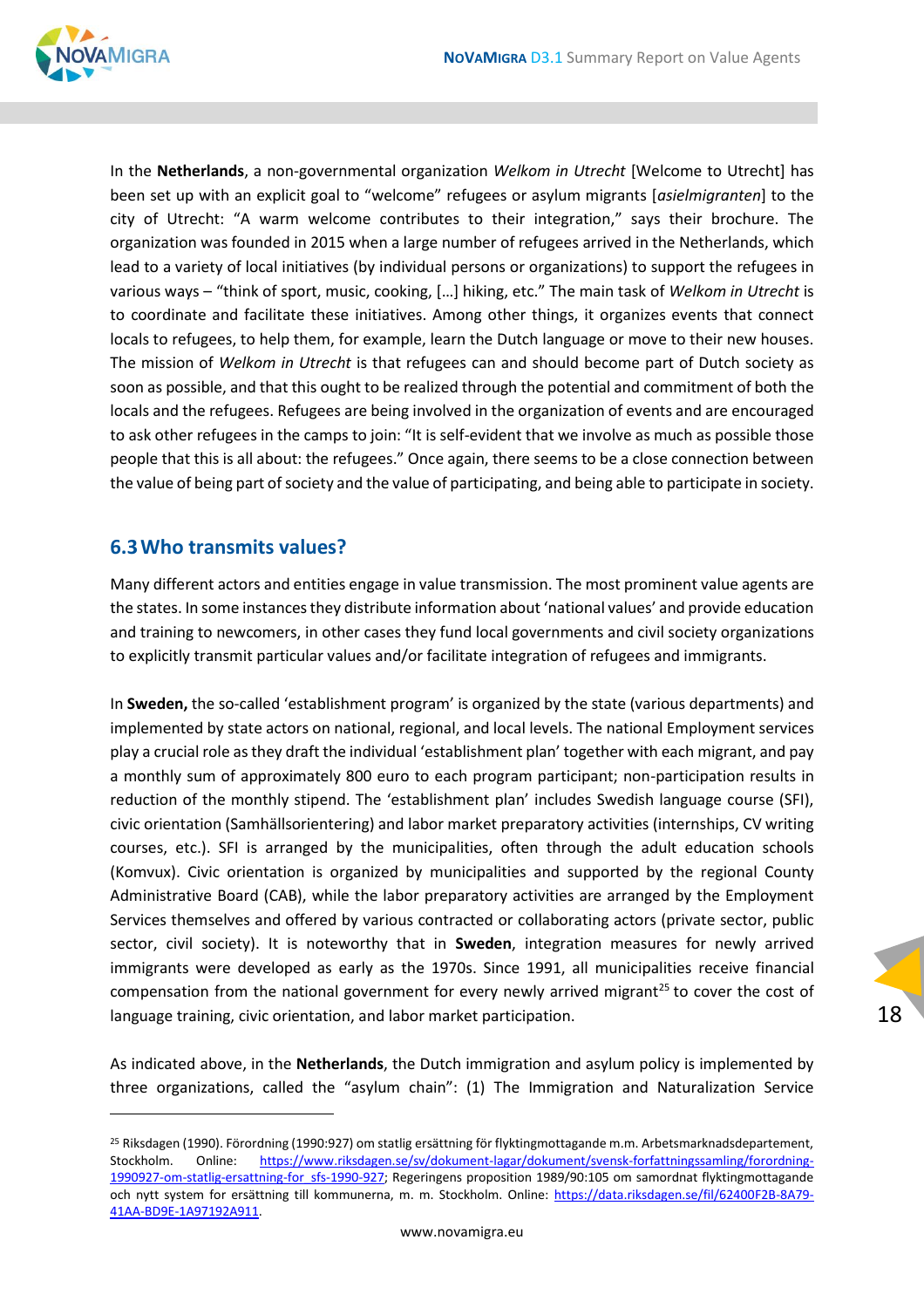

In the **Netherlands**, a non-governmental organization *Welkom in Utrecht* [Welcome to Utrecht] has been set up with an explicit goal to "welcome" refugees or asylum migrants [*asielmigranten*] to the city of Utrecht: "A warm welcome contributes to their integration," says their brochure. The organization was founded in 2015 when a large number of refugees arrived in the Netherlands, which lead to a variety of local initiatives (by individual persons or organizations) to support the refugees in various ways – "think of sport, music, cooking, […] hiking, etc." The main task of *Welkom in Utrecht* is to coordinate and facilitate these initiatives. Among other things, it organizes events that connect locals to refugees, to help them, for example, learn the Dutch language or move to their new houses. The mission of *Welkom in Utrecht* is that refugees can and should become part of Dutch society as soon as possible, and that this ought to be realized through the potential and commitment of both the locals and the refugees. Refugees are being involved in the organization of events and are encouraged to ask other refugees in the camps to join: "It is self-evident that we involve as much as possible those people that this is all about: the refugees." Once again, there seems to be a close connection between the value of being part of society and the value of participating, and being able to participate in society.

#### <span id="page-17-0"></span>**6.3Who transmits values?**

Many different actors and entities engage in value transmission. The most prominent value agents are the states. In some instances they distribute information about 'national values' and provide education and training to newcomers, in other cases they fund local governments and civil society organizations to explicitly transmit particular values and/or facilitate integration of refugees and immigrants.

In **Sweden,** the so-called 'establishment program' is organized by the state (various departments) and implemented by state actors on national, regional, and local levels. The national Employment services play a crucial role as they draft the individual 'establishment plan' together with each migrant, and pay a monthly sum of approximately 800 euro to each program participant; non-participation results in reduction of the monthly stipend. The 'establishment plan' includes Swedish language course (SFI), civic orientation (Samhällsorientering) and labor market preparatory activities (internships, CV writing courses, etc.). SFI is arranged by the municipalities, often through the adult education schools (Komvux). Civic orientation is organized by municipalities and supported by the regional County Administrative Board (CAB), while the labor preparatory activities are arranged by the Employment Services themselves and offered by various contracted or collaborating actors (private sector, public sector, civil society). It is noteworthy that in **Sweden**, integration measures for newly arrived immigrants were developed as early as the 1970s. Since 1991, all municipalities receive financial compensation from the national government for every newly arrived migrant<sup>25</sup> to cover the cost of language training, civic orientation, and labor market participation.

As indicated above, in the **Netherlands**, the Dutch immigration and asylum policy is implemented by three organizations, called the "asylum chain": (1) The Immigration and Naturalization Service

<sup>25</sup> Riksdagen (1990). Förordning (1990:927) om statlig ersättning för flyktingmottagande m.m. Arbetsmarknadsdepartement, Stockholm. Online: [https://www.riksdagen.se/sv/dokument-lagar/dokument/svensk-forfattningssamling/forordning-](https://www.riksdagen.se/sv/dokument-lagar/dokument/svensk-forfattningssamling/forordning-1990927-om-statlig-ersattning-for_sfs-1990-927)[1990927-om-statlig-ersattning-for\\_sfs-1990-927;](https://www.riksdagen.se/sv/dokument-lagar/dokument/svensk-forfattningssamling/forordning-1990927-om-statlig-ersattning-for_sfs-1990-927) Regeringens proposition 1989/90:105 om samordnat flyktingmottagande och nytt system for ersättning till kommunerna, m. m. Stockholm. Online: [https://data.riksdagen.se/fil/62400F2B-8A79-](https://data.riksdagen.se/fil/62400F2B-8A79-41AA-BD9E-1A97192A911) [41AA-BD9E-1A97192A911.](https://data.riksdagen.se/fil/62400F2B-8A79-41AA-BD9E-1A97192A911)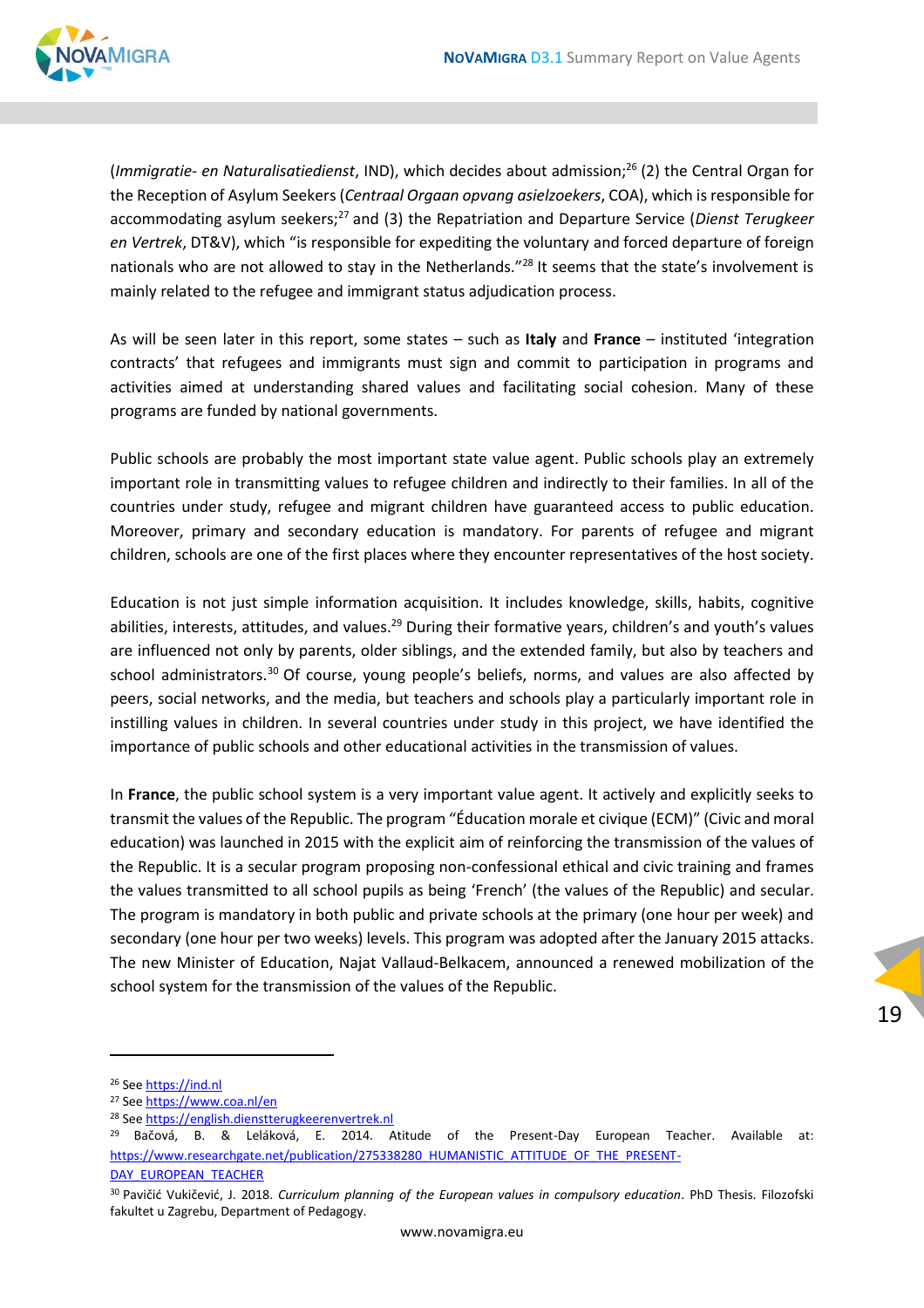

(*Immigratie- en Naturalisatiedienst*, IND), which decides about admission;<sup>26</sup> (2) the Central Organ for the Reception of Asylum Seekers (*Centraal Orgaan opvang asielzoekers*, COA), which is responsible for accommodating asylum seekers;<sup>27</sup> and (3) the Repatriation and Departure Service (*Dienst Terugkeer en Vertrek*, DT&V), which "is responsible for expediting the voluntary and forced departure of foreign nationals who are not allowed to stay in the Netherlands."<sup>28</sup> It seems that the state's involvement is mainly related to the refugee and immigrant status adjudication process.

As will be seen later in this report, some states – such as **Italy** and **France** – instituted 'integration contracts' that refugees and immigrants must sign and commit to participation in programs and activities aimed at understanding shared values and facilitating social cohesion. Many of these programs are funded by national governments.

Public schools are probably the most important state value agent. Public schools play an extremely important role in transmitting values to refugee children and indirectly to their families. In all of the countries under study, refugee and migrant children have guaranteed access to public education. Moreover, primary and secondary education is mandatory. For parents of refugee and migrant children, schools are one of the first places where they encounter representatives of the host society.

Education is not just simple information acquisition. It includes knowledge, skills, habits, cognitive abilities, interests, attitudes, and values.<sup>29</sup> During their formative years, children's and youth's values are influenced not only by parents, older siblings, and the extended family, but also by teachers and school administrators.<sup>30</sup> Of course, young people's beliefs, norms, and values are also affected by peers, social networks, and the media, but teachers and schools play a particularly important role in instilling values in children. In several countries under study in this project, we have identified the importance of public schools and other educational activities in the transmission of values.

In **France**, the public school system is a very important value agent. It actively and explicitly seeks to transmit the values of the Republic. The program "Éducation morale et civique (ECM)" (Civic and moral education) was launched in 2015 with the explicit aim of reinforcing the transmission of the values of the Republic. It is a secular program proposing non-confessional ethical and civic training and frames the values transmitted to all school pupils as being 'French' (the values of the Republic) and secular. The program is mandatory in both public and private schools at the primary (one hour per week) and secondary (one hour per two weeks) levels. This program was adopted after the January 2015 attacks. The new Minister of Education, Najat Vallaud-Belkacem, announced a renewed mobilization of the school system for the transmission of the values of the Republic.

<sup>&</sup>lt;sup>26</sup> See [https://ind.nl](https://ind.nl/)

<sup>27</sup> See<https://www.coa.nl/en>

<sup>&</sup>lt;sup>28</sup> See [https://english.dienstterugkeerenvertrek.nl](https://english.dienstterugkeerenvertrek.nl/)

 $29$  Bačová, B. & Leláková, E. 2014. Atitude of the Present-Day European Teacher. Available at: [https://www.researchgate.net/publication/275338280\\_HUMANISTIC\\_ATTITUDE\\_OF\\_THE\\_PRESENT-](https://www.researchgate.net/publication/275338280_HUMANISTIC_ATTITUDE_OF_THE_PRESENT-DAY_EUROPEAN_TEACHER)[DAY\\_EUROPEAN\\_TEACHER](https://www.researchgate.net/publication/275338280_HUMANISTIC_ATTITUDE_OF_THE_PRESENT-DAY_EUROPEAN_TEACHER)

<sup>30</sup> Pavičić Vukičević, J. 2018. *Curriculum planning of the European values in compulsory education*. PhD Thesis. Filozofski fakultet u Zagrebu, Department of Pedagogy.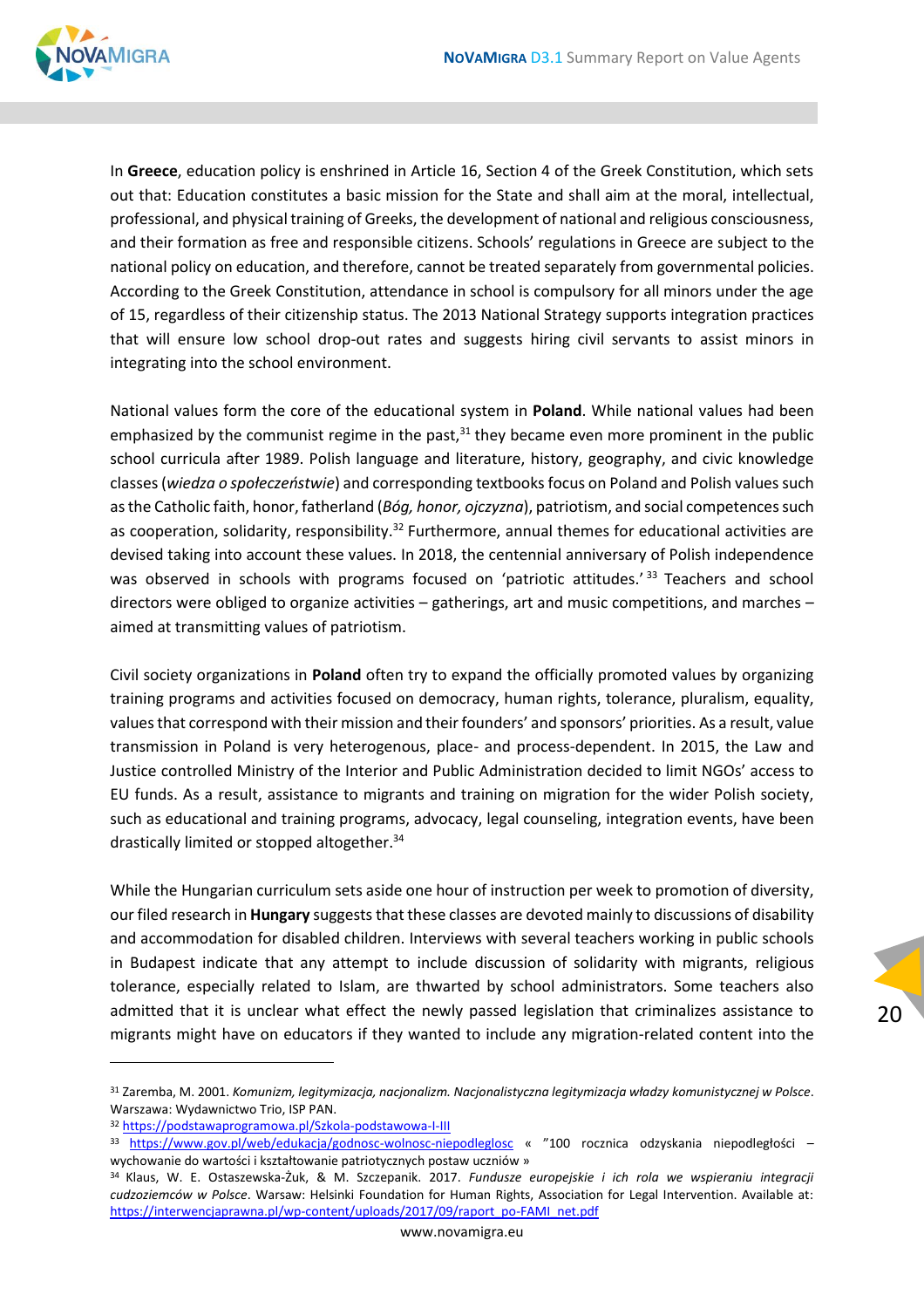

In **Greece**, education policy is enshrined in Article 16, Section 4 of the Greek Constitution, which sets out that: Education constitutes a basic mission for the State and shall aim at the moral, intellectual, professional, and physical training of Greeks, the development of national and religious consciousness, and their formation as free and responsible citizens. Schools' regulations in Greece are subject to the national policy on education, and therefore, cannot be treated separately from governmental policies. According to the Greek Constitution, attendance in school is compulsory for all minors under the age of 15, regardless of their citizenship status. The 2013 National Strategy supports integration practices that will ensure low school drop-out rates and suggests hiring civil servants to assist minors in integrating into the school environment.

National values form the core of the educational system in **Poland**. While national values had been emphasized by the communist regime in the past, $31$  they became even more prominent in the public school curricula after 1989. Polish language and literature, history, geography, and civic knowledge classes (*wiedza o społeczeństwie*) and corresponding textbooks focus on Poland and Polish values such as the Catholic faith, honor, fatherland (*Bóg, honor, ojczyzna*), patriotism, and social competences such as cooperation, solidarity, responsibility.<sup>32</sup> Furthermore, annual themes for educational activities are devised taking into account these values. In 2018, the centennial anniversary of Polish independence was observed in schools with programs focused on 'patriotic attitudes.' 33 Teachers and school directors were obliged to organize activities – gatherings, art and music competitions, and marches – aimed at transmitting values of patriotism.

Civil society organizations in **Poland** often try to expand the officially promoted values by organizing training programs and activities focused on democracy, human rights, tolerance, pluralism, equality, values that correspond with their mission and their founders' and sponsors' priorities. As a result, value transmission in Poland is very heterogenous, place- and process-dependent. In 2015, the Law and Justice controlled Ministry of the Interior and Public Administration decided to limit NGOs' access to EU funds. As a result, assistance to migrants and training on migration for the wider Polish society, such as educational and training programs, advocacy, legal counseling, integration events, have been drastically limited or stopped altogether.<sup>34</sup>

While the Hungarian curriculum sets aside one hour of instruction per week to promotion of diversity, our filed research in **Hungary** suggeststhat these classes are devoted mainly to discussions of disability and accommodation for disabled children. Interviews with several teachers working in public schools in Budapest indicate that any attempt to include discussion of solidarity with migrants, religious tolerance, especially related to Islam, are thwarted by school administrators. Some teachers also admitted that it is unclear what effect the newly passed legislation that criminalizes assistance to migrants might have on educators if they wanted to include any migration-related content into the

<sup>31</sup> Zaremba, M. 2001. *Komunizm, legitymizacja, nacjonalizm. Nacjonalistyczna legitymizacja władzy komunistycznej w Polsce*. Warszawa: Wydawnictwo Trio, ISP PAN.

<sup>32</sup> <https://podstawaprogramowa.pl/Szkola-podstawowa-I-III>

<sup>33</sup> <https://www.gov.pl/web/edukacja/godnosc-wolnosc-niepodleglosc> « "100 rocznica odzyskania niepodległości – wychowanie do wartości i kształtowanie patriotycznych postaw uczniów »

<sup>34</sup> Klaus, W. E. Ostaszewska-Żuk, & M. Szczepanik. 2017. *Fundusze europejskie i ich rola we wspieraniu integracji cudzoziemców w Polsce*. Warsaw: Helsinki Foundation for Human Rights, Association for Legal Intervention. Available at: [https://interwencjaprawna.pl/wp-content/uploads/2017/09/raport\\_po-FAMI\\_net.pdf](https://interwencjaprawna.pl/wp-content/uploads/2017/09/raport_po-FAMI_net.pdf)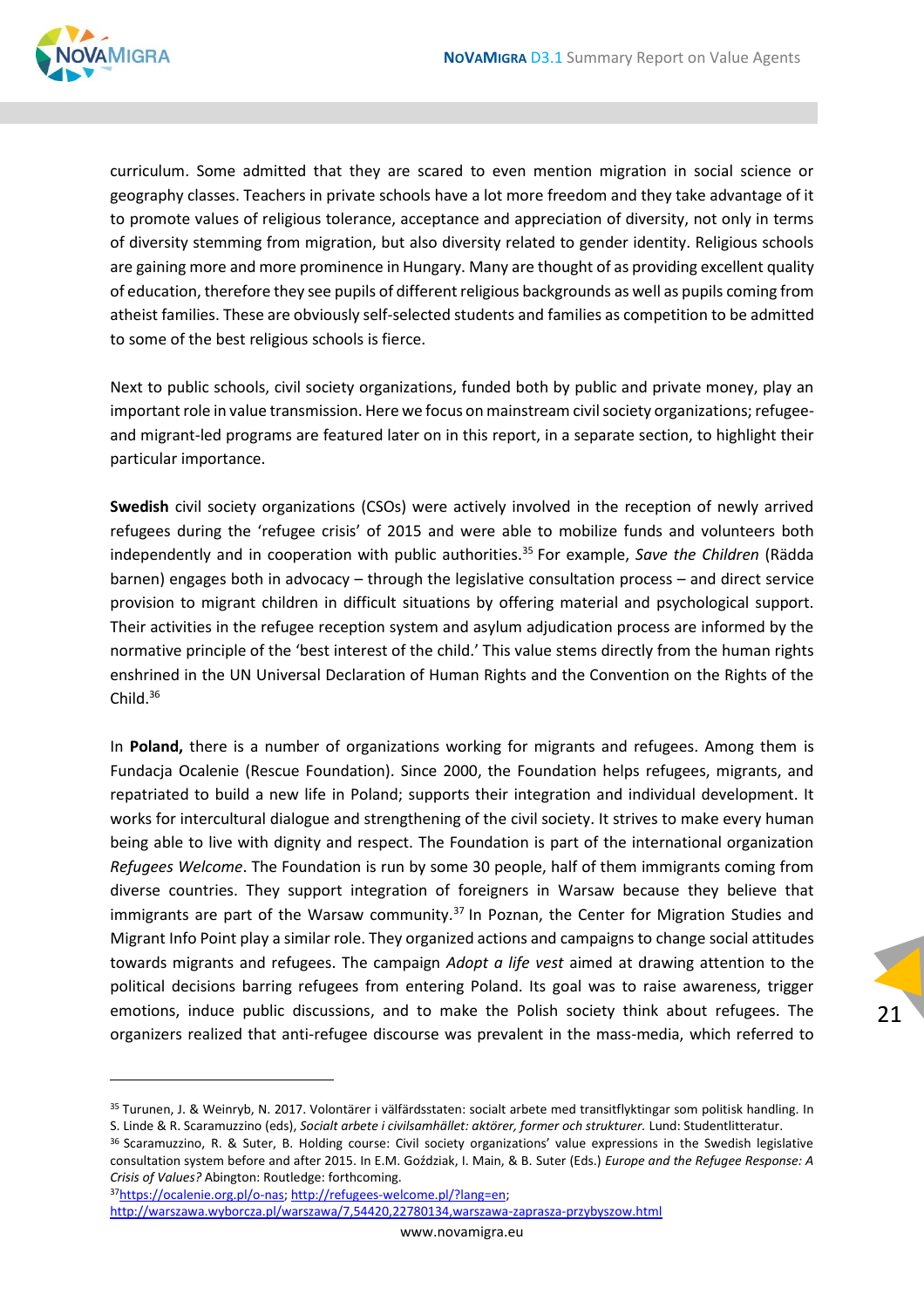

curriculum. Some admitted that they are scared to even mention migration in social science or geography classes. Teachers in private schools have a lot more freedom and they take advantage of it to promote values of religious tolerance, acceptance and appreciation of diversity, not only in terms of diversity stemming from migration, but also diversity related to gender identity. Religious schools are gaining more and more prominence in Hungary. Many are thought of as providing excellent quality of education, therefore they see pupils of different religious backgrounds as well as pupils coming from atheist families. These are obviously self-selected students and families as competition to be admitted to some of the best religious schools is fierce.

Next to public schools, civil society organizations, funded both by public and private money, play an important role in value transmission. Here we focus on mainstream civil society organizations; refugeeand migrant-led programs are featured later on in this report, in a separate section, to highlight their particular importance.

**Swedish** civil society organizations (CSOs) were actively involved in the reception of newly arrived refugees during the 'refugee crisis' of 2015 and were able to mobilize funds and volunteers both independently and in cooperation with public authorities.<sup>35</sup> For example, *Save the Children* (Rädda barnen) engages both in advocacy – through the legislative consultation process – and direct service provision to migrant children in difficult situations by offering material and psychological support. Their activities in the refugee reception system and asylum adjudication process are informed by the normative principle of the 'best interest of the child.' This value stems directly from the human rights enshrined in the UN Universal Declaration of Human Rights and the Convention on the Rights of the Child.<sup>36</sup>

In **Poland,** there is a number of organizations working for migrants and refugees. Among them is Fundacja Ocalenie (Rescue Foundation). Since 2000, the Foundation helps refugees, migrants, and repatriated to build a new life in Poland; supports their integration and individual development. It works for intercultural dialogue and strengthening of the civil society. It strives to make every human being able to live with dignity and respect. The Foundation is part of the international organization *Refugees Welcome*. The Foundation is run by some 30 people, half of them immigrants coming from diverse countries. They support integration of foreigners in Warsaw because they believe that immigrants are part of the Warsaw community. $37$  In Poznan, the Center for Migration Studies and Migrant Info Point play a similar role. They organized actions and campaigns to change social attitudes towards migrants and refugees. The campaign *Adopt a life vest* aimed at drawing attention to the political decisions barring refugees from entering Poland. Its goal was to raise awareness, trigger emotions, induce public discussions, and to make the Polish society think about refugees. The organizers realized that anti-refugee discourse was prevalent in the mass-media, which referred to

21

37[https://ocalenie.org.pl/o-nas;](https://ocalenie.org.pl/o-nas) [http://refugees-welcome.pl/?lang=en;](http://refugees-welcome.pl/?lang=en) <http://warszawa.wyborcza.pl/warszawa/7,54420,22780134,warszawa-zaprasza-przybyszow.html>

<sup>35</sup> Turunen, J. & Weinryb, N. 2017. Volontärer i välfärdsstaten: socialt arbete med transitflyktingar som politisk handling. In S. Linde & R. Scaramuzzino (eds), *Socialt arbete i civilsamhället: aktörer, former och strukturer.* Lund: Studentlitteratur.

<sup>36</sup> Scaramuzzino, R. & Suter, B. Holding course: Civil society organizations' value expressions in the Swedish legislative consultation system before and after 2015. In E.M. Goździak, I. Main, & B. Suter (Eds.) *Europe and the Refugee Response: A Crisis of Values?* Abington: Routledge: forthcoming.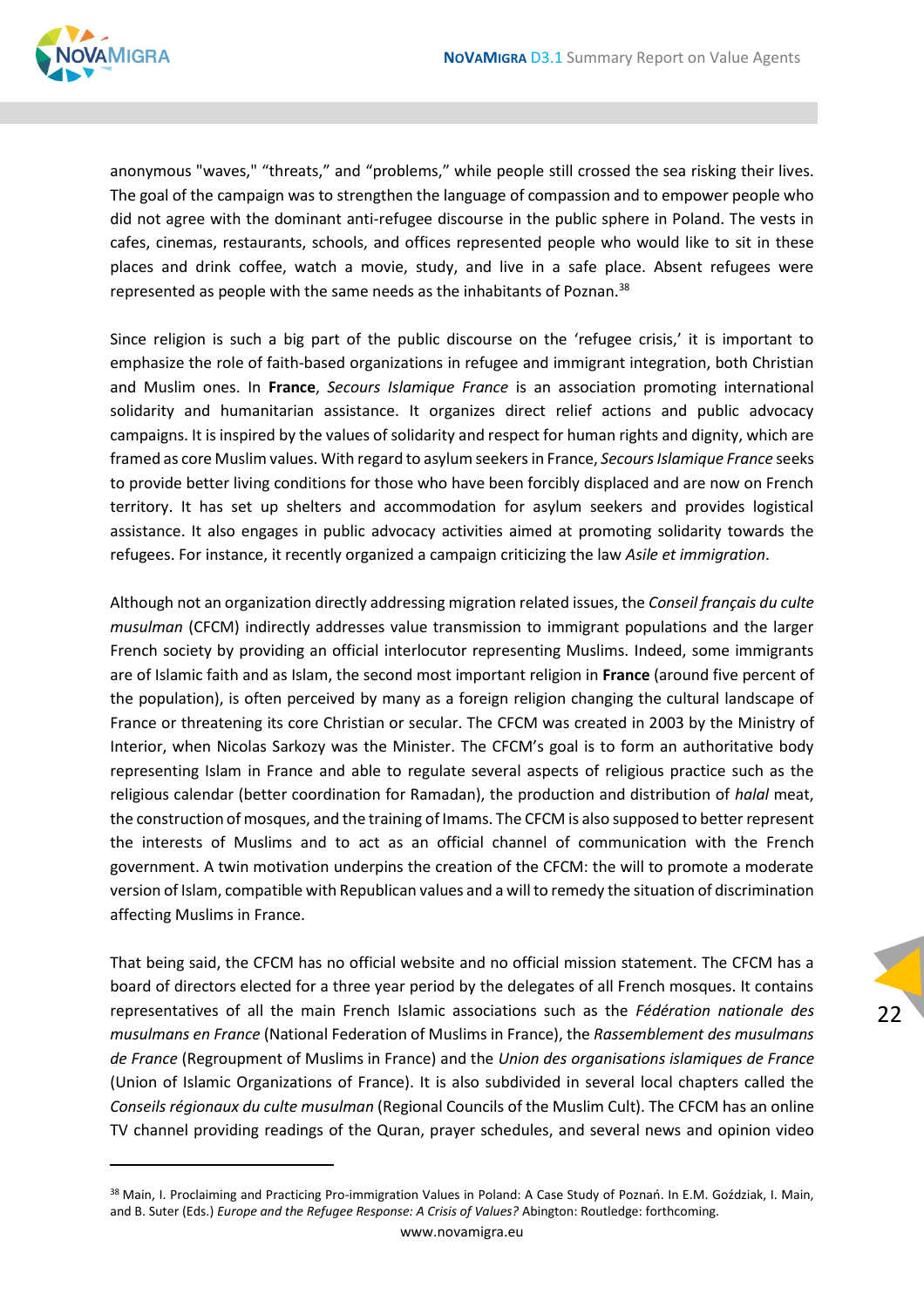

anonymous "waves," "threats," and "problems," while people still crossed the sea risking their lives. The goal of the campaign was to strengthen the language of compassion and to empower people who did not agree with the dominant anti-refugee discourse in the public sphere in Poland. The vests in cafes, cinemas, restaurants, schools, and offices represented people who would like to sit in these places and drink coffee, watch a movie, study, and live in a safe place. Absent refugees were represented as people with the same needs as the inhabitants of Poznan.<sup>38</sup>

Since religion is such a big part of the public discourse on the 'refugee crisis,' it is important to emphasize the role of faith-based organizations in refugee and immigrant integration, both Christian and Muslim ones. In **France**, *Secours Islamique France* is an association promoting international solidarity and humanitarian assistance. It organizes direct relief actions and public advocacy campaigns. It is inspired by the values of solidarity and respect for human rights and dignity, which are framed as core Muslim values. With regard to asylum seekers in France, *Secours Islamique France* seeks to provide better living conditions for those who have been forcibly displaced and are now on French territory. It has set up shelters and accommodation for asylum seekers and provides logistical assistance. It also engages in public advocacy activities aimed at promoting solidarity towards the refugees. For instance, it recently organized a campaign criticizing the law *Asile et immigration*.

Although not an organization directly addressing migration related issues, the *Conseil français du culte musulman* (CFCM) indirectly addresses value transmission to immigrant populations and the larger French society by providing an official interlocutor representing Muslims. Indeed, some immigrants are of Islamic faith and as Islam, the second most important religion in **France** (around five percent of the population), is often perceived by many as a foreign religion changing the cultural landscape of France or threatening its core Christian or secular. The CFCM was created in 2003 by the Ministry of Interior, when Nicolas Sarkozy was the Minister. The CFCM's goal is to form an authoritative body representing Islam in France and able to regulate several aspects of religious practice such as the religious calendar (better coordination for Ramadan), the production and distribution of *halal* meat, the construction of mosques, and the training of Imams. The CFCM is also supposed to better represent the interests of Muslims and to act as an official channel of communication with the French government. A twin motivation underpins the creation of the CFCM: the will to promote a moderate version of Islam, compatible with Republican values and a will to remedy the situation of discrimination affecting Muslims in France.

That being said, the CFCM has no official website and no official mission statement. The CFCM has a board of directors elected for a three year period by the delegates of all French mosques. It contains representatives of all the main French Islamic associations such as the *Fédération nationale des musulmans en France* (National Federation of Muslims in France), the *Rassemblement des musulmans de France* (Regroupment of Muslims in France) and the *Union des organisations islamiques de France* (Union of Islamic Organizations of France). It is also subdivided in several local chapters called the *Conseils régionaux du culte musulman* (Regional Councils of the Muslim Cult). The CFCM has an online TV channel providing readings of the Quran, prayer schedules, and several news and opinion video

<sup>38</sup> Main, I. Proclaiming and Practicing Pro-immigration Values in Poland: A Case Study of Poznań. In E.M. Goździak, I. Main, and B. Suter (Eds.) *Europe and the Refugee Response: A Crisis of Values?* Abington: Routledge: forthcoming.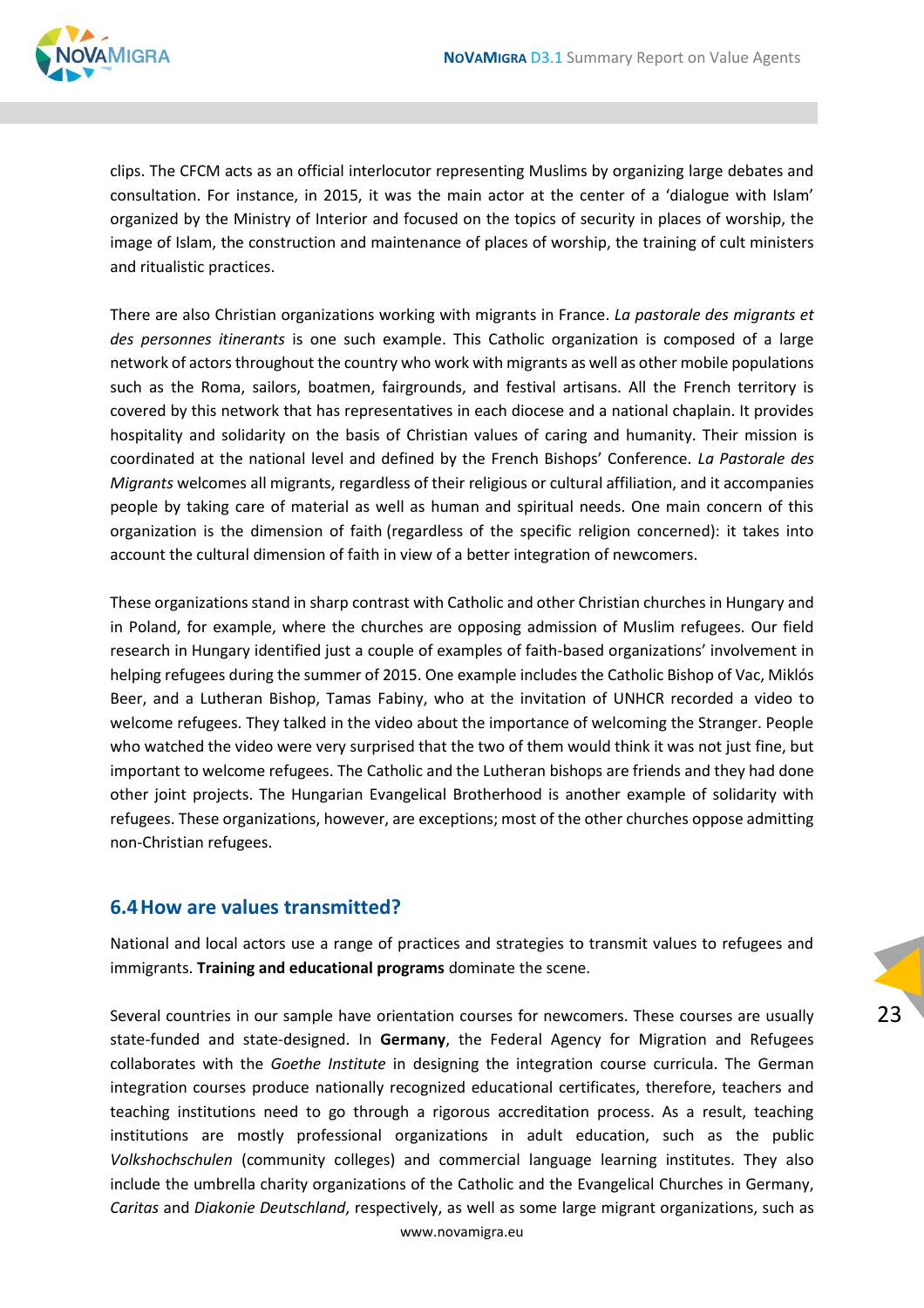

clips. The CFCM acts as an official interlocutor representing Muslims by organizing large debates and consultation. For instance, in 2015, it was the main actor at the center of a 'dialogue with Islam' organized by the Ministry of Interior and focused on the topics of security in places of worship, the image of Islam, the construction and maintenance of places of worship, the training of cult ministers and ritualistic practices.

There are also Christian organizations working with migrants in France. *La pastorale des migrants et des personnes itinerants* is one such example. This Catholic organization is composed of a large network of actors throughout the country who work with migrants as well as other mobile populations such as the Roma, sailors, boatmen, fairgrounds, and festival artisans. All the French territory is covered by this network that has representatives in each diocese and a national chaplain. It provides hospitality and solidarity on the basis of Christian values of caring and humanity. Their mission is coordinated at the national level and defined by the French Bishops' Conference. *La Pastorale des Migrants* welcomes all migrants, regardless of their religious or cultural affiliation, and it accompanies people by taking care of material as well as human and spiritual needs. One main concern of this organization is the dimension of faith (regardless of the specific religion concerned): it takes into account the cultural dimension of faith in view of a better integration of newcomers.

These organizations stand in sharp contrast with Catholic and other Christian churches in Hungary and in Poland, for example, where the churches are opposing admission of Muslim refugees. Our field research in Hungary identified just a couple of examples of faith-based organizations' involvement in helping refugees during the summer of 2015. One example includes the Catholic Bishop of Vac, Miklós Beer, and a Lutheran Bishop, Tamas Fabiny, who at the invitation of UNHCR recorded a video to welcome refugees. They talked in the video about the importance of welcoming the Stranger. People who watched the video were very surprised that the two of them would think it was not just fine, but important to welcome refugees. The Catholic and the Lutheran bishops are friends and they had done other joint projects. The Hungarian Evangelical Brotherhood is another example of solidarity with refugees. These organizations, however, are exceptions; most of the other churches oppose admitting non-Christian refugees.

#### <span id="page-22-0"></span>**6.4How are values transmitted?**

National and local actors use a range of practices and strategies to transmit values to refugees and immigrants. **Training and educational programs** dominate the scene.

www.novamigra.eu Several countries in our sample have orientation courses for newcomers. These courses are usually state-funded and state-designed. In **Germany**, the Federal Agency for Migration and Refugees collaborates with the *Goethe Institute* in designing the integration course curricula. The German integration courses produce nationally recognized educational certificates, therefore, teachers and teaching institutions need to go through a rigorous accreditation process. As a result, teaching institutions are mostly professional organizations in adult education, such as the public *Volkshochschulen* (community colleges) and commercial language learning institutes. They also include the umbrella charity organizations of the Catholic and the Evangelical Churches in Germany, *Caritas* and *Diakonie Deutschland*, respectively, as well as some large migrant organizations, such as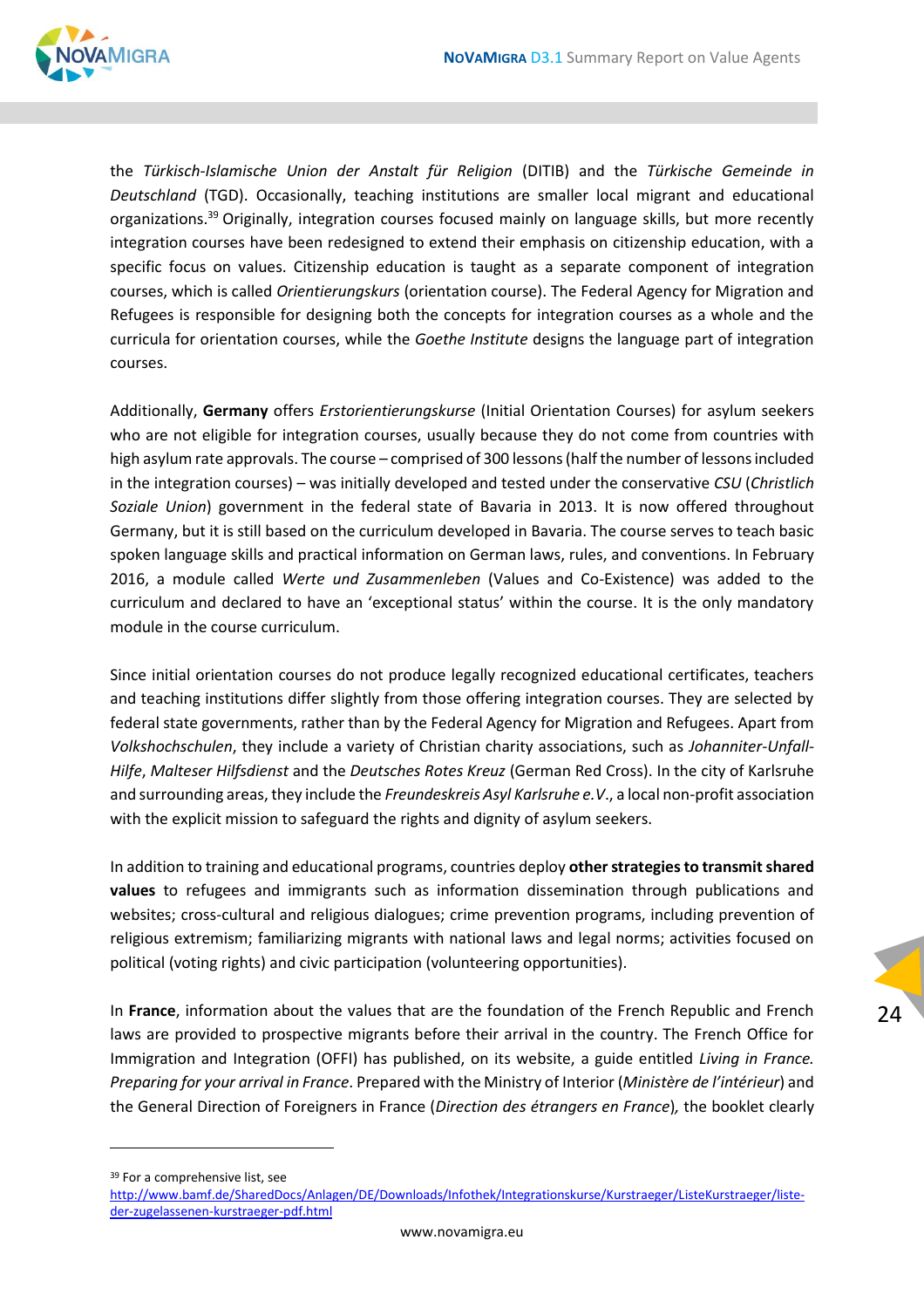

the *Türkisch-Islamische Union der Anstalt für Religion* (DITIB) and the *Türkische Gemeinde in Deutschland* (TGD). Occasionally, teaching institutions are smaller local migrant and educational organizations.<sup>39</sup> Originally, integration courses focused mainly on language skills, but more recently integration courses have been redesigned to extend their emphasis on citizenship education, with a specific focus on values. Citizenship education is taught as a separate component of integration courses, which is called *Orientierungskurs* (orientation course). The Federal Agency for Migration and Refugees is responsible for designing both the concepts for integration courses as a whole and the curricula for orientation courses, while the *Goethe Institute* designs the language part of integration courses.

Additionally, **Germany** offers *Erstorientierungskurse* (Initial Orientation Courses) for asylum seekers who are not eligible for integration courses, usually because they do not come from countries with high asylum rate approvals. The course – comprised of 300 lessons (half the number of lessons included in the integration courses) – was initially developed and tested under the conservative *CSU* (*Christlich Soziale Union*) government in the federal state of Bavaria in 2013. It is now offered throughout Germany, but it is still based on the curriculum developed in Bavaria. The course serves to teach basic spoken language skills and practical information on German laws, rules, and conventions. In February 2016, a module called *Werte und Zusammenleben* (Values and Co-Existence) was added to the curriculum and declared to have an 'exceptional status' within the course. It is the only mandatory module in the course curriculum.

Since initial orientation courses do not produce legally recognized educational certificates, teachers and teaching institutions differ slightly from those offering integration courses. They are selected by federal state governments, rather than by the Federal Agency for Migration and Refugees. Apart from *Volkshochschulen*, they include a variety of Christian charity associations, such as *Johanniter-Unfall-Hilfe*, *Malteser Hilfsdienst* and the *Deutsches Rotes Kreuz* (German Red Cross). In the city of Karlsruhe and surrounding areas, they include the *Freundeskreis Asyl Karlsruhe e.V*., a local non-profit association with the explicit mission to safeguard the rights and dignity of asylum seekers.

In addition to training and educational programs, countries deploy **other strategies to transmit shared values** to refugees and immigrants such as information dissemination through publications and websites; cross-cultural and religious dialogues; crime prevention programs, including prevention of religious extremism; familiarizing migrants with national laws and legal norms; activities focused on political (voting rights) and civic participation (volunteering opportunities).

In **France**, information about the values that are the foundation of the French Republic and French laws are provided to prospective migrants before their arrival in the country. The French Office for Immigration and Integration (OFFI) has published, on its website, a guide entitled *Living in France. Preparing for your arrival in France*. Prepared with the Ministry of Interior (*Ministère de l'intérieur*) and the General Direction of Foreigners in France (*Direction des étrangers en France*)*,* the booklet clearly

24

<sup>39</sup> For a comprehensive list, see

[http://www.bamf.de/SharedDocs/Anlagen/DE/Downloads/Infothek/Integrationskurse/Kurstraeger/ListeKurstraeger/liste](http://www.bamf.de/SharedDocs/Anlagen/DE/Downloads/Infothek/Integrationskurse/Kurstraeger/ListeKurstraeger/liste-der-zugelassenen-kurstraeger-pdf.html)[der-zugelassenen-kurstraeger-pdf.html](http://www.bamf.de/SharedDocs/Anlagen/DE/Downloads/Infothek/Integrationskurse/Kurstraeger/ListeKurstraeger/liste-der-zugelassenen-kurstraeger-pdf.html)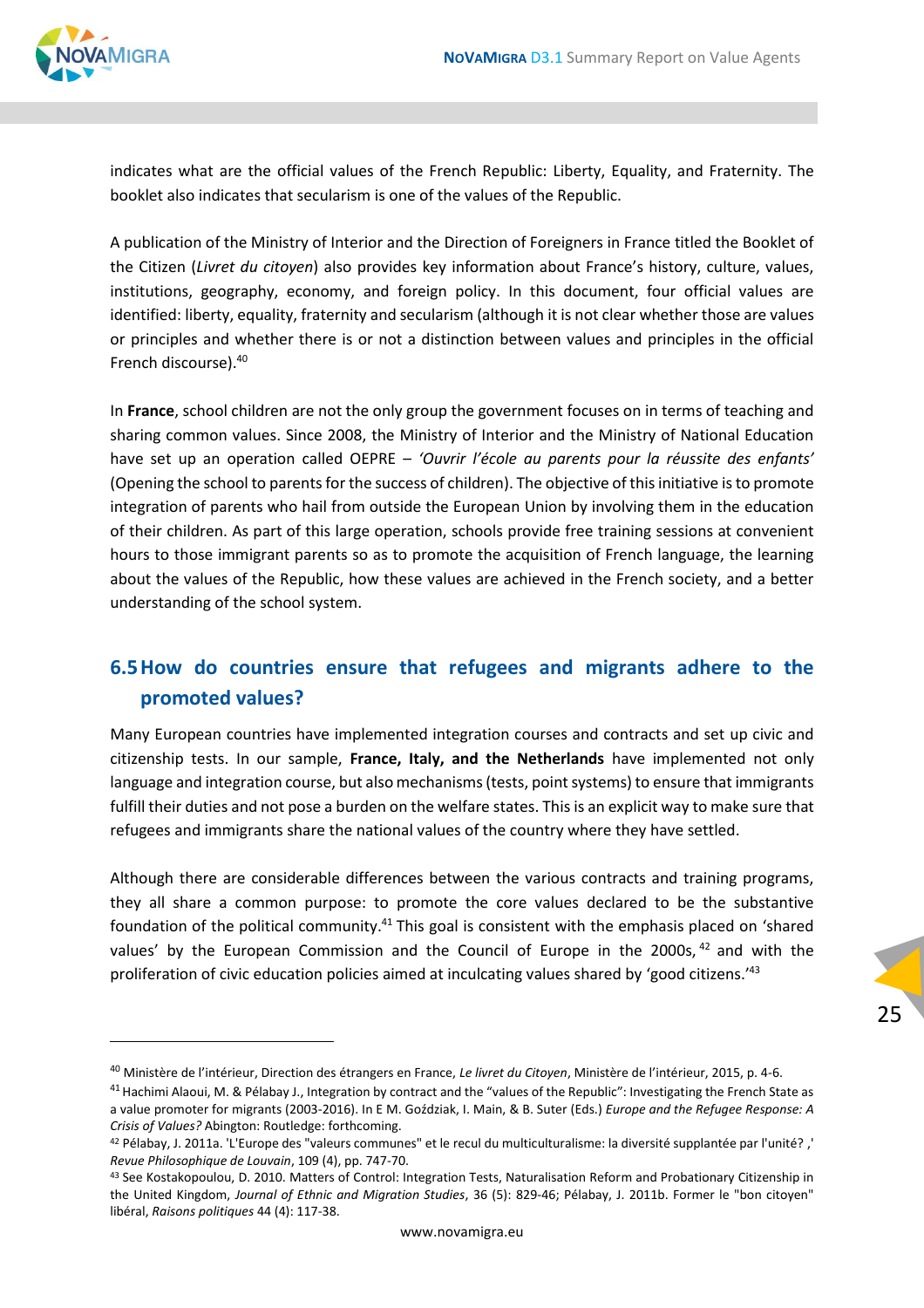

indicates what are the official values of the French Republic: Liberty, Equality, and Fraternity. The booklet also indicates that secularism is one of the values of the Republic.

A publication of the Ministry of Interior and the Direction of Foreigners in France titled the Booklet of the Citizen (*Livret du citoyen*) also provides key information about France's history, culture, values, institutions, geography, economy, and foreign policy. In this document, four official values are identified: liberty, equality, fraternity and secularism (although it is not clear whether those are values or principles and whether there is or not a distinction between values and principles in the official French discourse).<sup>40</sup>

In **France**, school children are not the only group the government focuses on in terms of teaching and sharing common values. Since 2008, the Ministry of Interior and the Ministry of National Education have set up an operation called OEPRE – *'Ouvrir l'école au parents pour la réussite des enfants'* (Opening the school to parents for the success of children). The objective of this initiative is to promote integration of parents who hail from outside the European Union by involving them in the education of their children. As part of this large operation, schools provide free training sessions at convenient hours to those immigrant parents so as to promote the acquisition of French language, the learning about the values of the Republic, how these values are achieved in the French society, and a better understanding of the school system.

#### <span id="page-24-0"></span>**6.5How do countries ensure that refugees and migrants adhere to the promoted values?**

Many European countries have implemented integration courses and contracts and set up civic and citizenship tests. In our sample, **France, Italy, and the Netherlands** have implemented not only language and integration course, but also mechanisms (tests, point systems) to ensure that immigrants fulfill their duties and not pose a burden on the welfare states. This is an explicit way to make sure that refugees and immigrants share the national values of the country where they have settled.

Although there are considerable differences between the various contracts and training programs, they all share a common purpose: to promote the core values declared to be the substantive foundation of the political community.<sup>41</sup> This goal is consistent with the emphasis placed on 'shared values' by the European Commission and the Council of Europe in the 2000s,  $42$  and with the proliferation of civic education policies aimed at inculcating values shared by 'good citizens.'<sup>43</sup>

<sup>40</sup> Ministère de l'intérieur, Direction des étrangers en France, *Le livret du Citoyen*, Ministère de l'intérieur, 2015, p. 4-6.

<sup>&</sup>lt;sup>41</sup> Hachimi Alaoui, M. & Pélabay J., Integration by contract and the "values of the Republic": Investigating the French State as a value promoter for migrants (2003-2016). In E M. Goździak, I. Main, & B. Suter (Eds.) *Europe and the Refugee Response: A Crisis of Values?* Abington: Routledge: forthcoming.

<sup>42</sup> Pélabay, J. 2011a. 'L'Europe des "valeurs communes" et le recul du multiculturalisme: la diversité supplantée par l'unité? ,' *Revue Philosophique de Louvain*, 109 (4), pp. 747-70.

<sup>43</sup> See Kostakopoulou, D. 2010. Matters of Control: Integration Tests, Naturalisation Reform and Probationary Citizenship in the United Kingdom, *Journal of Ethnic and Migration Studies*, 36 (5): 829-46; Pélabay, J. 2011b. Former le "bon citoyen" libéral, *Raisons politiques* 44 (4): 117-38.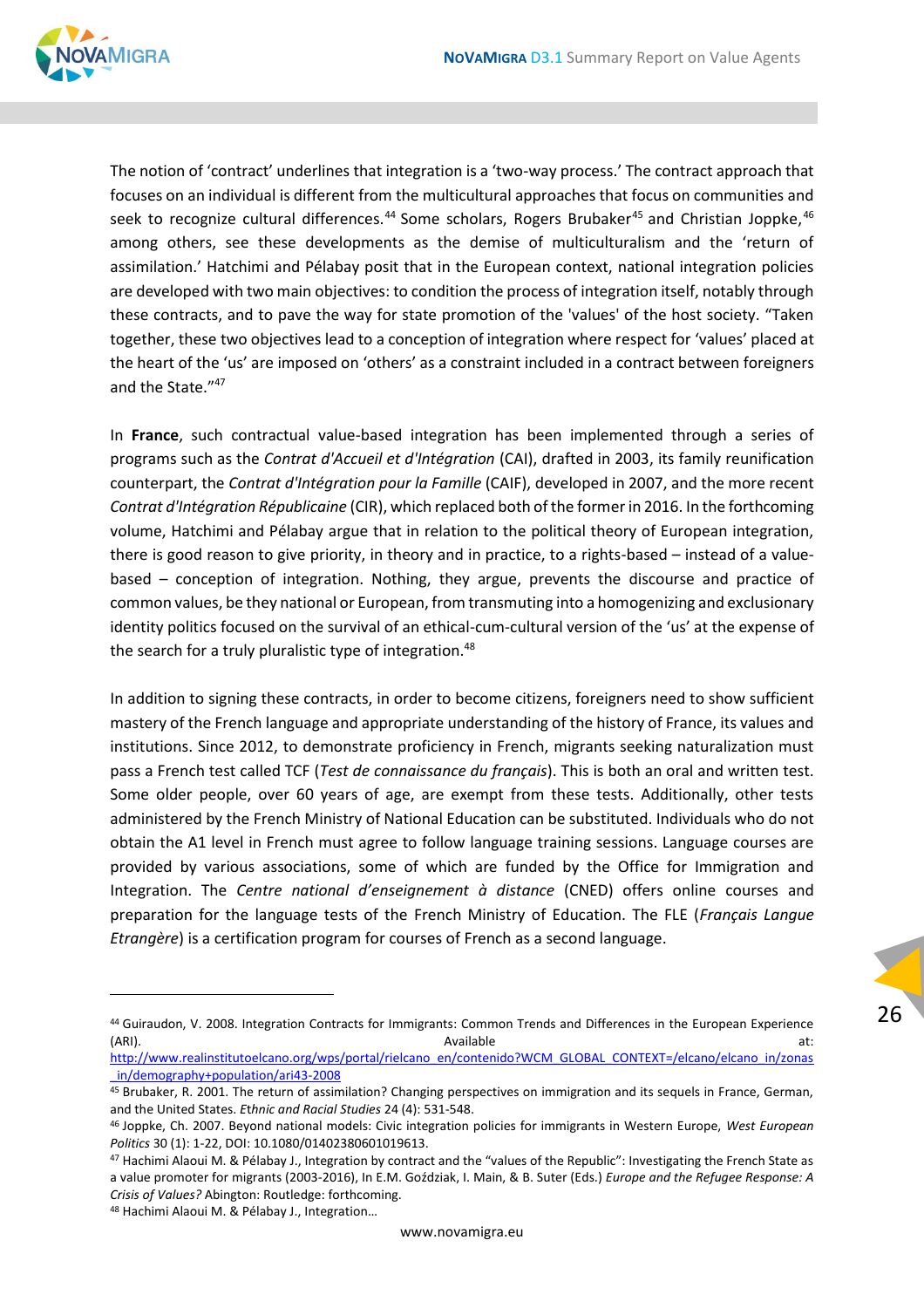

The notion of 'contract' underlines that integration is a 'two-way process.' The contract approach that focuses on an individual is different from the multicultural approaches that focus on communities and seek to recognize cultural differences.<sup>44</sup> Some scholars, Rogers Brubaker<sup>45</sup> and Christian Joppke,<sup>46</sup> among others, see these developments as the demise of multiculturalism and the 'return of assimilation.' Hatchimi and Pélabay posit that in the European context, national integration policies are developed with two main objectives: to condition the process of integration itself, notably through these contracts, and to pave the way for state promotion of the 'values' of the host society. "Taken together, these two objectives lead to a conception of integration where respect for 'values' placed at the heart of the 'us' are imposed on 'others' as a constraint included in a contract between foreigners and the State."47

In **France**, such contractual value-based integration has been implemented through a series of programs such as the *Contrat d'Accueil et d'Intégration* (CAI), drafted in 2003, its family reunification counterpart, the *Contrat d'Intégration pour la Famille* (CAIF), developed in 2007, and the more recent *Contrat d'Intégration Républicaine* (CIR), which replaced both of the former in 2016. In the forthcoming volume, Hatchimi and Pélabay argue that in relation to the political theory of European integration, there is good reason to give priority, in theory and in practice, to a rights-based – instead of a valuebased – conception of integration. Nothing, they argue, prevents the discourse and practice of common values, be they national or European, from transmuting into a homogenizing and exclusionary identity politics focused on the survival of an ethical-cum-cultural version of the 'us' at the expense of the search for a truly pluralistic type of integration.<sup>48</sup>

In addition to signing these contracts, in order to become citizens, foreigners need to show sufficient mastery of the French language and appropriate understanding of the history of France, its values and institutions. Since 2012, to demonstrate proficiency in French, migrants seeking naturalization must pass a French test called TCF (*Test de connaissance du français*). This is both an oral and written test. Some older people, over 60 years of age, are exempt from these tests. Additionally, other tests administered by the French Ministry of National Education can be substituted. Individuals who do not obtain the A1 level in French must agree to follow language training sessions. Language courses are provided by various associations, some of which are funded by the Office for Immigration and Integration. The *Centre national d'enseignement à distance* (CNED) offers online courses and preparation for the language tests of the French Ministry of Education. The FLE (*Français Langue Etrangère*) is a certification program for courses of French as a second language.

<sup>44</sup> Guiraudon, V. 2008. Integration Contracts for Immigrants: Common Trends and Differences in the European Experience (ARI). Available at:

[http://www.realinstitutoelcano.org/wps/portal/rielcano\\_en/contenido?WCM\\_GLOBAL\\_CONTEXT=/elcano/elcano\\_in/zonas](http://www.realinstitutoelcano.org/wps/portal/rielcano_en/contenido?WCM_GLOBAL_CONTEXT=/elcano/elcano_in/zonas_in/demography+population/ari43-2008) [\\_in/demography+population/ari43-2008](http://www.realinstitutoelcano.org/wps/portal/rielcano_en/contenido?WCM_GLOBAL_CONTEXT=/elcano/elcano_in/zonas_in/demography+population/ari43-2008)

<sup>45</sup> Brubaker, R. 2001. The return of assimilation? Changing perspectives on immigration and its sequels in France, German, and the United States. *E*t*hnic and Racial Studies* 24 (4): 531-548.

<sup>46</sup> Joppke, Ch. 2007. Beyond national models: Civic integration policies for immigrants in Western Europe, *West European Politics* 30 (1): 1-22, DOI: 10.1080/01402380601019613.

<sup>47</sup> Hachimi Alaoui M. & Pélabay J., Integration by contract and the "values of the Republic": Investigating the French State as a value promoter for migrants (2003-2016), In E.M. Goździak, I. Main, & B. Suter (Eds.) *Europe and the Refugee Response: A Crisis of Values?* Abington: Routledge: forthcoming.

<sup>48</sup> Hachimi Alaoui M. & Pélabay J., Integration…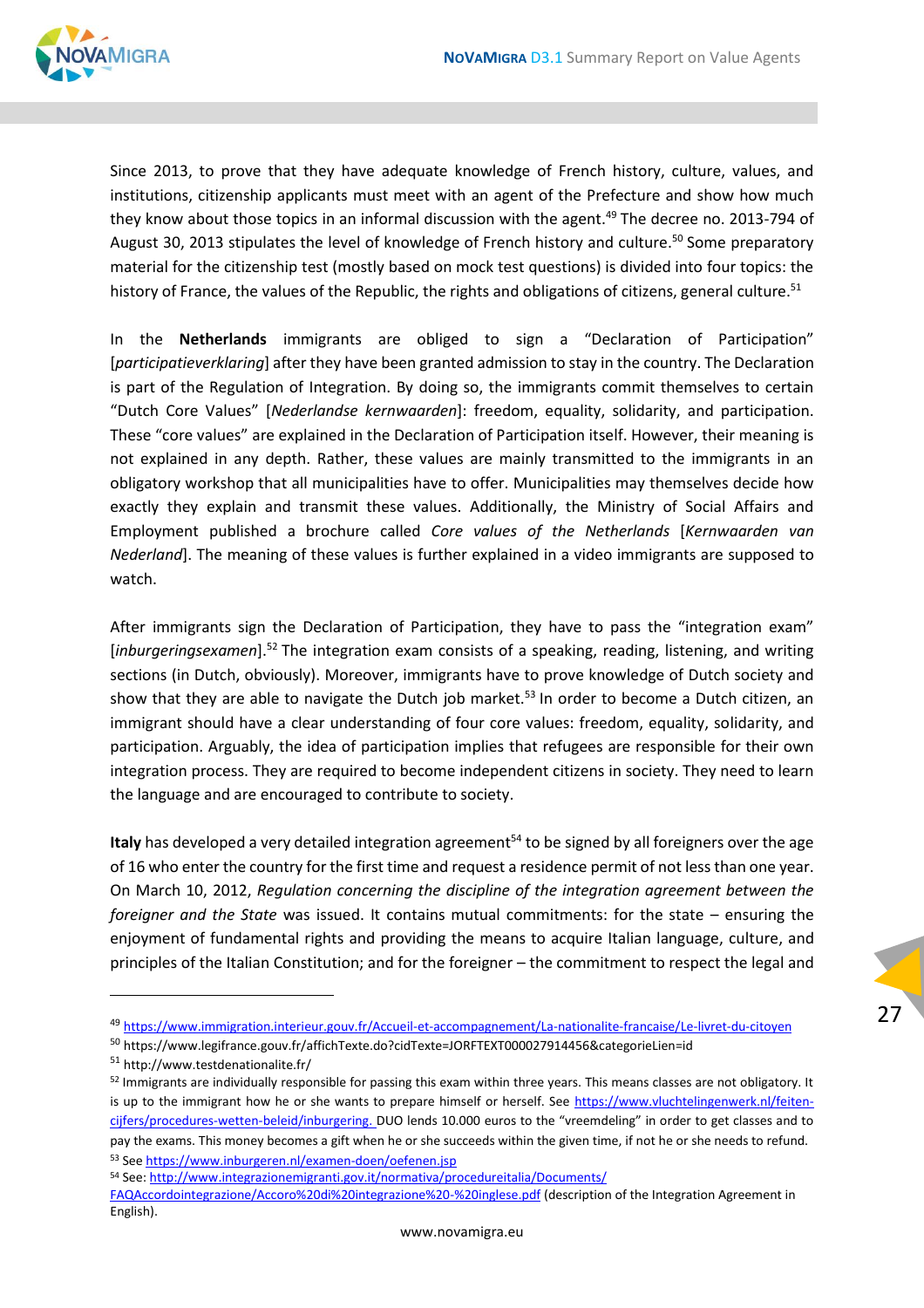

Since 2013, to prove that they have adequate knowledge of French history, culture, values, and institutions, citizenship applicants must meet with an agent of the Prefecture and show how much they know about those topics in an informal discussion with the agent.<sup>49</sup> The decree no. 2013-794 of August 30, 2013 stipulates the level of knowledge of French history and culture.<sup>50</sup> Some preparatory material for the citizenship test (mostly based on mock test questions) is divided into four topics: the history of France, the values of the Republic, the rights and obligations of citizens, general culture.<sup>51</sup>

In the **Netherlands** immigrants are obliged to sign a "Declaration of Participation" [*participatieverklaring*] after they have been granted admission to stay in the country. The Declaration is part of the Regulation of Integration. By doing so, the immigrants commit themselves to certain "Dutch Core Values" [*Nederlandse kernwaarden*]: freedom, equality, solidarity, and participation. These "core values" are explained in the Declaration of Participation itself. However, their meaning is not explained in any depth. Rather, these values are mainly transmitted to the immigrants in an obligatory workshop that all municipalities have to offer. Municipalities may themselves decide how exactly they explain and transmit these values. Additionally, the Ministry of Social Affairs and Employment published a brochure called *Core values of the Netherlands* [*Kernwaarden van Nederland*]. The meaning of these values is further explained in a video immigrants are supposed to watch.

After immigrants sign the Declaration of Participation, they have to pass the "integration exam" [inburgeringsexamen].<sup>52</sup> The integration exam consists of a speaking, reading, listening, and writing sections (in Dutch, obviously). Moreover, immigrants have to prove knowledge of Dutch society and show that they are able to navigate the Dutch job market.<sup>53</sup> In order to become a Dutch citizen, an immigrant should have a clear understanding of four core values: freedom, equality, solidarity, and participation. Arguably, the idea of participation implies that refugees are responsible for their own integration process. They are required to become independent citizens in society. They need to learn the language and are encouraged to contribute to society.

Italy has developed a very detailed integration agreement<sup>54</sup> to be signed by all foreigners over the age of 16 who enter the country for the first time and request a residence permit of not less than one year. On March 10, 2012, *Regulation concerning the discipline of the integration agreement between the foreigner and the State* was issued. It contains mutual commitments: for the state – ensuring the enjoyment of fundamental rights and providing the means to acquire Italian language, culture, and principles of the Italian Constitution; and for the foreigner – the commitment to respect the legal and

27

<sup>54</sup> See[: http://www.integrazionemigranti.gov.it/normativa/procedureitalia/Documents/](http://www.integrazionemigranti.gov.it/normativa/procedureitalia/Documents/%20FAQAccordointegrazione/Accoro%20di%20integrazione%20-%20inglese.pdf) 

<sup>49</sup> <https://www.immigration.interieur.gouv.fr/Accueil-et-accompagnement/La-nationalite-francaise/Le-livret-du-citoyen>

<sup>50</sup> <https://www.legifrance.gouv.fr/affichTexte.do?cidTexte=JORFTEXT000027914456&categorieLien=id>

<sup>51</sup> <http://www.testdenationalite.fr/>

<sup>52</sup> Immigrants are individually responsible for passing this exam within three years. This means classes are not obligatory. It is up to the immigrant how he or she wants to prepare himself or herself. See [https://www.vluchtelingenwerk.nl/feiten](https://www.vluchtelingenwerk.nl/feiten-cijfers/procedures-wetten-beleid/inburgering)[cijfers/procedures-wetten-beleid/inburgering.](https://www.vluchtelingenwerk.nl/feiten-cijfers/procedures-wetten-beleid/inburgering) DUO lends 10.000 euros to the "vreemdeling" in order to get classes and to pay the exams. This money becomes a gift when he or she succeeds within the given time, if not he or she needs to refund. <sup>53</sup> See<https://www.inburgeren.nl/examen-doen/oefenen.jsp>

[FAQAccordointegrazione/Accoro%20di%20integrazione%20-%20inglese.pdf](http://www.integrazionemigranti.gov.it/normativa/procedureitalia/Documents/%20FAQAccordointegrazione/Accoro%20di%20integrazione%20-%20inglese.pdf) (description of the Integration Agreement in English).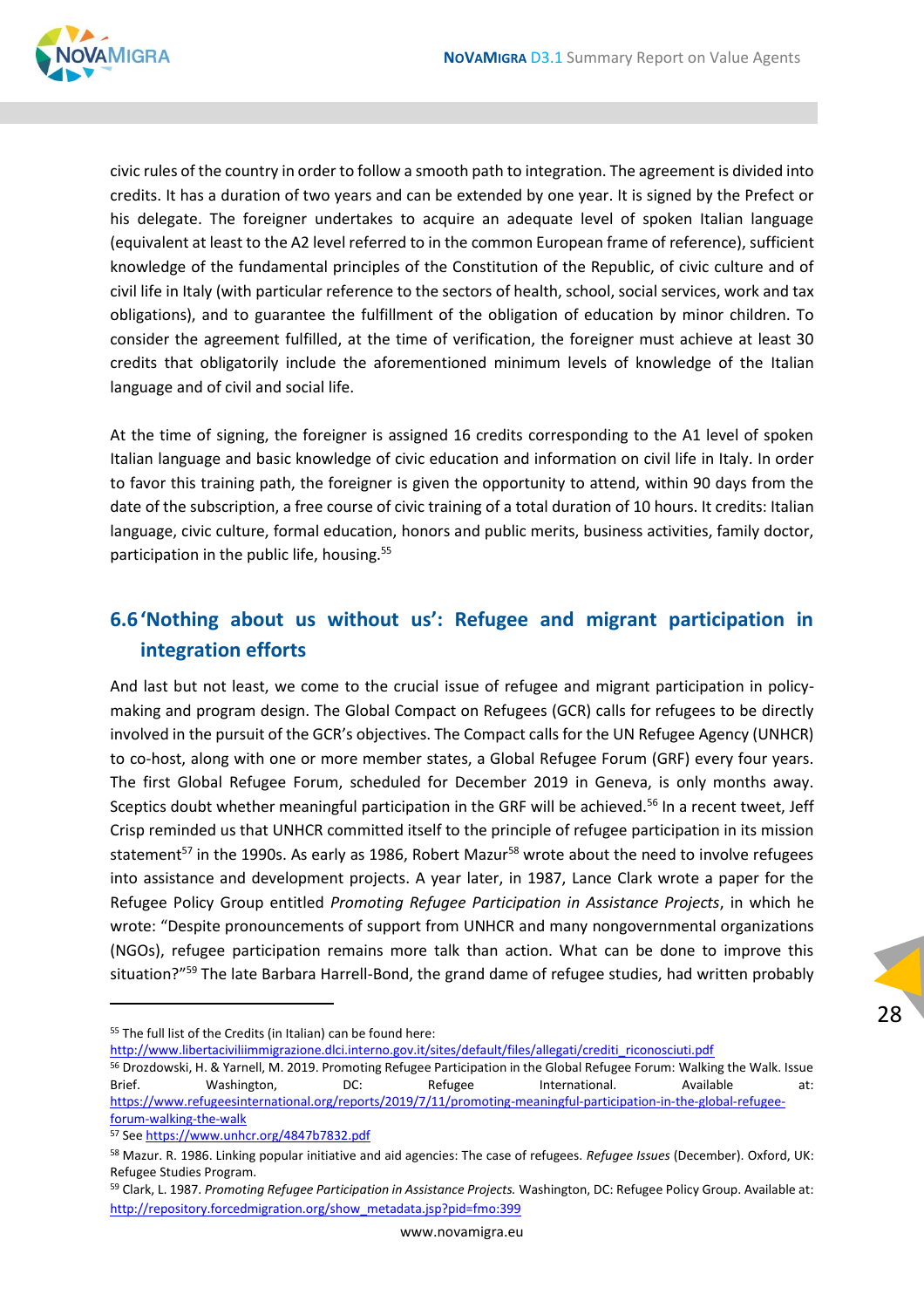

civic rules of the country in order to follow a smooth path to integration. The agreement is divided into credits. It has a duration of two years and can be extended by one year. It is signed by the Prefect or his delegate. The foreigner undertakes to acquire an adequate level of spoken Italian language (equivalent at least to the A2 level referred to in the common European frame of reference), sufficient knowledge of the fundamental principles of the Constitution of the Republic, of civic culture and of civil life in Italy (with particular reference to the sectors of health, school, social services, work and tax obligations), and to guarantee the fulfillment of the obligation of education by minor children. To consider the agreement fulfilled, at the time of verification, the foreigner must achieve at least 30 credits that obligatorily include the aforementioned minimum levels of knowledge of the Italian language and of civil and social life.

At the time of signing, the foreigner is assigned 16 credits corresponding to the A1 level of spoken Italian language and basic knowledge of civic education and information on civil life in Italy. In order to favor this training path, the foreigner is given the opportunity to attend, within 90 days from the date of the subscription, a free course of civic training of a total duration of 10 hours. It credits: Italian language, civic culture, formal education, honors and public merits, business activities, family doctor, participation in the public life, housing.<sup>55</sup>

#### <span id="page-27-0"></span>**6.6'Nothing about us without us': Refugee and migrant participation in integration efforts**

And last but not least, we come to the crucial issue of refugee and migrant participation in policymaking and program design. The Global Compact on Refugees (GCR) calls for refugees to be directly involved in the pursuit of the GCR's objectives. The Compact calls for the UN Refugee Agency (UNHCR) to co-host, along with one or more member states, a Global Refugee Forum (GRF) every four years. The first Global Refugee Forum, scheduled for December 2019 in Geneva, is only months away. Sceptics doubt whether meaningful participation in the GRF will be achieved.<sup>56</sup> In a recent tweet, Jeff Crisp reminded us that UNHCR committed itself to the principle of refugee participation in its mission statement<sup>57</sup> in the 1990s. As early as 1986, Robert Mazur<sup>58</sup> wrote about the need to involve refugees into assistance and development projects. A year later, in 1987, Lance Clark wrote a paper for the Refugee Policy Group entitled *Promoting Refugee Participation in Assistance Projects*, in which he wrote: "Despite pronouncements of support from UNHCR and many nongovernmental organizations (NGOs), refugee participation remains more talk than action. What can be done to improve this situation?"<sup>59</sup> The late Barbara Harrell-Bond, the grand dame of refugee studies, had written probably

[http://www.libertaciviliimmigrazione.dlci.interno.gov.it/sites/default/files/allegati/crediti\\_riconosciuti.pdf](http://www.libertaciviliimmigrazione.dlci.interno.gov.it/sites/default/files/allegati/crediti_riconosciuti.pdf)

<sup>55</sup> The full list of the Credits (in Italian) can be found here:

<sup>56</sup> Drozdowski, H. & Yarnell, M. 2019. Promoting Refugee Participation in the Global Refugee Forum: Walking the Walk. Issue Brief. Washington, DC: Refugee International. Available at: [https://www.refugeesinternational.org/reports/2019/7/11/promoting-meaningful-participation-in-the-global-refugee](https://www.refugeesinternational.org/reports/2019/7/11/promoting-meaningful-participation-in-the-global-refugee-forum-walking-the-walk)[forum-walking-the-walk](https://www.refugeesinternational.org/reports/2019/7/11/promoting-meaningful-participation-in-the-global-refugee-forum-walking-the-walk)

<sup>57</sup> See<https://www.unhcr.org/4847b7832.pdf>

<sup>58</sup> Mazur. R. 1986. Linking popular initiative and aid agencies: The case of refugees. Refugee Issues (December). Oxford, UK: Refugee Studies Program.

<sup>59</sup> Clark, L. 1987. *Promoting Refugee Participation in Assistance Projects.* Washington, DC: Refugee Policy Group. Available at: [http://repository.forcedmigration.org/show\\_metadata.jsp?pid=fmo:399](http://repository.forcedmigration.org/show_metadata.jsp?pid=fmo:399)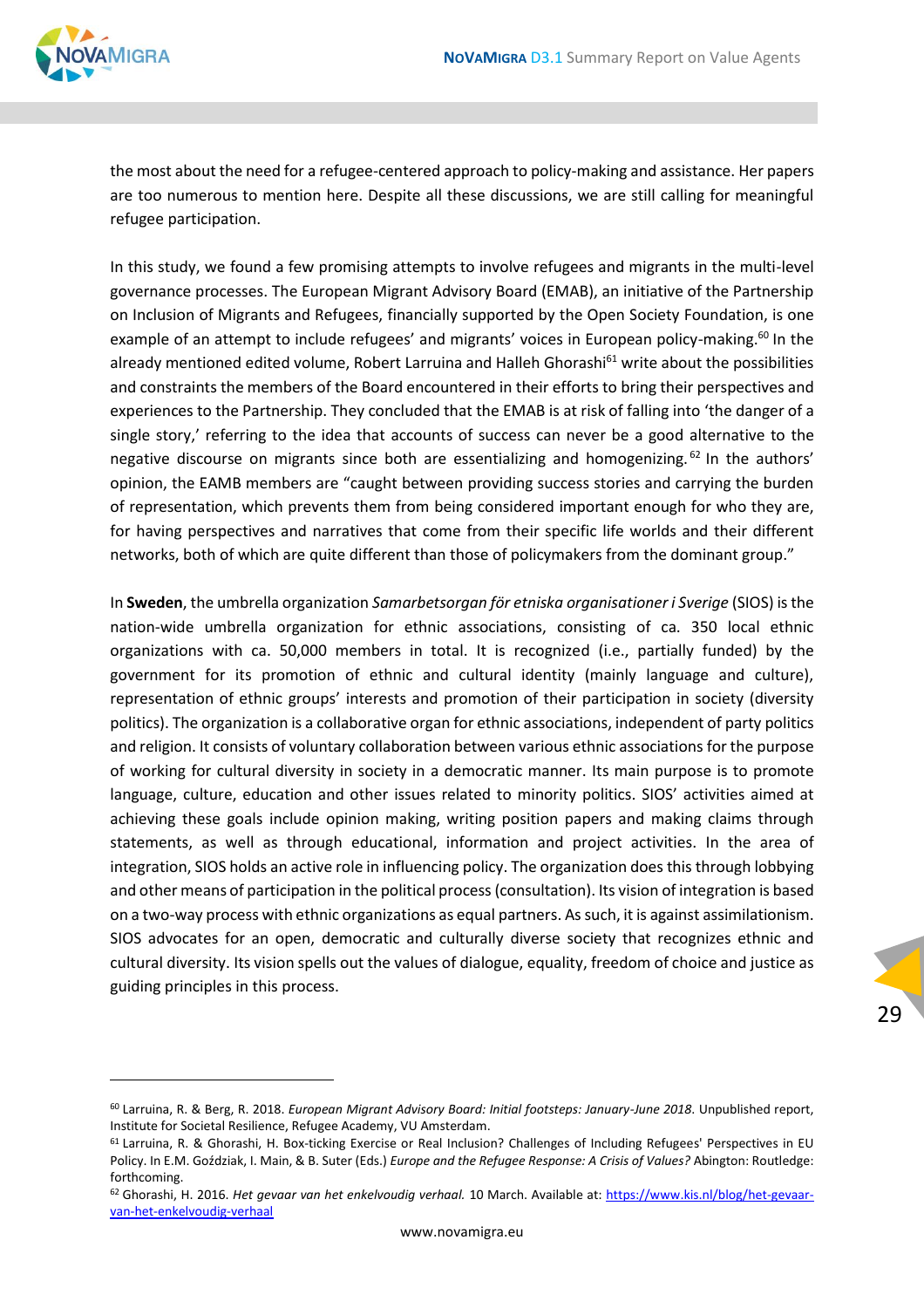

the most about the need for a refugee-centered approach to policy-making and assistance. Her papers are too numerous to mention here. Despite all these discussions, we are still calling for meaningful refugee participation.

In this study, we found a few promising attempts to involve refugees and migrants in the multi-level governance processes. The European Migrant Advisory Board (EMAB), an initiative of the Partnership on Inclusion of Migrants and Refugees, financially supported by the Open Society Foundation, is one example of an attempt to include refugees' and migrants' voices in European policy-making.<sup>60</sup> In the already mentioned edited volume, Robert Larruina and Halleh Ghorashi<sup>61</sup> write about the possibilities and constraints the members of the Board encountered in their efforts to bring their perspectives and experiences to the Partnership. They concluded that the EMAB is at risk of falling into 'the danger of a single story,' referring to the idea that accounts of success can never be a good alternative to the negative discourse on migrants since both are essentializing and homogenizing. <sup>62</sup> In the authors' opinion, the EAMB members are "caught between providing success stories and carrying the burden of representation, which prevents them from being considered important enough for who they are, for having perspectives and narratives that come from their specific life worlds and their different networks, both of which are quite different than those of policymakers from the dominant group."

In **Sweden**, the umbrella organization *Samarbetsorgan för etniska organisationer i Sverige* (SIOS) is the nation-wide umbrella organization for ethnic associations, consisting of ca. 350 local ethnic organizations with ca. 50,000 members in total. It is recognized (i.e., partially funded) by the government for its promotion of ethnic and cultural identity (mainly language and culture), representation of ethnic groups' interests and promotion of their participation in society (diversity politics). The organization is a collaborative organ for ethnic associations, independent of party politics and religion. It consists of voluntary collaboration between various ethnic associations for the purpose of working for cultural diversity in society in a democratic manner. Its main purpose is to promote language, culture, education and other issues related to minority politics. SIOS' activities aimed at achieving these goals include opinion making, writing position papers and making claims through statements, as well as through educational, information and project activities. In the area of integration, SIOS holds an active role in influencing policy. The organization does this through lobbying and other means of participation in the political process (consultation). Its vision of integration is based on a two-way process with ethnic organizations as equal partners. As such, it is against assimilationism. SIOS advocates for an open, democratic and culturally diverse society that recognizes ethnic and cultural diversity. Its vision spells out the values of dialogue, equality, freedom of choice and justice as guiding principles in this process.

<sup>60</sup> Larruina, R. & Berg, R. 2018. *European Migrant Advisory Board: Initial footsteps: January-June 2018*. Unpublished report, Institute for Societal Resilience, Refugee Academy, VU Amsterdam.

<sup>61</sup> Larruina, R. & Ghorashi, H. Box-ticking Exercise or Real Inclusion? Challenges of Including Refugees' Perspectives in EU Policy. In E.M. Goździak, I. Main, & B. Suter (Eds.) *Europe and the Refugee Response: A Crisis of Values?* Abington: Routledge: forthcoming.

<sup>62</sup> Ghorashi, H. 2016. *Het gevaar van het enkelvoudig verhaal.* 10 March. Available at: [https://www.kis.nl/blog/het-gevaar](https://www.kis.nl/blog/het-gevaar-van-het-enkelvoudig-verhaal)[van-het-enkelvoudig-verhaal](https://www.kis.nl/blog/het-gevaar-van-het-enkelvoudig-verhaal)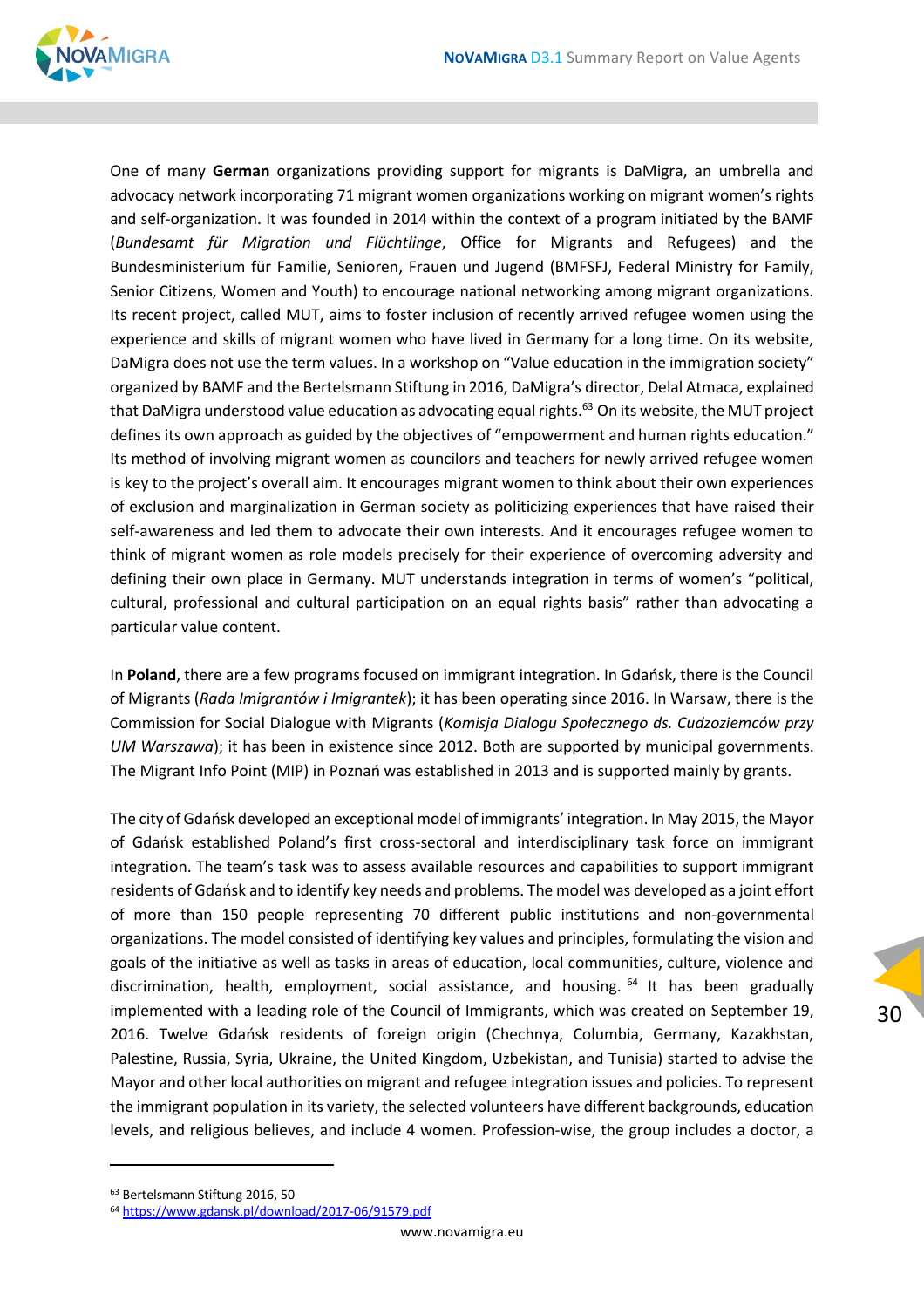

One of many **German** organizations providing support for migrants is DaMigra, an umbrella and advocacy network incorporating 71 migrant women organizations working on migrant women's rights and self-organization. It was founded in 2014 within the context of a program initiated by the BAMF (*Bundesamt für Migration und Flüchtlinge*, Office for Migrants and Refugees) and the Bundesministerium für Familie, Senioren, Frauen und Jugend (BMFSFJ, Federal Ministry for Family, Senior Citizens, Women and Youth) to encourage national networking among migrant organizations. Its recent project, called MUT, aims to foster inclusion of recently arrived refugee women using the experience and skills of migrant women who have lived in Germany for a long time. On its website, DaMigra does not use the term values. In a workshop on "Value education in the immigration society" organized by BAMF and the Bertelsmann Stiftung in 2016, DaMigra's director, Delal Atmaca, explained that DaMigra understood value education as advocating equal rights.<sup>63</sup> On its website, the MUT project defines its own approach as guided by the objectives of "empowerment and human rights education." Its method of involving migrant women as councilors and teachers for newly arrived refugee women is key to the project's overall aim. It encourages migrant women to think about their own experiences of exclusion and marginalization in German society as politicizing experiences that have raised their self-awareness and led them to advocate their own interests. And it encourages refugee women to think of migrant women as role models precisely for their experience of overcoming adversity and defining their own place in Germany. MUT understands integration in terms of women's "political, cultural, professional and cultural participation on an equal rights basis" rather than advocating a particular value content.

In **Poland**, there are a few programs focused on immigrant integration. In Gdańsk, there is the Council of Migrants (*Rada Imigrantów i Imigrantek*); it has been operating since 2016. In Warsaw, there is the Commission for Social Dialogue with Migrants (*Komisja Dialogu Społecznego ds. Cudzoziemców przy UM Warszawa*); it has been in existence since 2012. Both are supported by municipal governments. The Migrant Info Point (MIP) in Poznań was established in 2013 and is supported mainly by grants.

The city of Gdańsk developed an exceptional model of immigrants' integration. In May 2015, the Mayor of Gdańsk established Poland's first cross-sectoral and interdisciplinary task force on immigrant integration. The team's task was to assess available resources and capabilities to support immigrant residents of Gdańsk and to identify key needs and problems. The model was developed as a joint effort of more than 150 people representing 70 different public institutions and non-governmental organizations. The model consisted of identifying key values and principles, formulating the vision and goals of the initiative as well as tasks in areas of education, local communities, culture, violence and discrimination, health, employment, social assistance, and housing. <sup>64</sup> It has been gradually implemented with a leading role of the Council of Immigrants, which was created on September 19, 2016. Twelve Gdańsk residents of foreign origin (Chechnya, Columbia, Germany, Kazakhstan, Palestine, Russia, Syria, Ukraine, the United Kingdom, Uzbekistan, and Tunisia) started to advise the Mayor and other local authorities on migrant and refugee integration issues and policies. To represent the immigrant population in its variety, the selected volunteers have different backgrounds, education levels, and religious believes, and include 4 women. Profession-wise, the group includes a doctor, a

<sup>63</sup> Bertelsmann Stiftung 2016, 50

<sup>64</sup> <https://www.gdansk.pl/download/2017-06/91579.pdf>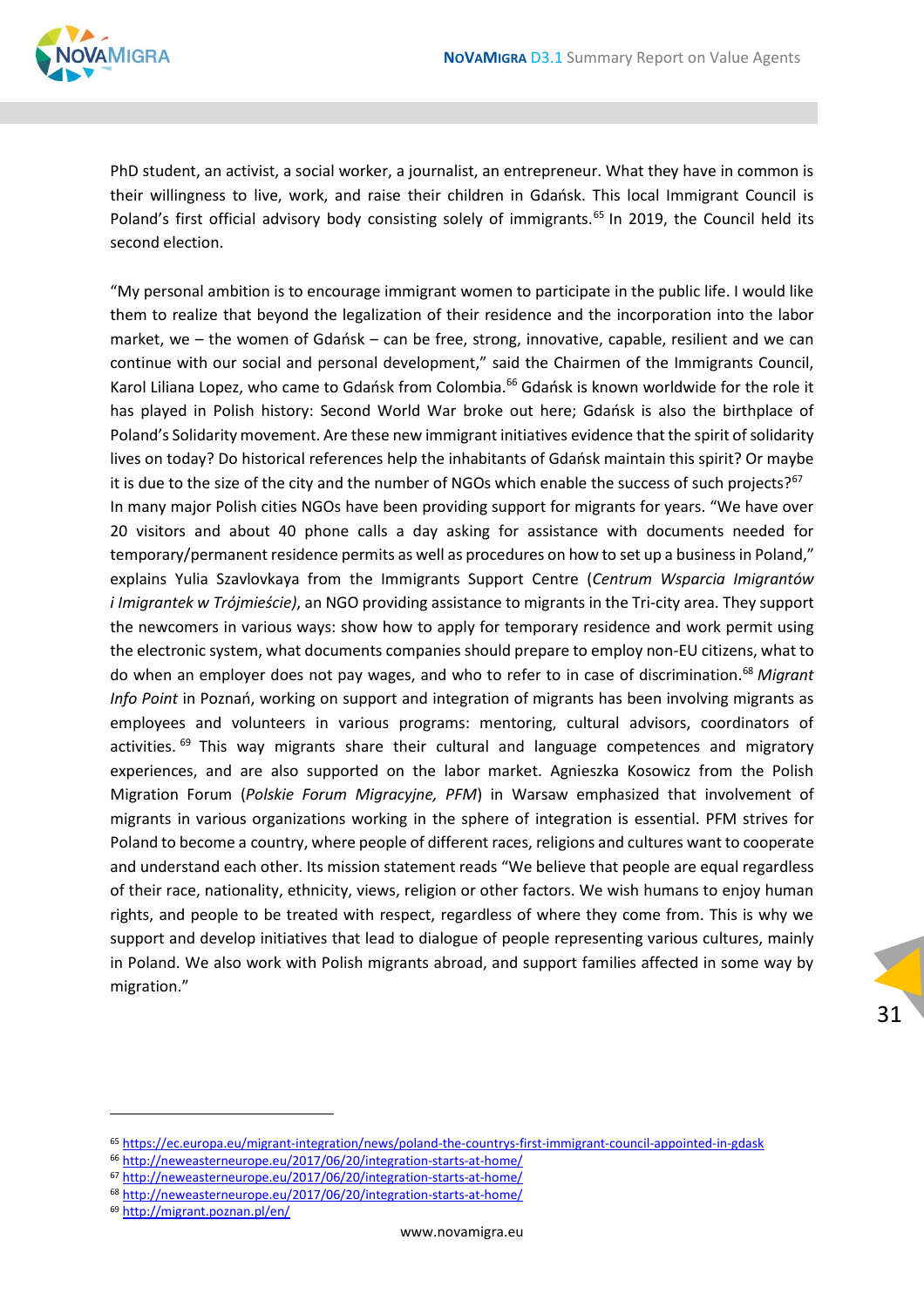

PhD student, an activist, a social worker, a journalist, an entrepreneur. What they have in common is their willingness to live, work, and raise their children in Gdańsk. This local Immigrant Council is Poland's first official advisory body consisting solely of immigrants.<sup>65</sup> In 2019, the Council held its second election.

"My personal ambition is to encourage immigrant women to participate in the public life. I would like them to realize that beyond the legalization of their residence and the incorporation into the labor market, we – the women of Gdańsk – can be free, strong, innovative, capable, resilient and we can continue with our social and personal development," said the Chairmen of the Immigrants Council, Karol Liliana Lopez, who came to Gdańsk from Colombia.<sup>66</sup> Gdańsk is known worldwide for the role it has played in Polish history: Second World War broke out here; Gdańsk is also the birthplace of Poland's Solidarity movement. Are these new immigrant initiatives evidence that the spirit of solidarity lives on today? Do historical references help the inhabitants of Gdańsk maintain this spirit? Or maybe it is due to the size of the city and the number of NGOs which enable the success of such projects? $67$ In many major Polish cities NGOs have been providing support for migrants for years. "We have over 20 visitors and about 40 phone calls a day asking for assistance with documents needed for temporary/permanent residence permits as well as procedures on how to set up a business in Poland," explains Yulia Szavlovkaya from the Immigrants Support Centre (*Centrum Wsparcia Imigrantów i Imigrantek w Trójmieście)*, an NGO providing assistance to migrants in the Tri-city area. They support the newcomers in various ways: show how to apply for temporary residence and work permit using the electronic system, what documents companies should prepare to employ non-EU citizens, what to do when an employer does not pay wages, and who to refer to in case of discrimination.<sup>68</sup> *Migrant Info Point* in Poznań, working on support and integration of migrants has been involving migrants as employees and volunteers in various programs: mentoring, cultural advisors, coordinators of activities.  $69$  This way migrants share their cultural and language competences and migratory experiences, and are also supported on the labor market. Agnieszka Kosowicz from the Polish Migration Forum (*Polskie Forum Migracyjne, PFM*) in Warsaw emphasized that involvement of migrants in various organizations working in the sphere of integration is essential. PFM strives for Poland to become a country, where people of different races, religions and cultures want to cooperate and understand each other. Its mission statement reads "We believe that people are equal regardless of their race, nationality, ethnicity, views, religion or other factors. We wish humans to enjoy human rights, and people to be treated with respect, regardless of where they come from. This is why we support and develop initiatives that lead to dialogue of people representing various cultures, mainly in Poland. We also work with Polish migrants abroad, and support families affected in some way by migration."

- <sup>68</sup> <http://neweasterneurope.eu/2017/06/20/integration-starts-at-home/>
- <sup>69</sup> <http://migrant.poznan.pl/en/>

<sup>65</sup> <https://ec.europa.eu/migrant-integration/news/poland-the-countrys-first-immigrant-council-appointed-in-gdask>

<sup>66</sup> <http://neweasterneurope.eu/2017/06/20/integration-starts-at-home/>

<sup>67</sup> <http://neweasterneurope.eu/2017/06/20/integration-starts-at-home/>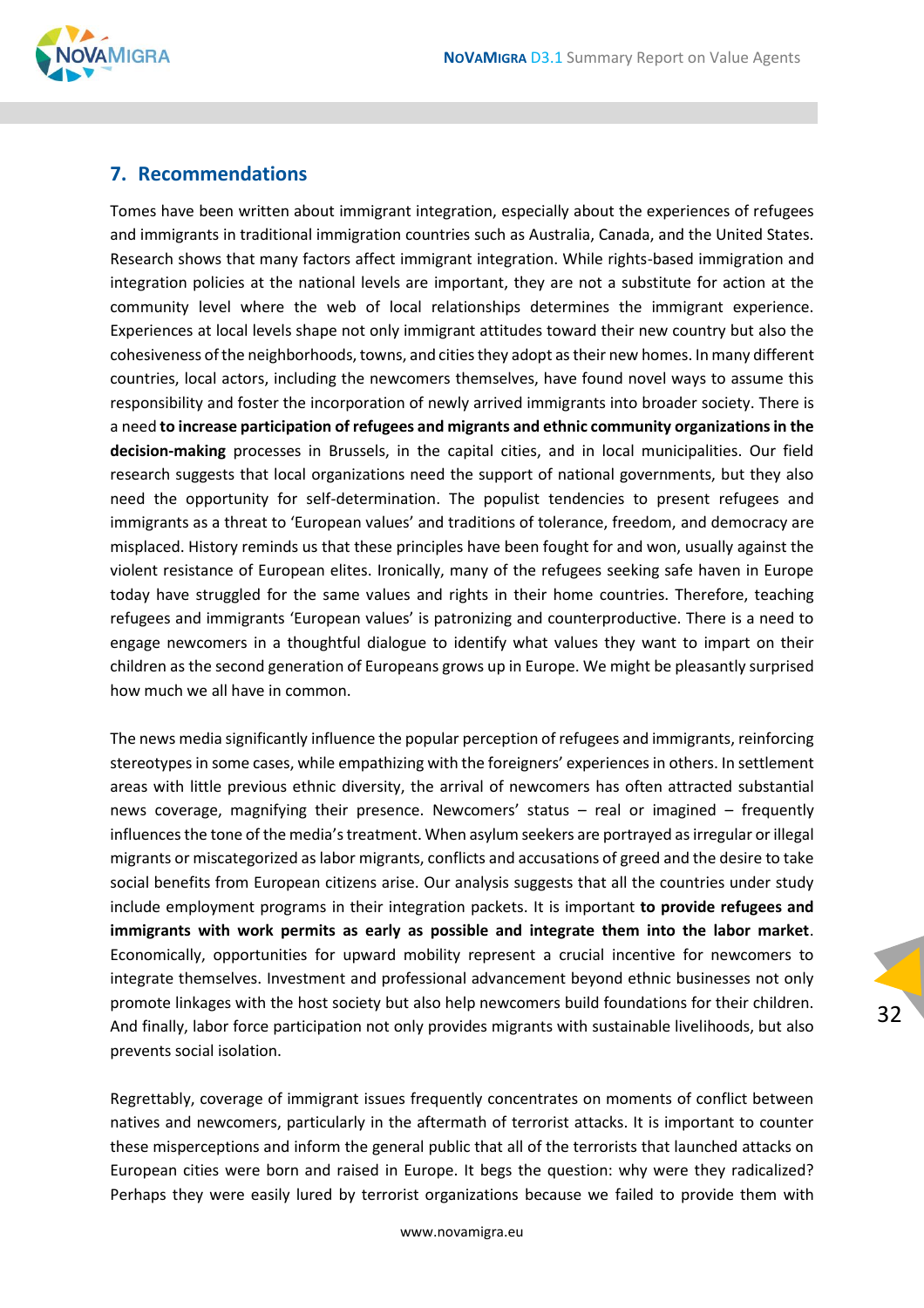

#### <span id="page-31-0"></span>**7. Recommendations**

Tomes have been written about immigrant integration, especially about the experiences of refugees and immigrants in traditional immigration countries such as Australia, Canada, and the United States. Research shows that many factors affect immigrant integration. While rights-based immigration and integration policies at the national levels are important, they are not a substitute for action at the community level where the web of local relationships determines the immigrant experience. Experiences at local levels shape not only immigrant attitudes toward their new country but also the cohesiveness of the neighborhoods, towns, and cities they adopt as their new homes. In many different countries, local actors, including the newcomers themselves, have found novel ways to assume this responsibility and foster the incorporation of newly arrived immigrants into broader society. There is a need **to increase participation of refugees and migrants and ethnic community organizations in the decision-making** processes in Brussels, in the capital cities, and in local municipalities. Our field research suggests that local organizations need the support of national governments, but they also need the opportunity for self-determination. The populist tendencies to present refugees and immigrants as a threat to 'European values' and traditions of tolerance, freedom, and democracy are misplaced. History reminds us that these principles have been fought for and won, usually against the violent resistance of European elites. Ironically, many of the refugees seeking safe haven in Europe today have struggled for the same values and rights in their home countries. Therefore, teaching refugees and immigrants 'European values' is patronizing and counterproductive. There is a need to engage newcomers in a thoughtful dialogue to identify what values they want to impart on their children as the second generation of Europeans grows up in Europe. We might be pleasantly surprised how much we all have in common.

The news media significantly influence the popular perception of refugees and immigrants, reinforcing stereotypes in some cases, while empathizing with the foreigners' experiences in others. In settlement areas with little previous ethnic diversity, the arrival of newcomers has often attracted substantial news coverage, magnifying their presence. Newcomers' status – real or imagined – frequently influences the tone of the media's treatment. When asylum seekers are portrayed as irregular or illegal migrants or miscategorized as labor migrants, conflicts and accusations of greed and the desire to take social benefits from European citizens arise. Our analysis suggests that all the countries under study include employment programs in their integration packets. It is important **to provide refugees and immigrants with work permits as early as possible and integrate them into the labor market**. Economically, opportunities for upward mobility represent a crucial incentive for newcomers to integrate themselves. Investment and professional advancement beyond ethnic businesses not only promote linkages with the host society but also help newcomers build foundations for their children. And finally, labor force participation not only provides migrants with sustainable livelihoods, but also prevents social isolation.

Regrettably, coverage of immigrant issues frequently concentrates on moments of conflict between natives and newcomers, particularly in the aftermath of terrorist attacks. It is important to counter these misperceptions and inform the general public that all of the terrorists that launched attacks on European cities were born and raised in Europe. It begs the question: why were they radicalized? Perhaps they were easily lured by terrorist organizations because we failed to provide them with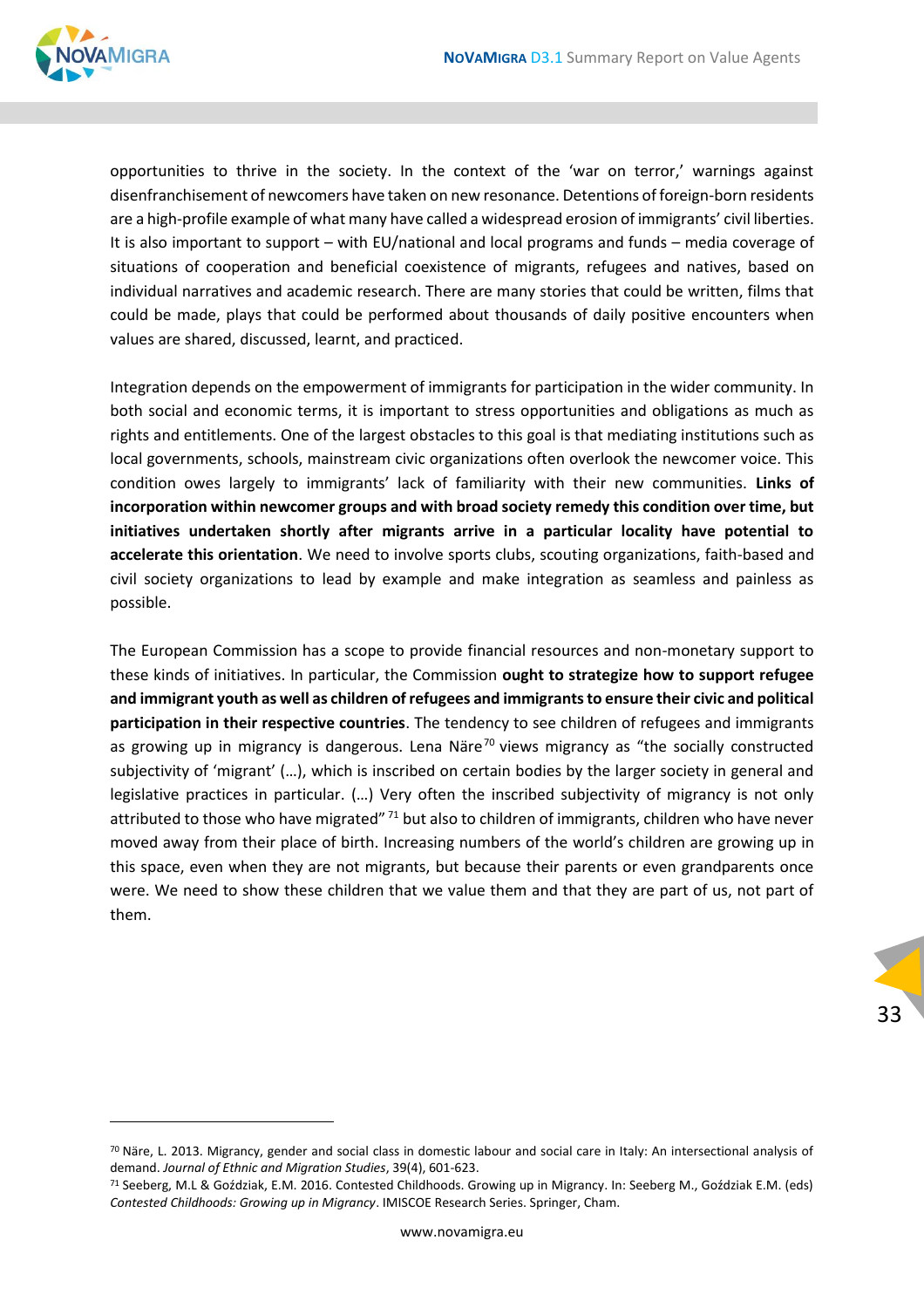

opportunities to thrive in the society. In the context of the 'war on terror,' warnings against disenfranchisement of newcomers have taken on new resonance. Detentions of foreign-born residents are a high-profile example of what many have called a widespread erosion of immigrants' civil liberties. It is also important to support – with EU/national and local programs and funds – media coverage of situations of cooperation and beneficial coexistence of migrants, refugees and natives, based on individual narratives and academic research. There are many stories that could be written, films that could be made, plays that could be performed about thousands of daily positive encounters when values are shared, discussed, learnt, and practiced.

Integration depends on the empowerment of immigrants for participation in the wider community. In both social and economic terms, it is important to stress opportunities and obligations as much as rights and entitlements. One of the largest obstacles to this goal is that mediating institutions such as local governments, schools, mainstream civic organizations often overlook the newcomer voice. This condition owes largely to immigrants' lack of familiarity with their new communities. **Links of incorporation within newcomer groups and with broad society remedy this condition over time, but initiatives undertaken shortly after migrants arrive in a particular locality have potential to accelerate this orientation**. We need to involve sports clubs, scouting organizations, faith-based and civil society organizations to lead by example and make integration as seamless and painless as possible.

The European Commission has a scope to provide financial resources and non-monetary support to these kinds of initiatives. In particular, the Commission **ought to strategize how to support refugee and immigrant youth as well as children of refugees and immigrants to ensure their civic and political participation in their respective countries**. The tendency to see children of refugees and immigrants as growing up in migrancy is dangerous. Lena Näre<sup>70</sup> views migrancy as "the socially constructed subjectivity of 'migrant' (…), which is inscribed on certain bodies by the larger society in general and legislative practices in particular. (…) Very often the inscribed subjectivity of migrancy is not only attributed to those who have migrated" <sup>71</sup> but also to children of immigrants, children who have never moved away from their place of birth. Increasing numbers of the world's children are growing up in this space, even when they are not migrants, but because their parents or even grandparents once were. We need to show these children that we value them and that they are part of us, not part of them.

 $70$  Näre, L. 2013. Migrancy, gender and social class in domestic labour and social care in Italy: An intersectional analysis of demand. *Journal of Ethnic and Migration Studies*, 39(4), 601-623.

<sup>71</sup> Seeberg, M.L & Goździak, E.M. 2016. Contested Childhoods. Growing up in Migrancy. In: Seeberg M., Goździak E.M. (eds) *Contested Childhoods: Growing up in Migrancy*. IMISCOE Research Series. Springer, Cham.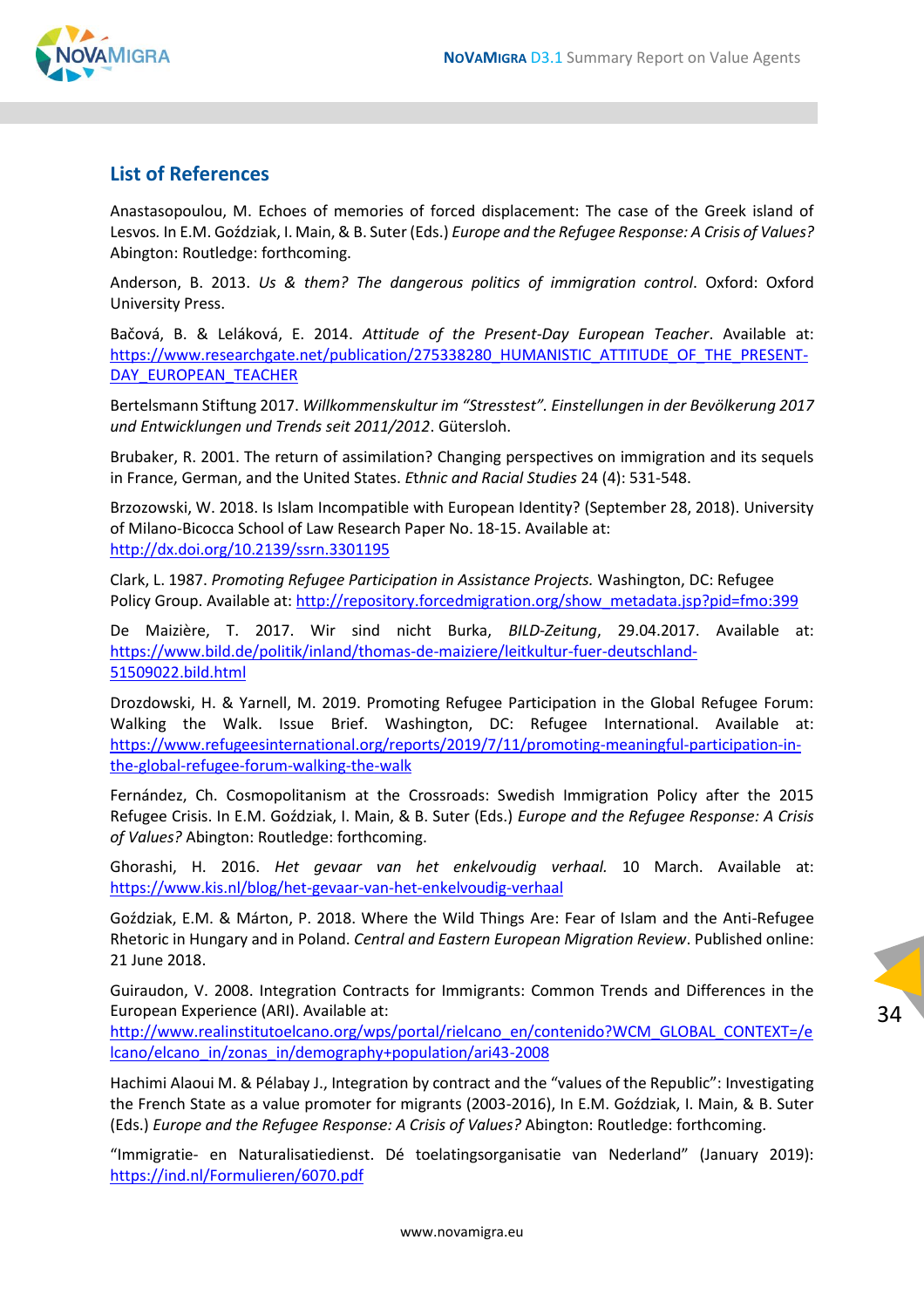

#### <span id="page-33-0"></span>**List of References**

Anastasopoulou, M. Echoes of memories of forced displacement: The case of the Greek island of Lesvos*.* In E.M. Goździak, I. Main, & B. Suter (Eds.) *Europe and the Refugee Response: A Crisis of Values?*  Abington: Routledge: forthcoming.

Anderson, B. 2013. *Us & them? The dangerous politics of immigration control*. Oxford: Oxford University Press.

Bačová, B. & Leláková, E. 2014. *Attitude of the Present-Day European Teacher*. Available at: [https://www.researchgate.net/publication/275338280\\_HUMANISTIC\\_ATTITUDE\\_OF\\_THE\\_PRESENT-](https://www.researchgate.net/publication/275338280_HUMANISTIC_ATTITUDE_OF_THE_PRESENT-DAY_EUROPEAN_TEACHER)[DAY\\_EUROPEAN\\_TEACHER](https://www.researchgate.net/publication/275338280_HUMANISTIC_ATTITUDE_OF_THE_PRESENT-DAY_EUROPEAN_TEACHER)

Bertelsmann Stiftung 2017. *Willkommenskultur im "Stresstest". Einstellungen in der Bevölkerung 2017 und Entwicklungen und Trends seit 2011/2012*. Gütersloh.

Brubaker, R. 2001. The return of assimilation? Changing perspectives on immigration and its sequels in France, German, and the United States. *E*t*hnic and Racial Studies* 24 (4): 531-548.

Brzozowski, W. 2018. Is Islam Incompatible with European Identity? (September 28, 2018). University of Milano-Bicocca School of Law Research Paper No. 18-15. Available at: <http://dx.doi.org/10.2139/ssrn.3301195>

Clark, L. 1987. *Promoting Refugee Participation in Assistance Projects.* Washington, DC: Refugee Policy Group. Available at[: http://repository.forcedmigration.org/show\\_metadata.jsp?pid=fmo:399](http://repository.forcedmigration.org/show_metadata.jsp?pid=fmo:399)

De Maizière, T. 2017. Wir sind nicht Burka, *BILD-Zeitung*, 29.04.2017. Available at: [https://www.bild.de/politik/inland/thomas-de-maiziere/leitkultur-fuer-deutschland-](https://www.bild.de/politik/inland/thomas-de-maiziere/leitkultur-fuer-deutschland-51509022.bild.html)[51509022.bild.html](https://www.bild.de/politik/inland/thomas-de-maiziere/leitkultur-fuer-deutschland-51509022.bild.html)

Drozdowski, H. & Yarnell, M. 2019. Promoting Refugee Participation in the Global Refugee Forum: Walking the Walk. Issue Brief. Washington, DC: Refugee International. Available at: [https://www.refugeesinternational.org/reports/2019/7/11/promoting-meaningful-participation-in](https://www.refugeesinternational.org/reports/2019/7/11/promoting-meaningful-participation-in-the-global-refugee-forum-walking-the-walk)[the-global-refugee-forum-walking-the-walk](https://www.refugeesinternational.org/reports/2019/7/11/promoting-meaningful-participation-in-the-global-refugee-forum-walking-the-walk)

Fernández, Ch. Cosmopolitanism at the Crossroads: Swedish Immigration Policy after the 2015 Refugee Crisis. In E.M. Goździak, I. Main, & B. Suter (Eds.) *Europe and the Refugee Response: A Crisis of Values?* Abington: Routledge: forthcoming.

Ghorashi, H. 2016. *Het gevaar van het enkelvoudig verhaal.* 10 March. Available at: <https://www.kis.nl/blog/het-gevaar-van-het-enkelvoudig-verhaal>

Goździak, E.M. & Márton, P. 2018. Where the Wild Things Are: Fear of Islam and the Anti-Refugee Rhetoric in Hungary and in Poland. *Central and Eastern European Migration Review*. Published online: 21 June 2018.

Guiraudon, V. 2008. Integration Contracts for Immigrants: Common Trends and Differences in the European Experience (ARI). Available at:

[http://www.realinstitutoelcano.org/wps/portal/rielcano\\_en/contenido?WCM\\_GLOBAL\\_CONTEXT=/e](http://www.realinstitutoelcano.org/wps/portal/rielcano_en/contenido?WCM_GLOBAL_CONTEXT=/elcano/elcano_in/zonas_in/demography+population/ari43-2008) [lcano/elcano\\_in/zonas\\_in/demography+population/ari43-2008](http://www.realinstitutoelcano.org/wps/portal/rielcano_en/contenido?WCM_GLOBAL_CONTEXT=/elcano/elcano_in/zonas_in/demography+population/ari43-2008)

Hachimi Alaoui M. & Pélabay J., Integration by contract and the "values of the Republic": Investigating the French State as a value promoter for migrants (2003-2016), In E.M. Goździak, I. Main, & B. Suter (Eds.) *Europe and the Refugee Response: A Crisis of Values?* Abington: Routledge: forthcoming.

"Immigratie- en Naturalisatiedienst. Dé toelatingsorganisatie van Nederland" (January 2019): <https://ind.nl/Formulieren/6070.pdf>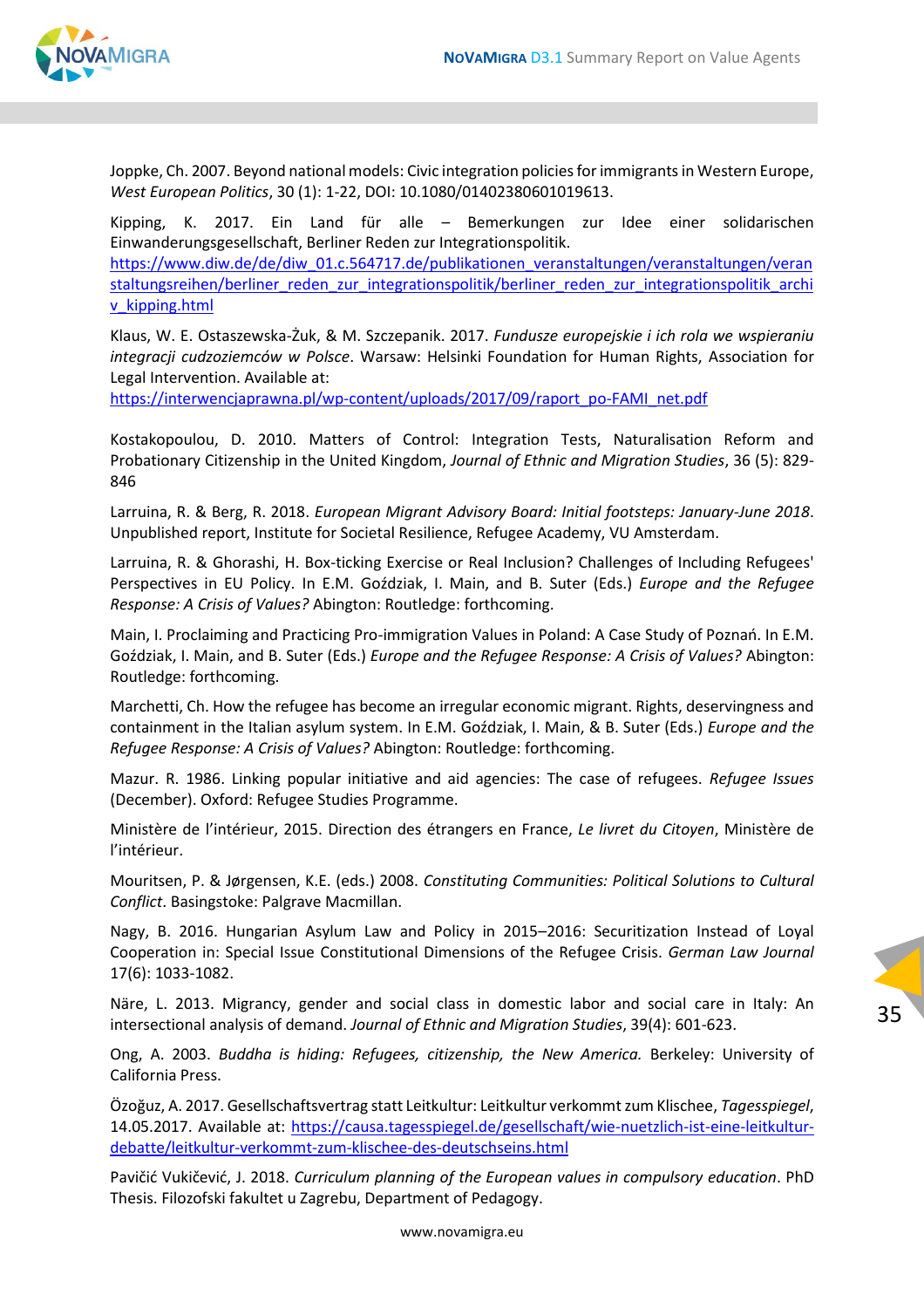

Joppke, Ch. 2007. Beyond national models: Civic integration policies for immigrants in Western Europe, *West European Politics*, 30 (1): 1-22, DOI: 10.1080/01402380601019613.

Kipping, K. 2017. Ein Land für alle – Bemerkungen zur Idee einer solidarischen Einwanderungsgesellschaft, Berliner Reden zur Integrationspolitik. [https://www.diw.de/de/diw\\_01.c.564717.de/publikationen\\_veranstaltungen/veranstaltungen/veran](https://www.diw.de/de/diw_01.c.564717.de/publikationen_veranstaltungen/veranstaltungen/veranstaltungsreihen/berliner_reden_zur_integrationspolitik/berliner_reden_zur_integrationspolitik_archiv_kipping.html) [staltungsreihen/berliner\\_reden\\_zur\\_integrationspolitik/berliner\\_reden\\_zur\\_integrationspolitik\\_archi](https://www.diw.de/de/diw_01.c.564717.de/publikationen_veranstaltungen/veranstaltungen/veranstaltungsreihen/berliner_reden_zur_integrationspolitik/berliner_reden_zur_integrationspolitik_archiv_kipping.html) [v\\_kipping.html](https://www.diw.de/de/diw_01.c.564717.de/publikationen_veranstaltungen/veranstaltungen/veranstaltungsreihen/berliner_reden_zur_integrationspolitik/berliner_reden_zur_integrationspolitik_archiv_kipping.html)

Klaus, W. E. Ostaszewska-Żuk, & M. Szczepanik. 2017. *Fundusze europejskie i ich rola we wspieraniu integracji cudzoziemców w Polsce*. Warsaw: Helsinki Foundation for Human Rights, Association for Legal Intervention. Available at:

[https://interwencjaprawna.pl/wp-content/uploads/2017/09/raport\\_po-FAMI\\_net.pdf](https://interwencjaprawna.pl/wp-content/uploads/2017/09/raport_po-FAMI_net.pdf)

Kostakopoulou, D. 2010. Matters of Control: Integration Tests, Naturalisation Reform and Probationary Citizenship in the United Kingdom, *Journal of Ethnic and Migration Studies*, 36 (5): 829- 846

Larruina, R. & Berg, R. 2018. *European Migrant Advisory Board: Initial footsteps: January-June 2018*. Unpublished report, Institute for Societal Resilience, Refugee Academy, VU Amsterdam.

Larruina, R. & Ghorashi, H. Box-ticking Exercise or Real Inclusion? Challenges of Including Refugees' Perspectives in EU Policy. In E.M. Goździak, I. Main, and B. Suter (Eds.) *Europe and the Refugee Response: A Crisis of Values?* Abington: Routledge: forthcoming.

Main, I. Proclaiming and Practicing Pro-immigration Values in Poland: A Case Study of Poznań. In E.M. Goździak, I. Main, and B. Suter (Eds.) *Europe and the Refugee Response: A Crisis of Values?* Abington: Routledge: forthcoming.

Marchetti, Ch. How the refugee has become an irregular economic migrant. Rights, deservingness and containment in the Italian asylum system. In E.M. Goździak, I. Main, & B. Suter (Eds.) *Europe and the Refugee Response: A Crisis of Values?* Abington: Routledge: forthcoming.

Mazur. R. 1986. Linking popular initiative and aid agencies: The case of refugees. *Refugee Issues* (December). Oxford: Refugee Studies Programme.

Ministère de l'intérieur, 2015. Direction des étrangers en France, *Le livret du Citoyen*, Ministère de l'intérieur.

Mouritsen, P. & Jørgensen, K.E. (eds.) 2008. *Constituting Communities: Political Solutions to Cultural Conflict*. Basingstoke: Palgrave Macmillan.

Nagy, B. 2016. Hungarian Asylum Law and Policy in 2015–2016: Securitization Instead of Loyal Cooperation in: Special Issue Constitutional Dimensions of the Refugee Crisis. *German Law Journal* 17(6): 1033-1082.

Näre, L. 2013. Migrancy, gender and social class in domestic labor and social care in Italy: An intersectional analysis of demand. *Journal of Ethnic and Migration Studies*, 39(4): 601-623.

Ong, A. 2003. *Buddha is hiding: Refugees, citizenship, the New America.* Berkeley: University of California Press.

Özoğuz, A. 2017. Gesellschaftsvertrag statt Leitkultur: Leitkultur verkommt zum Klischee, *Tagesspiegel*, 14.05.2017. Available at: [https://causa.tagesspiegel.de/gesellschaft/wie-nuetzlich-ist-eine-leitkultur](https://causa.tagesspiegel.de/gesellschaft/wie-nuetzlich-ist-eine-leitkultur-debatte/leitkultur-verkommt-zum-klischee-des-deutschseins.html)[debatte/leitkultur-verkommt-zum-klischee-des-deutschseins.html](https://causa.tagesspiegel.de/gesellschaft/wie-nuetzlich-ist-eine-leitkultur-debatte/leitkultur-verkommt-zum-klischee-des-deutschseins.html)

Pavičić Vukičević, J. 2018. *Curriculum planning of the European values in compulsory education*. PhD Thesis. Filozofski fakultet u Zagrebu, Department of Pedagogy.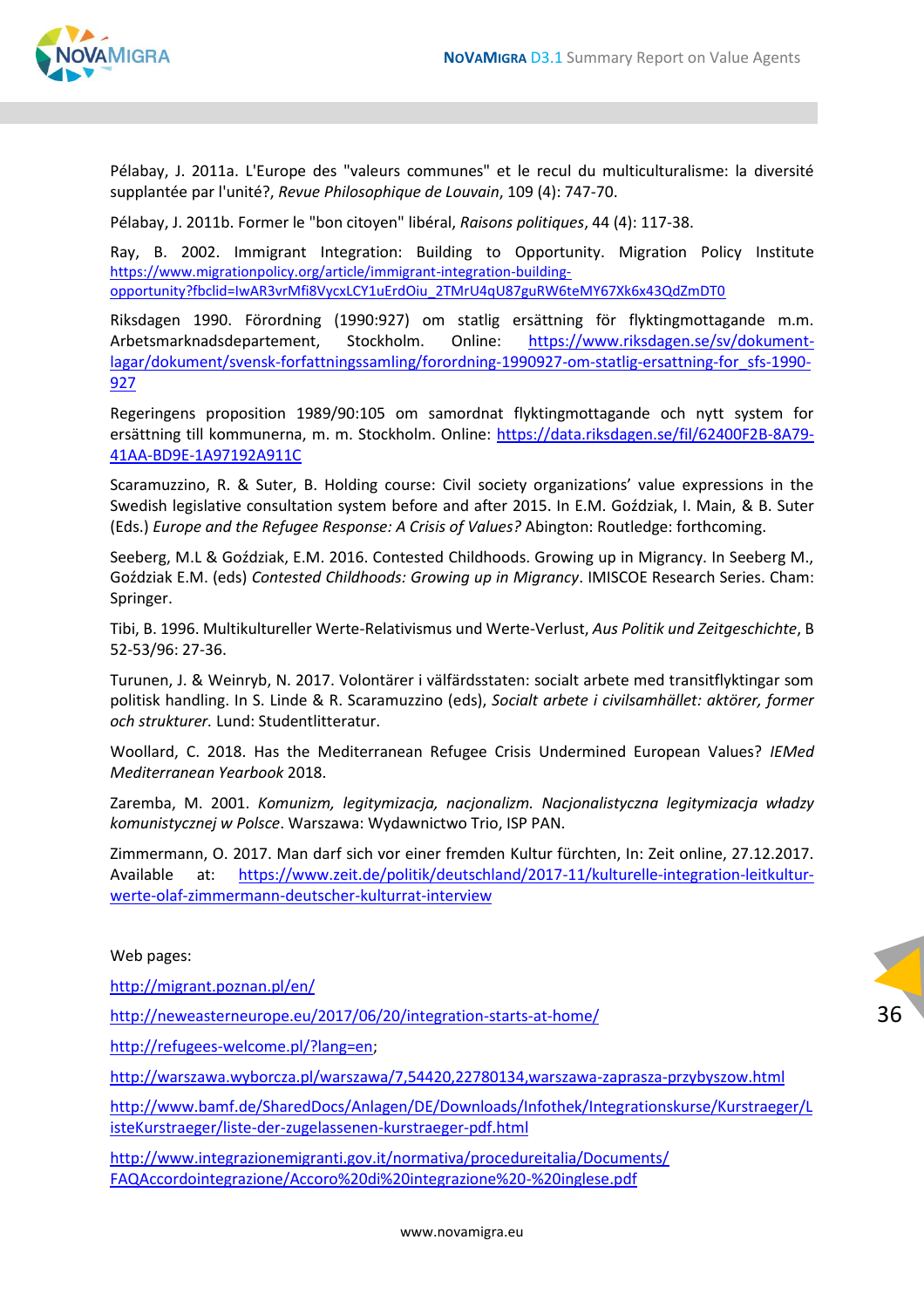

Pélabay, J. 2011a. L'Europe des "valeurs communes" et le recul du multiculturalisme: la diversité supplantée par l'unité?, *Revue Philosophique de Louvain*, 109 (4): 747-70.

Pélabay, J. 2011b. Former le "bon citoyen" libéral, *Raisons politiques*, 44 (4): 117-38.

Ray, B. 2002. Immigrant Integration: Building to Opportunity. Migration Policy Institute [https://www.migrationpolicy.org/article/immigrant-integration-building](https://www.migrationpolicy.org/article/immigrant-integration-building-opportunity?fbclid=IwAR3vrMfi8VycxLCY1uErdOiu_2TMrU4qU87guRW6teMY67Xk6x43QdZmDT0)[opportunity?fbclid=IwAR3vrMfi8VycxLCY1uErdOiu\\_2TMrU4qU87guRW6teMY67Xk6x43QdZmDT0](https://www.migrationpolicy.org/article/immigrant-integration-building-opportunity?fbclid=IwAR3vrMfi8VycxLCY1uErdOiu_2TMrU4qU87guRW6teMY67Xk6x43QdZmDT0)

Riksdagen 1990. Förordning (1990:927) om statlig ersättning för flyktingmottagande m.m. Arbetsmarknadsdepartement, Stockholm. Online: [https://www.riksdagen.se/sv/dokument](https://www.riksdagen.se/sv/dokument-lagar/dokument/svensk-forfattningssamling/forordning-1990927-om-statlig-ersattning-for_sfs-1990-927)[lagar/dokument/svensk-forfattningssamling/forordning-1990927-om-statlig-ersattning-for\\_sfs-1990-](https://www.riksdagen.se/sv/dokument-lagar/dokument/svensk-forfattningssamling/forordning-1990927-om-statlig-ersattning-for_sfs-1990-927) [927](https://www.riksdagen.se/sv/dokument-lagar/dokument/svensk-forfattningssamling/forordning-1990927-om-statlig-ersattning-for_sfs-1990-927)

Regeringens proposition 1989/90:105 om samordnat flyktingmottagande och nytt system for ersättning till kommunerna, m. m. Stockholm. Online: [https://data.riksdagen.se/fil/62400F2B-8A79-](https://data.riksdagen.se/fil/62400F2B-8A79-41AA-BD9E-1A97192A911C) [41AA-BD9E-1A97192A911C](https://data.riksdagen.se/fil/62400F2B-8A79-41AA-BD9E-1A97192A911C)

Scaramuzzino, R. & Suter, B. Holding course: Civil society organizations' value expressions in the Swedish legislative consultation system before and after 2015. In E.M. Goździak, I. Main, & B. Suter (Eds.) *Europe and the Refugee Response: A Crisis of Values?* Abington: Routledge: forthcoming.

Seeberg, M.L & Goździak, E.M. 2016. Contested Childhoods. Growing up in Migrancy. In Seeberg M., Goździak E.M. (eds) *Contested Childhoods: Growing up in Migrancy*. IMISCOE Research Series. Cham: Springer.

Tibi, B. 1996. Multikultureller Werte-Relativismus und Werte-Verlust, *Aus Politik und Zeitgeschichte*, B 52-53/96: 27-36.

Turunen, J. & Weinryb, N. 2017. Volontärer i välfärdsstaten: socialt arbete med transitflyktingar som politisk handling. In S. Linde & R. Scaramuzzino (eds), *Socialt arbete i civilsamhället: aktörer, former och strukturer.* Lund: Studentlitteratur.

Woollard, C. 2018. Has the Mediterranean Refugee Crisis Undermined European Values? *IEMed Mediterranean Yearbook* 2018.

Zaremba, M. 2001. *Komunizm, legitymizacja, nacjonalizm. Nacjonalistyczna legitymizacja władzy komunistycznej w Polsce*. Warszawa: Wydawnictwo Trio, ISP PAN.

Zimmermann, O. 2017. Man darf sich vor einer fremden Kultur fürchten, In: Zeit online, 27.12.2017. Available at: [https://www.zeit.de/politik/deutschland/2017-11/kulturelle-integration-leitkultur](https://www.zeit.de/politik/deutschland/2017-11/kulturelle-integration-leitkultur-werte-olaf-zimmermann-deutscher-kulturrat-interview)[werte-olaf-zimmermann-deutscher-kulturrat-interview](https://www.zeit.de/politik/deutschland/2017-11/kulturelle-integration-leitkultur-werte-olaf-zimmermann-deutscher-kulturrat-interview)

#### Web pages:

<http://migrant.poznan.pl/en/>

<http://neweasterneurope.eu/2017/06/20/integration-starts-at-home/>

[http://refugees-welcome.pl/?lang=en;](http://refugees-welcome.pl/?lang=en)

<http://warszawa.wyborcza.pl/warszawa/7,54420,22780134,warszawa-zaprasza-przybyszow.html>

[http://www.bamf.de/SharedDocs/Anlagen/DE/Downloads/Infothek/Integrationskurse/Kurstraeger/L](http://www.bamf.de/SharedDocs/Anlagen/DE/Downloads/Infothek/Integrationskurse/Kurstraeger/ListeKurstraeger/liste-der-zugelassenen-kurstraeger-pdf.html) [isteKurstraeger/liste-der-zugelassenen-kurstraeger-pdf.html](http://www.bamf.de/SharedDocs/Anlagen/DE/Downloads/Infothek/Integrationskurse/Kurstraeger/ListeKurstraeger/liste-der-zugelassenen-kurstraeger-pdf.html)

36

[http://www.integrazionemigranti.gov.it/normativa/procedureitalia/Documents/](http://www.integrazionemigranti.gov.it/normativa/procedureitalia/Documents/%20FAQAccordointegrazione/Accoro%20di%20integrazione%20-%20inglese.pdf)  [FAQAccordointegrazione/Accoro%20di%20integrazione%20-%20inglese.pdf](http://www.integrazionemigranti.gov.it/normativa/procedureitalia/Documents/%20FAQAccordointegrazione/Accoro%20di%20integrazione%20-%20inglese.pdf)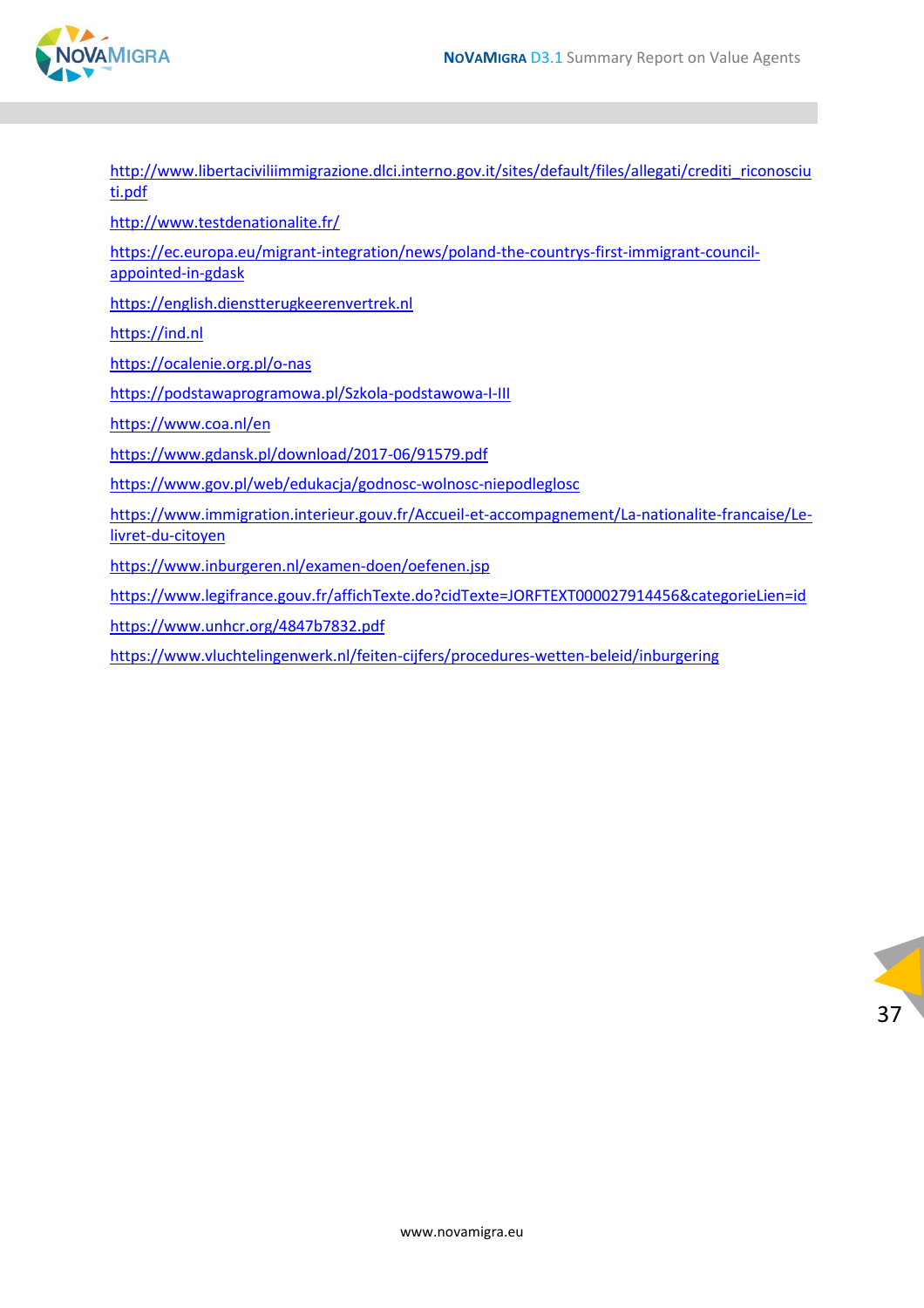

| http://www.libertaciviliimmigrazione.dlci.interno.gov.it/sites/default/files/allegati/crediti riconosciu<br>ti.pdf    |  |  |  |  |
|-----------------------------------------------------------------------------------------------------------------------|--|--|--|--|
| http://www.testdenationalite.fr/                                                                                      |  |  |  |  |
| https://ec.europa.eu/migrant-integration/news/poland-the-countrys-first-immigrant-council-<br>appointed-in-gdask      |  |  |  |  |
| https://english.dienstterugkeerenvertrek.nl                                                                           |  |  |  |  |
| https://ind.nl                                                                                                        |  |  |  |  |
| https://ocalenie.org.pl/o-nas                                                                                         |  |  |  |  |
| https://podstawaprogramowa.pl/Szkola-podstawowa-I-III                                                                 |  |  |  |  |
| https://www.coa.nl/en                                                                                                 |  |  |  |  |
| https://www.gdansk.pl/download/2017-06/91579.pdf                                                                      |  |  |  |  |
| https://www.gov.pl/web/edukacja/godnosc-wolnosc-niepodleglosc                                                         |  |  |  |  |
| https://www.immigration.interieur.gouv.fr/Accueil-et-accompagnement/La-nationalite-francaise/Le-<br>livret-du-citoyen |  |  |  |  |
| https://www.inburgeren.nl/examen-doen/oefenen.jsp                                                                     |  |  |  |  |
| https://www.legifrance.gouv.fr/affichTexte.do?cidTexte=JORFTEXT000027914456&categorieLien=id                          |  |  |  |  |
| https://www.unhcr.org/4847b7832.pdf                                                                                   |  |  |  |  |
| https://www.vluchtelingenwerk.nl/feiten-cijfers/procedures-wetten-beleid/inburgering                                  |  |  |  |  |

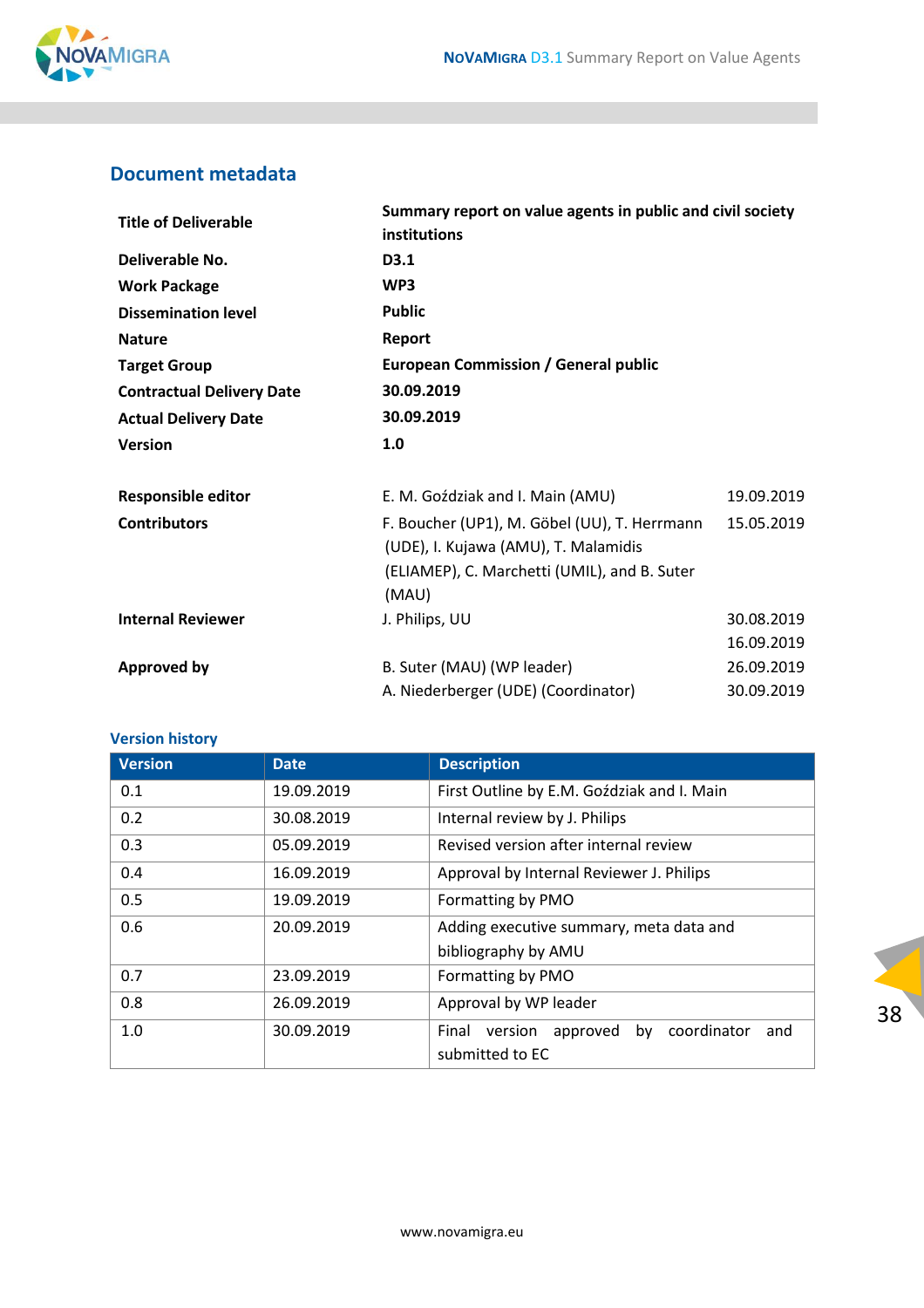

#### <span id="page-37-0"></span>**Document metadata**

| <b>Title of Deliverable</b>      | Summary report on value agents in public and civil society<br>institutions                          |            |  |
|----------------------------------|-----------------------------------------------------------------------------------------------------|------------|--|
| Deliverable No.                  | D3.1<br>WP3<br><b>Public</b><br>Report<br><b>European Commission / General public</b><br>30.09.2019 |            |  |
| <b>Work Package</b>              |                                                                                                     |            |  |
| <b>Dissemination level</b>       |                                                                                                     |            |  |
| <b>Nature</b>                    |                                                                                                     |            |  |
| <b>Target Group</b>              |                                                                                                     |            |  |
| <b>Contractual Delivery Date</b> |                                                                                                     |            |  |
| <b>Actual Delivery Date</b>      | 30.09.2019                                                                                          |            |  |
| <b>Version</b>                   | 1.0                                                                                                 |            |  |
| <b>Responsible editor</b>        | E. M. Goździak and I. Main (AMU)                                                                    | 19.09.2019 |  |
| <b>Contributors</b>              | F. Boucher (UP1), M. Göbel (UU), T. Herrmann<br>(UDE), I. Kujawa (AMU), T. Malamidis                | 15.05.2019 |  |
|                                  | (ELIAMEP), C. Marchetti (UMIL), and B. Suter<br>(MAU)                                               |            |  |
| <b>Internal Reviewer</b>         | J. Philips, UU                                                                                      | 30.08.2019 |  |
|                                  |                                                                                                     | 16.09.2019 |  |
| Approved by                      | B. Suter (MAU) (WP leader)                                                                          | 26.09.2019 |  |
|                                  | A. Niederberger (UDE) (Coordinator)                                                                 | 30.09.2019 |  |

#### **Version history**

| <b>Version</b> | <b>Date</b> | <b>Description</b>                                 |
|----------------|-------------|----------------------------------------------------|
| 0.1            | 19.09.2019  | First Outline by E.M. Goździak and I. Main         |
| 0.2            | 30.08.2019  | Internal review by J. Philips                      |
| 0.3            | 05.09.2019  | Revised version after internal review              |
| 0.4            | 16.09.2019  | Approval by Internal Reviewer J. Philips           |
| 0.5            | 19.09.2019  | Formatting by PMO                                  |
| 0.6            | 20.09.2019  | Adding executive summary, meta data and            |
|                |             | bibliography by AMU                                |
| 0.7            | 23.09.2019  | Formatting by PMO                                  |
| 0.8            | 26.09.2019  | Approval by WP leader                              |
| 1.0            | 30.09.2019  | by coordinator<br>version approved<br>Final<br>and |
|                |             | submitted to EC                                    |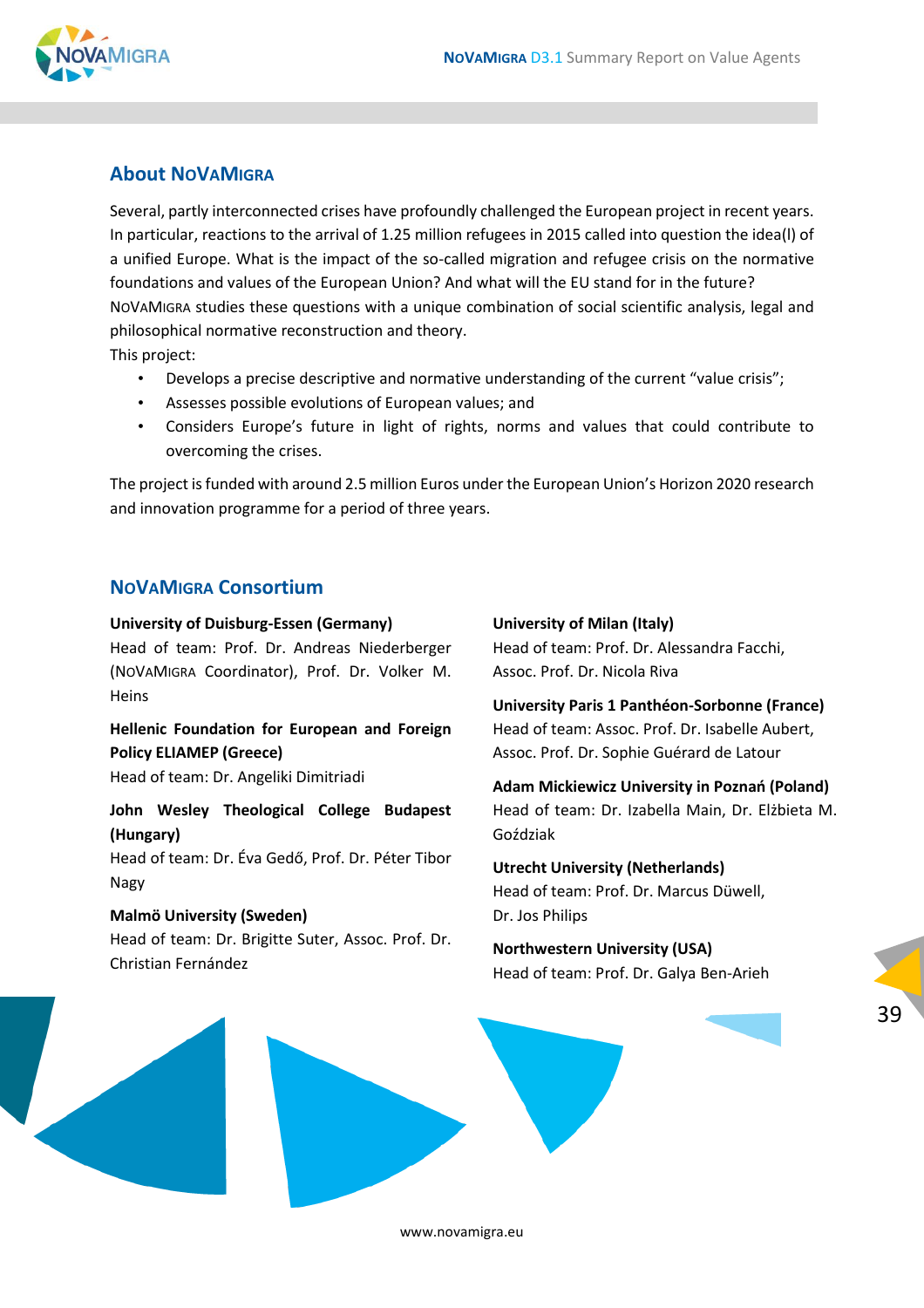

#### <span id="page-38-0"></span>**About NOVAMIGRA**

Several, partly interconnected crises have profoundly challenged the European project in recent years. In particular, reactions to the arrival of 1.25 million refugees in 2015 called into question the idea(l) of a unified Europe. What is the impact of the so-called migration and refugee crisis on the normative foundations and values of the European Union? And what will the EU stand for in the future? NOVAMIGRA studies these questions with a unique combination of social scientific analysis, legal and philosophical normative reconstruction and theory. This project:

- Develops a precise descriptive and normative understanding of the current "value crisis";
- Assesses possible evolutions of European values; and
- Considers Europe's future in light of rights, norms and values that could contribute to overcoming the crises.

The project is funded with around 2.5 million Euros under the European Union's Horizon 2020 research and innovation programme for a period of three years.

#### **NOVAMIGRA Consortium**

#### **University of Duisburg-Essen (Germany)**

Head of team: Prof. Dr. Andreas Niederberger (NOVAMIGRA Coordinator), Prof. Dr. Volker M. **Heins** 

**Hellenic Foundation for European and Foreign Policy ELIAMEP (Greece)**

Head of team: Dr. Angeliki Dimitriadi

**John Wesley Theological College Budapest (Hungary)**

Head of team: Dr. Éva Gedő, Prof. Dr. Péter Tibor Nagy

#### **Malmö University (Sweden)** Head of team: Dr. Brigitte Suter, Assoc. Prof. Dr. Christian Fernández

#### **University of Milan (Italy)**

Head of team: Prof. Dr. Alessandra Facchi, Assoc. Prof. Dr. Nicola Riva

**University Paris 1 Panthéon-Sorbonne (France)** Head of team: Assoc. Prof. Dr. Isabelle Aubert, Assoc. Prof. Dr. Sophie Guérard de Latour

**Adam Mickiewicz University in Poznań (Poland)** Head of team: Dr. Izabella Main, Dr. Elżbieta M. Goździak

**Utrecht University (Netherlands)** Head of team: Prof. Dr. Marcus Düwell, Dr. Jos Philips

#### **Northwestern University (USA)** Head of team: Prof. Dr. Galya Ben-Arieh